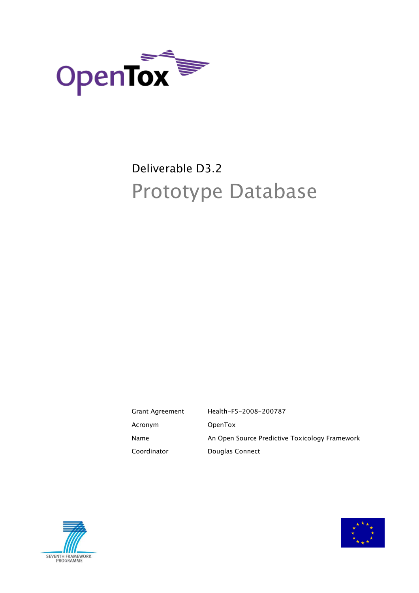

# Deliverable D3.2 Prototype Database

| Grant Agreement | Health-F5-2008-200787                          |
|-----------------|------------------------------------------------|
| Acronym         | OpenTox                                        |
| Name            | An Open Source Predictive Toxicology Framework |
| Coordinator     | Douglas Connect                                |



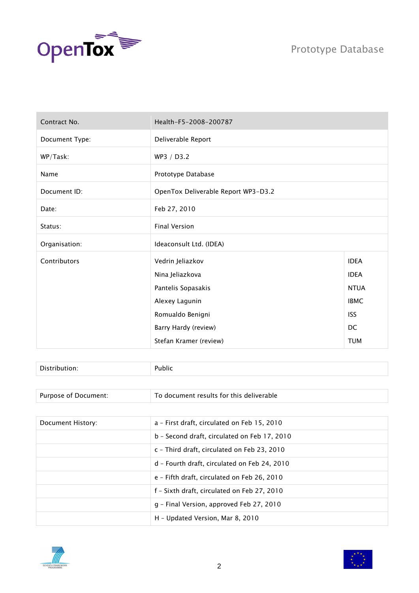



| Contract No.   | Health-F5-2008-200787               |             |
|----------------|-------------------------------------|-------------|
| Document Type: | Deliverable Report                  |             |
| WP/Task:       | WP3 / D3.2                          |             |
| Name           | Prototype Database                  |             |
| Document ID:   | OpenTox Deliverable Report WP3-D3.2 |             |
| Date:          | Feb 27, 2010                        |             |
| Status:        | <b>Final Version</b>                |             |
| Organisation:  | Ideaconsult Ltd. (IDEA)             |             |
| Contributors   | Vedrin Jeliazkov                    | <b>IDEA</b> |
|                | Nina Jeliazkova                     | <b>IDEA</b> |
|                | Pantelis Sopasakis                  | <b>NTUA</b> |
|                | Alexey Lagunin                      | <b>IBMC</b> |
|                | Romualdo Benigni                    | <b>ISS</b>  |
|                | Barry Hardy (review)                | DC          |
|                | Stefan Kramer (review)              | <b>TUM</b>  |

| - -<br>$\blacksquare$ |  |
|-----------------------|--|
|                       |  |

Purpose of Document: To document results for this deliverable

| Document History: | a - First draft, circulated on Feb 15, 2010  |
|-------------------|----------------------------------------------|
|                   | b - Second draft, circulated on Feb 17, 2010 |
|                   | c - Third draft, circulated on Feb 23, 2010  |
|                   | d - Fourth draft, circulated on Feb 24, 2010 |
|                   | e - Fifth draft, circulated on Feb 26, 2010  |
|                   | f - Sixth draft, circulated on Feb 27, 2010  |
|                   | g - Final Version, approved Feb 27, 2010     |
|                   | H - Updated Version, Mar 8, 2010             |



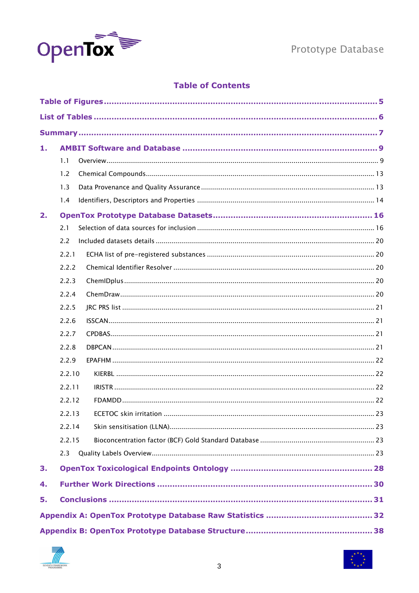

### **Table of Contents**

| 1. |        |  |
|----|--------|--|
|    | 1.1    |  |
|    | 1.2    |  |
|    | 1.3    |  |
|    | 1.4    |  |
| 2. |        |  |
|    | 2.1    |  |
|    | 2.2    |  |
|    | 2.2.1  |  |
|    | 2.2.2  |  |
|    | 2.2.3  |  |
|    | 2.2.4  |  |
|    | 2.2.5  |  |
|    | 2.2.6  |  |
|    | 2.2.7  |  |
|    | 2.2.8  |  |
|    | 2.2.9  |  |
|    | 2.2.10 |  |
|    | 2.2.11 |  |
|    | 2.2.12 |  |
|    | 2.2.13 |  |
|    | 2.2.14 |  |
|    | 2.2.15 |  |
|    | 2.3    |  |
| 3. |        |  |
| 4. |        |  |
| 5. |        |  |
|    |        |  |
|    |        |  |



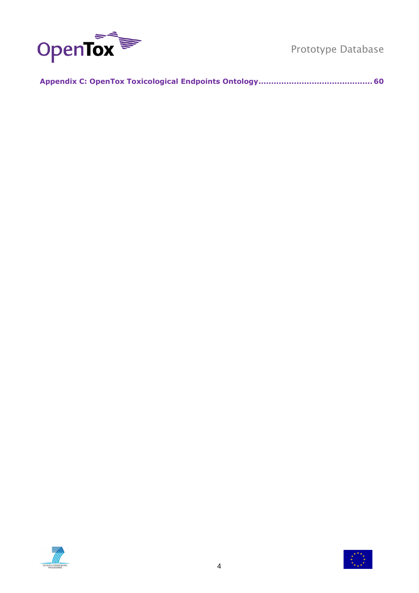

**[Appendix C: OpenTox Toxicological Endpoints Ontology.............................................](#page-59-0) 60**



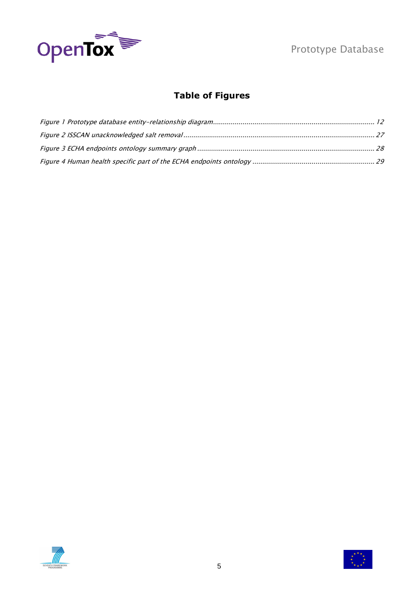

# **Table of Figures**

<span id="page-4-0"></span>



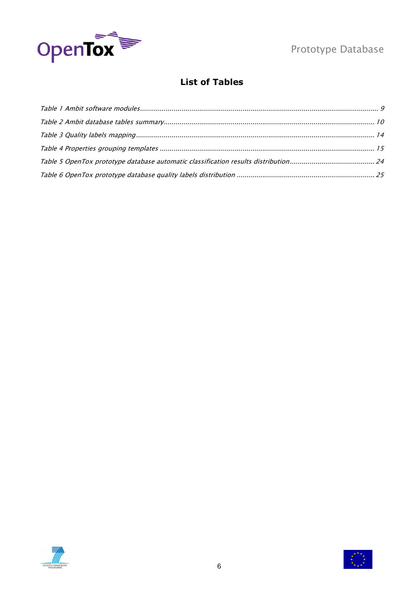

# **List of Tables**

<span id="page-5-0"></span>



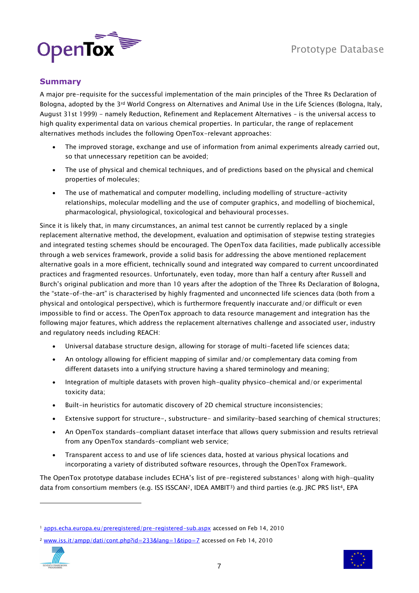

### <span id="page-6-0"></span>**Summary**

A major pre-requisite for the successful implementation of the main principles of the Three Rs Declaration of Bologna, adopted by the 3rd World Congress on Alternatives and Animal Use in the Life Sciences (Bologna, Italy, August 31st 1999) - namely Reduction, Refinement and Replacement Alternatives – is the universal access to high quality experimental data on various chemical properties. In particular, the range of replacement alternatives methods includes the following OpenTox-relevant approaches:

- The improved storage, exchange and use of information from animal experiments already carried out, so that unnecessary repetition can be avoided;
- The use of physical and chemical techniques, and of predictions based on the physical and chemical properties of molecules;
- The use of mathematical and computer modelling, including modelling of structure-activity relationships, molecular modelling and the use of computer graphics, and modelling of biochemical, pharmacological, physiological, toxicological and behavioural processes.

Since it is likely that, in many circumstances, an animal test cannot be currently replaced by a single replacement alternative method, the development, evaluation and optimisation of stepwise testing strategies and integrated testing schemes should be encouraged. The OpenTox data facilities, made publically accessible through a web services framework, provide a solid basis for addressing the above mentioned replacement alternative goals in a more efficient, technically sound and integrated way compared to current uncoordinated practices and fragmented resources. Unfortunately, even today, more than half a century after Russell and Burch"s original publication and more than 10 years after the adoption of the Three Rs Declaration of Bologna, the "state-of-the-art" is characterised by highly fragmented and unconnected life sciences data (both from a physical and ontological perspective), which is furthermore frequently inaccurate and/or difficult or even impossible to find or access. The OpenTox approach to data resource management and integration has the following major features, which address the replacement alternatives challenge and associated user, industry and regulatory needs including REACH:

- Universal database structure design, allowing for storage of multi-faceted life sciences data;
- An ontology allowing for efficient mapping of similar and/or complementary data coming from different datasets into a unifying structure having a shared terminology and meaning;
- Integration of multiple datasets with proven high-quality physico-chemical and/or experimental toxicity data;
- Built-in heuristics for automatic discovery of 2D chemical structure inconsistencies;
- Extensive support for structure-, substructure- and similarity-based searching of chemical structures;
- An OpenTox standards-compliant dataset interface that allows query submission and results retrieval from any OpenTox standards-compliant web service;
- Transparent access to and use of life sciences data, hosted at various physical locations and incorporating a variety of distributed software resources, through the OpenTox Framework.

The OpenTox prototype database includes ECHA's list of pre-registered substances<sup>1</sup> along with high-quality data from consortium members (e.g. ISS ISSCAN<sup>2</sup>, IDEA AMBIT<sup>3</sup>) and third parties (e.g. JRC PRS list<sup>4</sup>, EPA

<sup>2</sup> [www.iss.it/ampp/dati/cont.php?id=233&lang=1&tipo=7](http://www.iss.it/ampp/dati/cont.php?id=233&lang=1&tipo=7) accessed on Feb 14, 2010





<sup>&</sup>lt;sup>1</sup> [apps.echa.europa.eu/preregistered/pre-registered-sub.aspx](http://apps.echa.europa.eu/preregistered/pre-registered-sub.aspx) accessed on Feb 14, 2010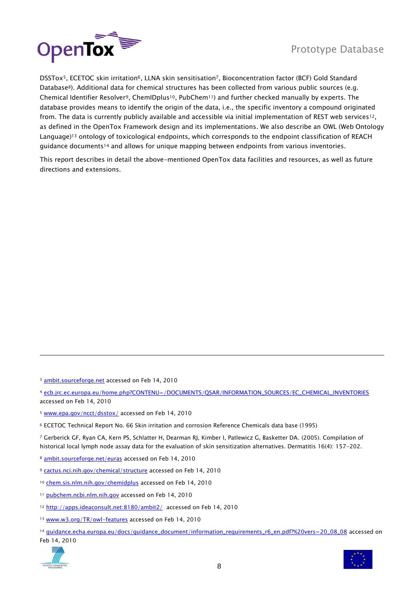

DSSTox<sup>5</sup>, ECETOC skin irritation<sup>6</sup>, LLNA skin sensitisation<sup>7</sup>, Bioconcentration factor (BCF) Gold Standard Database<sup>8</sup>). Additional data for chemical structures has been collected from various public sources (e.g. Chemical Identifier Resolver9, ChemIDplus10, PubChem11) and further checked manually by experts. The database provides means to identify the origin of the data, i.e., the specific inventory a compound originated from. The data is currently publicly available and accessible via initial implementation of REST web services<sup>12</sup>, as defined in the OpenTox Framework design and its implementations. We also describe an OWL (Web Ontology Language)<sup>13</sup> ontology of toxicological endpoints, which corresponds to the endpoint classification of REACH guidance documents<sup>14</sup> and allows for unique mapping between endpoints from various inventories.

This report describes in detail the above-mentioned OpenTox data facilities and resources, as well as future directions and extensions.

<sup>3</sup> [ambit.sourceforge.net](http://ambit.sourceforge.net/) accessed on Feb 14, 2010

<sup>4</sup> [ecb.jrc.ec.europa.eu/home.php?CONTENU=/DOCUMENTS/QSAR/INFORMATION\\_SOURCES/EC\\_CHEMICAL\\_INVENTORIES](http://ecb.jrc.ec.europa.eu/home.php?CONTENU=/DOCUMENTS/QSAR/INFORMATION_SOURCES/EC_CHEMICAL_INVENTORIES/) accessed on Feb 14, 2010

- <sup>5</sup> [www.epa.gov/ncct/dsstox/](http://www.epa.gov/ncct/dsstox/) accessed on Feb 14, 2010
- <sup>6</sup> ECETOC Technical Report No. 66 Skin irritation and corrosion Reference Chemicals data base (1995)

<sup>7</sup> Gerberick GF, Ryan CA, Kern PS, Schlatter H, Dearman RJ, Kimber I, Patlewicz G, Basketter DA. (2005). Compilation of historical local lymph node assay data for the evaluation of skin sensitization alternatives. Dermatitis 16(4): 157-202.

- <sup>8</sup> [ambit.sourceforge.net/euras](http://ambit.sourceforge.net/euras/) accessed on Feb 14, 2010
- <sup>9</sup> [cactus.nci.nih.gov/chemical/structure](http://cactus.nci.nih.gov/chemical/structure) accessed on Feb 14, 2010
- <sup>10</sup> [chem.sis.nlm.nih.gov/chemidplus](http://chem.sis.nlm.nih.gov/chemidplus/) accessed on Feb 14, 2010
- <sup>11</sup> [pubchem.ncbi.nlm.nih.gov](http://pubchem.ncbi.nlm.nih.gov/) accessed on Feb 14, 2010
- 12 <http://apps.ideaconsult.net:8180/ambit2/>accessed on Feb 14, 2010
- 13 [www.w3.org/TR/owl-features](http://www.w3.org/TR/owl-features/) accessed on Feb 14, 2010
- <sup>14</sup> [guidance.echa.europa.eu/docs/guidance\\_document/information\\_requirements\\_r6\\_en.pdf?%20vers=20\\_08\\_08](http://guidance.echa.europa.eu/docs/guidance_document/information_requirements_r6_en.pdf?%20vers=20_08_08) accessed on Feb 14, 2010



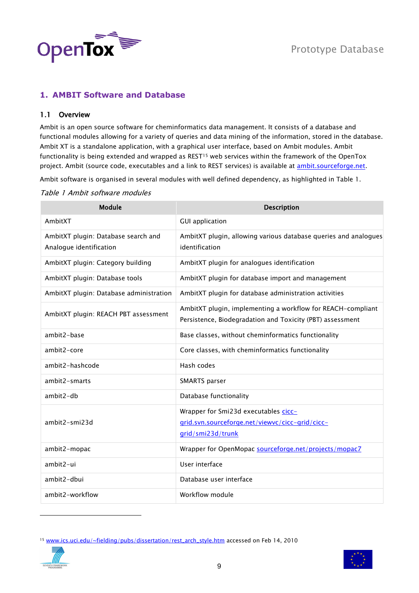

### <span id="page-8-0"></span>**1. AMBIT Software and Database**

#### <span id="page-8-1"></span>1.1 Overview

Ambit is an open source software for cheminformatics data management. It consists of a database and functional modules allowing for a variety of queries and data mining of the information, stored in the database. Ambit XT is a standalone application, with a graphical user interface, based on Ambit modules. Ambit functionality is being extended and wrapped as REST<sup>15</sup> web services within the framework of the OpenTox project. Ambit (source code, executables and a link to REST services) is available at [ambit.sourceforge.net.](http://ambit.sourceforge.net/)

Ambit software is organised in several modules with well defined dependency, as highlighted in [Table 1.](#page-8-2)

#### <span id="page-8-2"></span>Table 1 Ambit software modules

| <b>Module</b>                                                  | <b>Description</b>                                                                                                       |
|----------------------------------------------------------------|--------------------------------------------------------------------------------------------------------------------------|
| AmbitXT                                                        | <b>GUI application</b>                                                                                                   |
| AmbitXT plugin: Database search and<br>Analogue identification | AmbitXT plugin, allowing various database queries and analogues<br>identification                                        |
| AmbitXT plugin: Category building                              | AmbitXT plugin for analogues identification                                                                              |
| AmbitXT plugin: Database tools                                 | AmbitXT plugin for database import and management                                                                        |
| AmbitXT plugin: Database administration                        | AmbitXT plugin for database administration activities                                                                    |
| AmbitXT plugin: REACH PBT assessment                           | AmbitXT plugin, implementing a workflow for REACH-compliant<br>Persistence, Biodegradation and Toxicity (PBT) assessment |
| ambit2-base                                                    | Base classes, without cheminformatics functionality                                                                      |
| ambit2-core                                                    | Core classes, with cheminformatics functionality                                                                         |
| ambit2-hashcode                                                | Hash codes                                                                                                               |
| ambit2-smarts                                                  | SMARTS parser                                                                                                            |
| ambit2-db                                                      | Database functionality                                                                                                   |
| ambit2-smi23d                                                  | Wrapper for Smi23d executables cicc-<br>grid.svn.sourceforge.net/viewvc/cicc-grid/cicc-<br>grid/smi23d/trunk             |
| ambit2-mopac                                                   | Wrapper for OpenMopac sourceforge.net/projects/mopac7                                                                    |
| ambit2-ui                                                      | User interface                                                                                                           |
| ambit2-dbui                                                    | Database user interface                                                                                                  |
| ambit2-workflow                                                | Workflow module                                                                                                          |

<sup>15</sup> [www.ics.uci.edu/~fielding/pubs/dissertation/rest\\_arch\\_style.htm](http://www.ics.uci.edu/~fielding/pubs/dissertation/rest_arch_style.htm) accessed on Feb 14, 2010



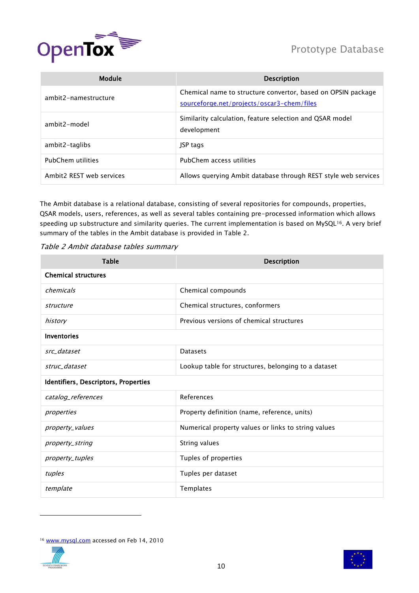



| Module                   | <b>Description</b>                                                                                         |
|--------------------------|------------------------------------------------------------------------------------------------------------|
| ambit2-namestructure     | Chemical name to structure convertor, based on OPSIN package<br>sourceforge.net/projects/oscar3-chem/files |
| ambit2-model             | Similarity calculation, feature selection and QSAR model<br>development                                    |
| ambit2-taglibs           | <b>JSP tags</b>                                                                                            |
| PubChem utilities        | PubChem access utilities                                                                                   |
| Ambit2 REST web services | Allows querying Ambit database through REST style web services                                             |

The Ambit database is a relational database, consisting of several repositories for compounds, properties, QSAR models, users, references, as well as several tables containing pre-processed information which allows speeding up substructure and similarity queries. The current implementation is based on MySQL<sup>16</sup>. A very brief summary of the tables in the Ambit database is provided in [Table 2.](#page-9-0)

<span id="page-9-0"></span>

| Table 2 Ambit database tables summary |  |  |
|---------------------------------------|--|--|
|---------------------------------------|--|--|

| <b>Table</b>                         | <b>Description</b>                                  |  |
|--------------------------------------|-----------------------------------------------------|--|
| <b>Chemical structures</b>           |                                                     |  |
| chemicals                            | Chemical compounds                                  |  |
| structure                            | Chemical structures, conformers                     |  |
| history                              | Previous versions of chemical structures            |  |
| <b>Inventories</b>                   |                                                     |  |
| src dataset                          | <b>Datasets</b>                                     |  |
| struc dataset                        | Lookup table for structures, belonging to a dataset |  |
| Identifiers, Descriptors, Properties |                                                     |  |
| catalog_references                   | References                                          |  |
| properties                           | Property definition (name, reference, units)        |  |
| property_values                      | Numerical property values or links to string values |  |
| property_string                      | String values                                       |  |
| property_tuples                      | Tuples of properties                                |  |
| tuples                               | Tuples per dataset                                  |  |
| template                             | Templates                                           |  |

<sup>&</sup>lt;sup>16</sup> [www.mysql.com](http://www.mysql.com/) accessed on Feb 14, 2010



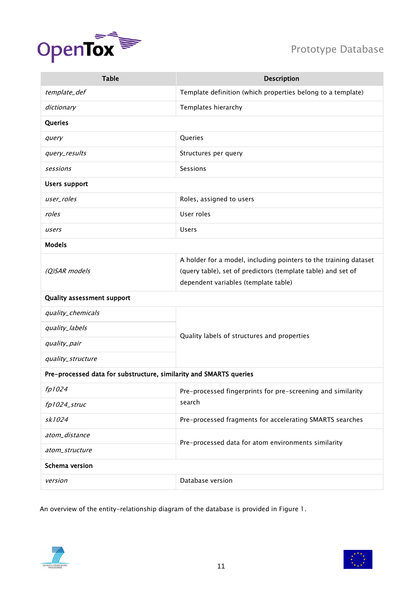

| <b>Table</b>                                                       | <b>Description</b>                                               |  |
|--------------------------------------------------------------------|------------------------------------------------------------------|--|
| template_def                                                       | Template definition (which properties belong to a template)      |  |
| dictionary                                                         | Templates hierarchy                                              |  |
| Queries                                                            |                                                                  |  |
| query                                                              | Queries                                                          |  |
| query_results                                                      | Structures per query                                             |  |
| sessions                                                           | Sessions                                                         |  |
| <b>Users support</b>                                               |                                                                  |  |
| user_roles                                                         | Roles, assigned to users                                         |  |
| roles                                                              | User roles                                                       |  |
| users                                                              | <b>Users</b>                                                     |  |
| <b>Models</b>                                                      |                                                                  |  |
|                                                                    | A holder for a model, including pointers to the training dataset |  |
| (Q)SAR models                                                      | (query table), set of predictors (template table) and set of     |  |
|                                                                    | dependent variables (template table)                             |  |
| Quality assessment support                                         |                                                                  |  |
| quality_chemicals                                                  |                                                                  |  |
| quality_labels                                                     | Quality labels of structures and properties                      |  |
| quality_pair                                                       |                                                                  |  |
| quality_structure                                                  |                                                                  |  |
| Pre-processed data for substructure, similarity and SMARTS queries |                                                                  |  |
| fp1024                                                             | Pre-processed fingerprints for pre-screening and similarity      |  |
| fp1024_struc                                                       | search                                                           |  |
| sk1024                                                             | Pre-processed fragments for accelerating SMARTS searches         |  |
| atom_distance                                                      | Pre-processed data for atom environments similarity              |  |
| atom_structure                                                     |                                                                  |  |
| Schema version                                                     |                                                                  |  |
| version                                                            | Database version                                                 |  |

An overview of the entity-relationship diagram of the database is provided in [Figure 1.](#page-11-0)



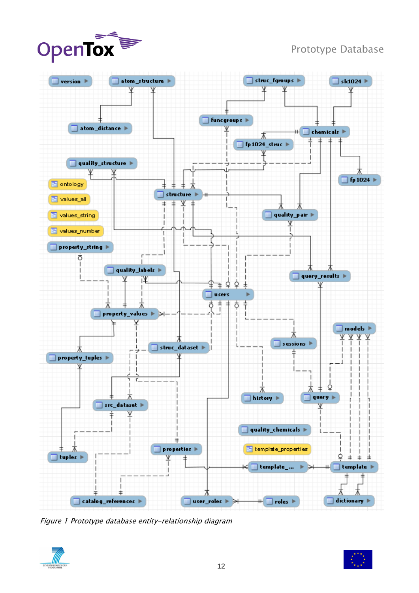



<span id="page-11-0"></span>Figure 1 Prototype database entity-relationship diagram



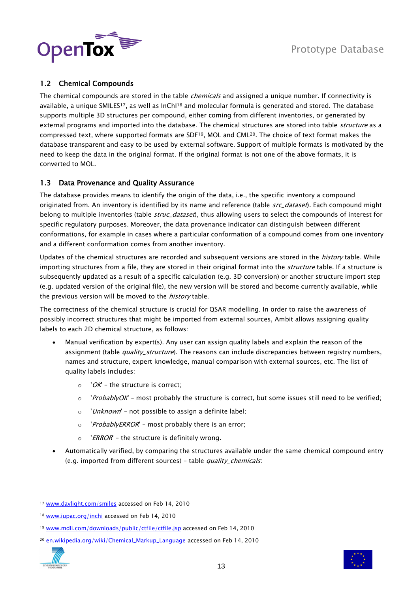

### <span id="page-12-0"></span>1.2 Chemical Compounds

The chemical compounds are stored in the table *chemicals* and assigned a unique number. If connectivity is available, a unique SMILES<sup>17</sup>, as well as InCh<sup>118</sup> and molecular formula is generated and stored. The database supports multiple 3D structures per compound, either coming from different inventories, or generated by external programs and imported into the database. The chemical structures are stored into table *structure* as a compressed text, where supported formats are SDF19, MOL and CML20. The choice of text format makes the database transparent and easy to be used by external software. Support of multiple formats is motivated by the need to keep the data in the original format. If the original format is not one of the above formats, it is converted to MOL.

### <span id="page-12-1"></span>1.3 Data Provenance and Quality Assurance

The database provides means to identify the origin of the data, i.e., the specific inventory a compound originated from. An inventory is identified by its name and reference (table *src\_dataset*). Each compound might belong to multiple inventories (table *struc\_dataset*), thus allowing users to select the compounds of interest for specific regulatory purposes. Moreover, the data provenance indicator can distinguish between different conformations, for example in cases where a particular conformation of a compound comes from one inventory and a different conformation comes from another inventory.

Updates of the chemical structures are recorded and subsequent versions are stored in the *history* table. While importing structures from a file, they are stored in their original format into the *structure* table. If a structure is subsequently updated as a result of a specific calculation (e.g. 3D conversion) or another structure import step (e.g. updated version of the original file), the new version will be stored and become currently available, while the previous version will be moved to the *history* table.

The correctness of the chemical structure is crucial for QSAR modelling. In order to raise the awareness of possibly incorrect structures that might be imported from external sources, Ambit allows assigning quality labels to each 2D chemical structure, as follows:

- Manual verification by expert(s). Any user can assign quality labels and explain the reason of the assignment (table *quality\_structure*). The reasons can include discrepancies between registry numbers, names and structure, expert knowledge, manual comparison with external sources, etc. The list of quality labels includes:
	- $\circ$  'OK' the structure is correct;
	- $\circ$  'ProbablyOK' most probably the structure is correct, but some issues still need to be verified;
	- $\circ$  'Unknown' not possible to assign a definite label;
	- $\circ$  'ProbablyERROR' most probably there is an error;
	- $\circ$  'ERROR' the structure is definitely wrong.
- Automatically verified, by comparing the structures available under the same chemical compound entry (e.g. imported from different sources) – table quality\_chemicals:

<sup>20</sup> [en.wikipedia.org/wiki/Chemical\\_Markup\\_Language](http://en.wikipedia.org/wiki/Chemical_Markup_Language) accessed on Feb 14, 2010



<sup>17</sup> [www.daylight.com/smiles](http://www.daylight.com/smiles/) accessed on Feb 14, 2010

<sup>18</sup> [www.iupac.org/inchi](http://www.iupac.org/inchi/) accessed on Feb 14, 2010

<sup>19</sup> [www.mdli.com/downloads/public/ctfile/ctfile.jsp](http://www.mdli.com/downloads/public/ctfile/ctfile.jsp) accessed on Feb 14, 2010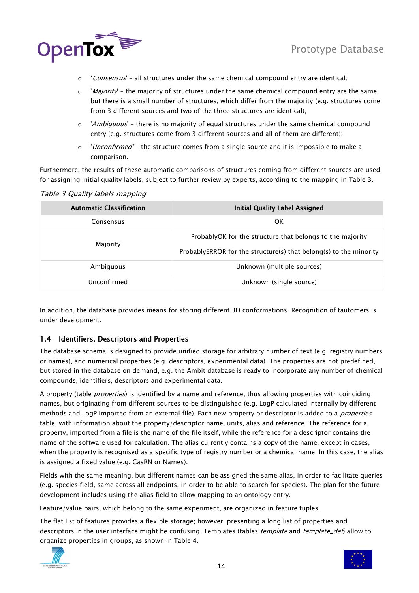

- $\circ$  'Consensus' all structures under the same chemical compound entry are identical;
- $\circ$  'Majority' the majority of structures under the same chemical compound entry are the same, but there is a small number of structures, which differ from the majority (e.g. structures come from 3 different sources and two of the three structures are identical);
- 'Ambiguous' there is no majority of equal structures under the same chemical compound entry (e.g. structures come from 3 different sources and all of them are different);
- $\circ$  '*Unconfirmed'* the structure comes from a single source and it is impossible to make a comparison.

Furthermore, the results of these automatic comparisons of structures coming from different sources are used for assigning initial quality labels, subject to further review by experts, according to the mapping in [Table 3.](#page-13-1)

#### <span id="page-13-1"></span>Table 3 Quality labels mapping

| <b>Automatic Classification</b> | <b>Initial Quality Label Assigned</b>                                                                                          |
|---------------------------------|--------------------------------------------------------------------------------------------------------------------------------|
| Consensus                       | 0K                                                                                                                             |
| Majority                        | ProbablyOK for the structure that belongs to the majority<br>ProbablyERROR for the structure(s) that belong(s) to the minority |
| Ambiguous                       | Unknown (multiple sources)                                                                                                     |
| Unconfirmed                     | Unknown (single source)                                                                                                        |

In addition, the database provides means for storing different 3D conformations. Recognition of tautomers is under development.

#### <span id="page-13-0"></span>1.4 Identifiers, Descriptors and Properties

The database schema is designed to provide unified storage for arbitrary number of text (e.g. registry numbers or names), and numerical properties (e.g. descriptors, experimental data). The properties are not predefined, but stored in the database on demand, e.g. the Ambit database is ready to incorporate any number of chemical compounds, identifiers, descriptors and experimental data.

A property (table *properties*) is identified by a name and reference, thus allowing properties with coinciding names, but originating from different sources to be distinguished (e.g. LogP calculated internally by different methods and LogP imported from an external file). Each new property or descriptor is added to a *properties* table, with information about the property/descriptor name, units, alias and reference. The reference for a property, imported from a file is the name of the file itself, while the reference for a descriptor contains the name of the software used for calculation. The alias currently contains a copy of the name, except in cases, when the property is recognised as a specific type of registry number or a chemical name. In this case, the alias is assigned a fixed value (e.g. CasRN or Names).

Fields with the same meaning, but different names can be assigned the same alias, in order to facilitate queries (e.g. species field, same across all endpoints, in order to be able to search for species). The plan for the future development includes using the alias field to allow mapping to an ontology entry.

Feature/value pairs, which belong to the same experiment, are organized in feature tuples.

The flat list of features provides a flexible storage; however, presenting a long list of properties and descriptors in the user interface might be confusing. Templates (tables *template* and *template\_def*) allow to organize properties in groups, as shown in [Table 4.](#page-14-0)



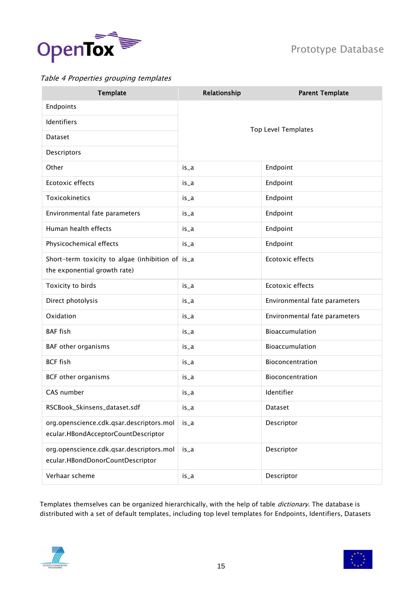

### <span id="page-14-0"></span>Table 4 Properties grouping templates

| <b>Template</b>                                                                  | Relationship | <b>Parent Template</b>        |  |  |
|----------------------------------------------------------------------------------|--------------|-------------------------------|--|--|
| Endpoints                                                                        |              |                               |  |  |
| Identifiers                                                                      |              | <b>Top Level Templates</b>    |  |  |
| Dataset                                                                          |              |                               |  |  |
| Descriptors                                                                      |              |                               |  |  |
| Other                                                                            | is_a         | Endpoint                      |  |  |
| Ecotoxic effects                                                                 | $is_a$       | Endpoint                      |  |  |
| Toxicokinetics                                                                   | is_a         | Endpoint                      |  |  |
| Environmental fate parameters                                                    | is_a         | Endpoint                      |  |  |
| Human health effects                                                             | $is_a$       | Endpoint                      |  |  |
| Physicochemical effects                                                          | is_a         | Endpoint                      |  |  |
| Short-term toxicity to algae (inhibition of is_a<br>the exponential growth rate) |              | Ecotoxic effects              |  |  |
| Toxicity to birds                                                                | is_a         | Ecotoxic effects              |  |  |
| Direct photolysis                                                                | is_a         | Environmental fate parameters |  |  |
| Oxidation                                                                        | $is_a$       | Environmental fate parameters |  |  |
| <b>BAF</b> fish                                                                  | is_a         | Bioaccumulation               |  |  |
| BAF other organisms                                                              | $is_a$       | Bioaccumulation               |  |  |
| <b>BCF fish</b>                                                                  | is_a         | Bioconcentration              |  |  |
| BCF other organisms                                                              | $is_a$       | Bioconcentration              |  |  |
| CAS number                                                                       | is_a         | Identifier                    |  |  |
| RSCBook_Skinsens_dataset.sdf                                                     | is_a         | Dataset                       |  |  |
| org.openscience.cdk.qsar.descriptors.mol<br>ecular.HBondAcceptorCountDescriptor  | $is_a$       | Descriptor                    |  |  |
| org.openscience.cdk.qsar.descriptors.mol<br>ecular.HBondDonorCountDescriptor     | $is_a$       | Descriptor                    |  |  |
| Verhaar scheme                                                                   | is_a         | Descriptor                    |  |  |

Templates themselves can be organized hierarchically, with the help of table *dictionary*. The database is distributed with a set of default templates, including top level templates for Endpoints, Identifiers, Datasets



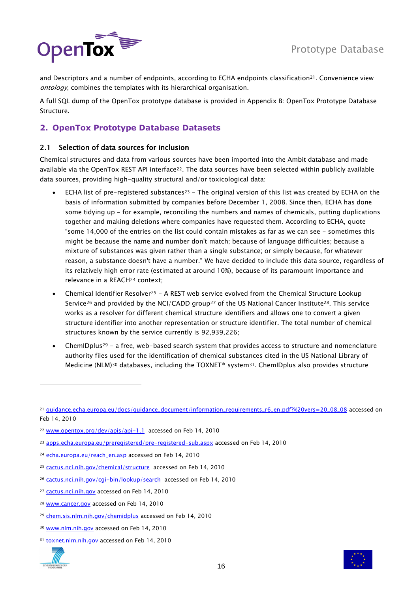

and Descriptors and a number of endpoints, according to ECHA endpoints classification<sup>21</sup>. Convenience view ontology, combines the templates with its hierarchical organisation.

A full SQL dump of the OpenTox prototype database is provided in Appendix B: [OpenTox Prototype Database](#page-37-0)  [Structure.](#page-37-0)

### <span id="page-15-0"></span>**2. OpenTox Prototype Database Datasets**

### <span id="page-15-1"></span>2.1 Selection of data sources for inclusion

Chemical structures and data from various sources have been imported into the Ambit database and made available via the OpenTox REST API interface22. The data sources have been selected within publicly available data sources, providing high-quality structural and/or toxicological data:

- **•** ECHA list of pre-registered substances<sup>23</sup> The original version of this list was created by ECHA on the basis of information submitted by companies before December 1, 2008. Since then, ECHA has done some tidying up - for example, reconciling the numbers and names of chemicals, putting duplications together and making deletions where companies have requested them. According to ECHA, quote "some 14,000 of the entries on the list could contain mistakes as far as we can see - sometimes this might be because the name and number don't match; because of language difficulties; because a mixture of substances was given rather than a single substance; or simply because, for whatever reason, a substance doesn't have a number." We have decided to include this data source, regardless of its relatively high error rate (estimated at around 10%), because of its paramount importance and relevance in a REACH<sup>24</sup> context;
- Chemical Identifier Resolver<sup>25</sup> A REST web service evolved from the Chemical Structure Lookup Service<sup>26</sup> and provided by the NCI/CADD group<sup>27</sup> of the US National Cancer Institute<sup>28</sup>. This service works as a resolver for different chemical structure identifiers and allows one to convert a given structure identifier into another representation or structure identifier. The total number of chemical structures known by the service currently is 92,939,226;
- ChemIDplus<sup>29</sup> a free, web-based search system that provides access to structure and nomenclature authority files used for the identification of chemical substances cited in the US National Library of Medicine (NLM)<sup>30</sup> databases, including the TOXNET® system31. ChemIDplus also provides structure

<sup>31</sup> [toxnet.nlm.nih.gov](http://toxnet.nlm.nih.gov/) accessed on Feb 14, 2010





<sup>&</sup>lt;sup>21</sup> [guidance.echa.europa.eu/docs/guidance\\_document/information\\_requirements\\_r6\\_en.pdf?%20vers=20\\_08\\_08](http://guidance.echa.europa.eu/docs/guidance_document/information_requirements_r6_en.pdf?%20vers=20_08_08) accessed on Feb 14, 2010

<sup>22</sup> [www.opentox.org/dev/apis/api-1.1](http://www.opentox.org/dev/apis/api-1.1) accessed on Feb 14, 2010

<sup>&</sup>lt;sup>23</sup> [apps.echa.europa.eu/preregistered/pre-registered-sub.aspx](http://apps.echa.europa.eu/preregistered/pre-registered-sub.aspx) accessed on Feb 14, 2010

<sup>&</sup>lt;sup>24</sup> [echa.europa.eu/reach\\_en.asp](http://echa.europa.eu/reach_en.asp) accessed on Feb 14, 2010

<sup>&</sup>lt;sup>25</sup> [cactus.nci.nih.gov/chemical/structure](http://cactus.nci.nih.gov/chemical/structure) accessed on Feb 14, 2010

<sup>26</sup> cactus.nci.nih.gov/cqi-bin/lookup/search accessed on Feb 14, 2010

<sup>27</sup> [cactus.nci.nih.gov](http://cactus.nci.nih.gov/) accessed on Feb 14, 2010

<sup>28</sup> [www.cancer.gov](http://www.cancer.gov/) accessed on Feb 14, 2010

<sup>29</sup> [chem.sis.nlm.nih.gov/chemidplus](http://chem.sis.nlm.nih.gov/chemidplus/) accessed on Feb 14, 2010

<sup>&</sup>lt;sup>30</sup> [www.nlm.nih.gov](http://www.nlm.nih.gov/) accessed on Feb 14, 2010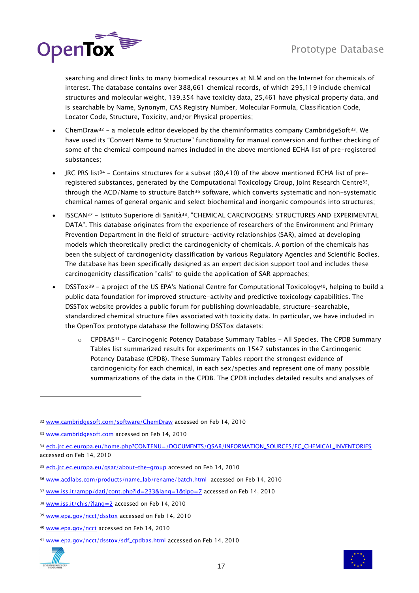

searching and direct links to many biomedical resources at NLM and on the Internet for chemicals of interest. The database contains over 388,661 chemical records, of which 295,119 include chemical structures and molecular weight, 139,354 have toxicity data, 25,461 have physical property data, and is searchable by Name, Synonym, CAS Registry Number, Molecular Formula, Classification Code, Locator Code, Structure, Toxicity, and/or Physical properties;

- ChemDraw<sup>32</sup> a molecule editor developed by the cheminformatics company CambridgeSoft<sup>33</sup>. We have used its "Convert Name to Structure" functionality for manual conversion and further checking of some of the chemical compound names included in the above mentioned ECHA list of pre-registered substances;
- JRC PRS list<sup>34</sup> Contains structures for a subset (80,410) of the above mentioned ECHA list of preregistered substances, generated by the Computational Toxicology Group, Joint Research Centre35, through the ACD/Name to structure Batch<sup>36</sup> software, which converts systematic and non-systematic chemical names of general organic and select biochemical and inorganic compounds into structures;
- ISSCAN<sup>37</sup> Istituto Superiore di Sanità38, "CHEMICAL CARCINOGENS: STRUCTURES AND EXPERIMENTAL DATA". This database originates from the experience of researchers of the Environment and Primary Prevention Department in the field of structure-activity relationships (SAR), aimed at developing models which theoretically predict the carcinogenicity of chemicals. A portion of the chemicals has been the subject of carcinogenicity classification by various Regulatory Agencies and Scientific Bodies. The database has been specifically designed as an expert decision support tool and includes these carcinogenicity classification "calls" to guide the application of SAR approaches;
- DSSTox<sup>39</sup> a project of the US EPA's National Centre for Computational Toxicology<sup>40</sup>, helping to build a public data foundation for improved structure-activity and predictive toxicology capabilities. The DSSTox website provides a public forum for publishing downloadable, structure-searchable, standardized chemical structure files associated with toxicity data. In particular, we have included in the OpenTox prototype database the following DSSTox datasets:
	- $\circ$  CPDBAS<sup>41</sup> Carcinogenic Potency Database Summary Tables All Species. The CPDB Summary Tables list summarized results for experiments on 1547 substances in the Carcinogenic Potency Database (CPDB). These Summary Tables report the strongest evidence of carcinogenicity for each chemical, in each sex/species and represent one of many possible summarizations of the data in the CPDB. The CPDB includes detailed results and analyses of

<sup>41</sup> [www.epa.gov/ncct/dsstox/sdf\\_cpdbas.html](http://www.epa.gov/ncct/dsstox/sdf_cpdbas.html) accessed on Feb 14, 2010



<sup>32</sup> [www.cambridgesoft.com/software/ChemDraw](http://www.cambridgesoft.com/software/ChemDraw/) accessed on Feb 14, 2010

<sup>33</sup> [www.cambridgesoft.com](http://www.cambridgesoft.com/) accessed on Feb 14, 2010

<sup>34</sup> [ecb.jrc.ec.europa.eu/home.php?CONTENU=/DOCUMENTS/QSAR/INFORMATION\\_SOURCES/EC\\_CHEMICAL\\_INVENTORIES](http://ecb.jrc.ec.europa.eu/home.php?CONTENU=/DOCUMENTS/QSAR/INFORMATION_SOURCES/EC_CHEMICAL_INVENTORIES/) accessed on Feb 14, 2010

<sup>35</sup> [ecb.jrc.ec.europa.eu/qsar/about-the-group](http://ecb.jrc.ec.europa.eu/qsar/about-the-group/) accessed on Feb 14, 2010

<sup>36</sup> [www.acdlabs.com/products/name\\_lab/rename/batch.html](http://www.acdlabs.com/products/name_lab/rename/batch.html) accessed on Feb 14, 2010

<sup>37</sup> [www.iss.it/ampp/dati/cont.php?id=233&lang=1&tipo=7](http://www.iss.it/ampp/dati/cont.php?id=233&lang=1&tipo=7) accessed on Feb 14, 2010

<sup>38</sup> [www.iss.it/chis/?lang=2](http://www.iss.it/chis/?lang=2) accessed on Feb 14, 2010

<sup>39</sup> [www.epa.gov/ncct/dsstox](http://www.epa.gov/ncct/dsstox/) accessed on Feb 14, 2010

<sup>40</sup> [www.epa.gov/ncct](http://www.epa.gov/ncct/) accessed on Feb 14, 2010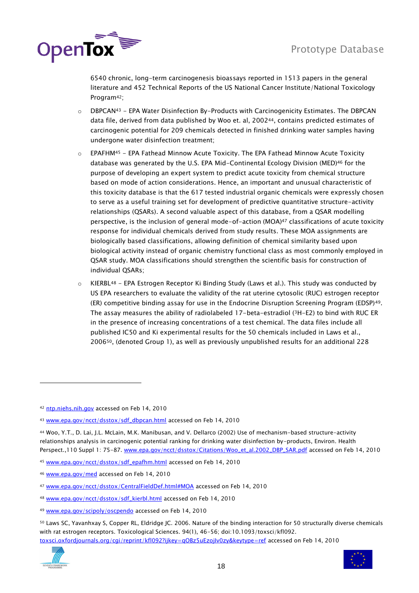

6540 chronic, long-term carcinogenesis bioassays reported in 1513 papers in the general literature and 452 Technical Reports of the US National Cancer Institute/National Toxicology Program42;

- $\circ$  DBPCAN<sup>43</sup> EPA Water Disinfection By-Products with Carcinogenicity Estimates. The DBPCAN data file, derived from data published by Woo et. al, 200244, contains predicted estimates of carcinogenic potential for 209 chemicals detected in finished drinking water samples having undergone water disinfection treatment;
- $\circ$  EPAFHM<sup>45</sup> EPA Fathead Minnow Acute Toxicity. The EPA Fathead Minnow Acute Toxicity database was generated by the U.S. EPA Mid-Continental Ecology Division (MED)<sup>46</sup> for the purpose of developing an expert system to predict acute toxicity from chemical structure based on mode of action considerations. Hence, an important and unusual characteristic of this toxicity database is that the 617 tested industrial organic chemicals were expressly chosen to serve as a useful training set for development of predictive quantitative structure-activity relationships (QSARs). A second valuable aspect of this database, from a QSAR modelling perspective, is the inclusion of general mode-of-action (MOA)<sup>47</sup> classifications of acute toxicity response for individual chemicals derived from study results. These MOA assignments are biologically based classifications, allowing definition of chemical similarity based upon biological activity instead of organic chemistry functional class as most commonly employed in QSAR study. MOA classifications should strengthen the scientific basis for construction of individual QSARs;
- $\circ$  KIERBL<sup>48</sup> EPA Estrogen Receptor Ki Binding Study (Laws et al.). This study was conducted by US EPA researchers to evaluate the validity of the rat uterine cytosolic (RUC) estrogen receptor (ER) competitive binding assay for use in the Endocrine Disruption Screening Program (EDSP)49. The assay measures the ability of radiolabeled 17-beta-estradiol (3H-E2) to bind with RUC ER in the presence of increasing concentrations of a test chemical. The data files include all published IC50 and Ki experimental results for the 50 chemicals included in Laws et al., 200650, (denoted Group 1), as well as previously unpublished results for an additional 228

48 [www.epa.gov/ncct/dsstox/sdf\\_kierbl.html](http://www.epa.gov/ncct/dsstox/sdf_kierbl.html) accessed on Feb 14, 2010

<sup>50</sup> Laws SC, Yavanhxay S, Copper RL, Eldridge JC. 2006. Nature of the binding interaction for 50 structurally diverse chemicals with rat estrogen receptors. Toxicological Sciences. 94(1), 46-56; doi:10.1093/toxsci/kfl092. [toxsci.oxfordjournals.org/cgi/reprint/kfl092?ijkey=qOBz5uEzojIv0zy&keytype=ref](http://toxsci.oxfordjournals.org/cgi/reprint/kfl092?ijkey=qOBz5uEzojIv0zy&keytype=ref) accessed on Feb 14, 2010



<sup>42</sup> [ntp.niehs.nih.gov](http://ntp.niehs.nih.gov/) accessed on Feb 14, 2010

<sup>43</sup> [www.epa.gov/ncct/dsstox/sdf\\_dbpcan.html](http://www.epa.gov/ncct/dsstox/sdf_dbpcan.html) accessed on Feb 14, 2010

<sup>44</sup> Woo, Y.T., D. Lai, J.L. McLain, M.K. Manibusan, and V. Dellarco (2002) Use of mechanism-based structure-activity relationships analysis in carcinogenic potential ranking for drinking water disinfection by-products, Environ. Health Perspect.,110 Suppl 1: 75-87. [www.epa.gov/ncct/dsstox/Citations/Woo\\_et\\_al.2002\\_DBP\\_SAR.pdf](http://www.epa.gov/ncct/dsstox/Citations/Woo_et_al.2002_DBP_SAR.pdf) accessed on Feb 14, 2010

<sup>45</sup> [www.epa.gov/ncct/dsstox/sdf\\_epafhm.html](http://www.epa.gov/ncct/dsstox/sdf_epafhm.html) accessed on Feb 14, 2010

<sup>46</sup> [www.epa.gov/med](http://www.epa.gov/med/) accessed on Feb 14, 2010

<sup>47</sup> [www.epa.gov/ncct/dsstox/CentralFieldDef.html#MOA](http://www.epa.gov/ncct/dsstox/CentralFieldDef.html#MOA) accessed on Feb 14, 2010

<sup>49</sup> [www.epa.gov/scipoly/oscpendo](http://www.epa.gov/scipoly/oscpendo/) accessed on Feb 14, 2010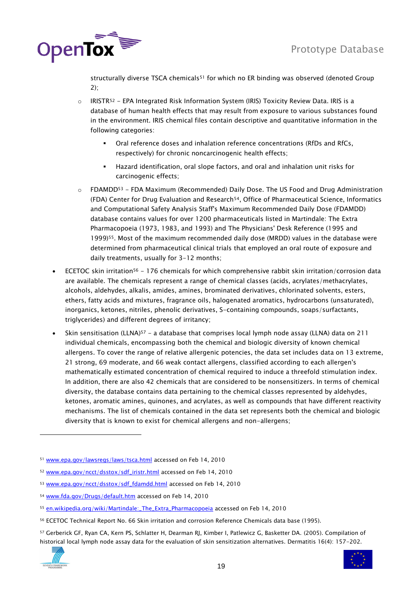

structurally diverse TSCA chemicals<sup>51</sup> for which no ER binding was observed (denoted Group 2);

- $\circ$  IRISTR<sup>52</sup> EPA Integrated Risk Information System (IRIS) Toxicity Review Data. IRIS is a database of human health effects that may result from exposure to various substances found in the environment. IRIS chemical files contain descriptive and quantitative information in the following categories:
	- Oral reference doses and inhalation reference concentrations (RfDs and RfCs, respectively) for chronic noncarcinogenic health effects;
	- Hazard identification, oral slope factors, and oral and inhalation unit risks for carcinogenic effects;
- $\circ$  FDAMDD<sup>53</sup> FDA Maximum (Recommended) Daily Dose. The US Food and Drug Administration (FDA) Center for Drug Evaluation and Research54, Office of Pharmaceutical Science, Informatics and Computational Safety Analysis Staff's Maximum Recommended Daily Dose (FDAMDD) database contains values for over 1200 pharmaceuticals listed in Martindale: The Extra Pharmacopoeia (1973, 1983, and 1993) and The Physicians' Desk Reference (1995 and 1999)55. Most of the maximum recommended daily dose (MRDD) values in the database were determined from pharmaceutical clinical trials that employed an oral route of exposure and daily treatments, usually for 3-12 months;
- ECETOC skin irritation<sup>56</sup> 176 chemicals for which comprehensive rabbit skin irritation/corrosion data are available. The chemicals represent a range of chemical classes (acids, acrylates/methacrylates, alcohols, aldehydes, alkalis, amides, amines, brominated derivatives, chlorinated solvents, esters, ethers, fatty acids and mixtures, fragrance oils, halogenated aromatics, hydrocarbons (unsaturated), inorganics, ketones, nitriles, phenolic derivatives, S-containing compounds, soaps/surfactants, triglycerides) and different degrees of irritancy;
- Skin sensitisation (LLNA)<sup>57</sup> a database that comprises local lymph node assay (LLNA) data on 211 individual chemicals, encompassing both the chemical and biologic diversity of known chemical allergens. To cover the range of relative allergenic potencies, the data set includes data on 13 extreme, 21 strong, 69 moderate, and 66 weak contact allergens, classified according to each allergen's mathematically estimated concentration of chemical required to induce a threefold stimulation index. In addition, there are also 42 chemicals that are considered to be nonsensitizers. In terms of chemical diversity, the database contains data pertaining to the chemical classes represented by aldehydes, ketones, aromatic amines, quinones, and acrylates, as well as compounds that have different reactivity mechanisms. The list of chemicals contained in the data set represents both the chemical and biologic diversity that is known to exist for chemical allergens and non-allergens;

<sup>57</sup> Gerberick GF, Ryan CA, Kern PS, Schlatter H, Dearman RJ, Kimber I, Patlewicz G, Basketter DA. (2005). Compilation of historical local lymph node assay data for the evaluation of skin sensitization alternatives. Dermatitis 16(4): 157-202.





<sup>51</sup> [www.epa.gov/lawsregs/laws/tsca.html](http://www.epa.gov/lawsregs/laws/tsca.html) accessed on Feb 14, 2010

<sup>52</sup> [www.epa.gov/ncct/dsstox/sdf\\_iristr.html](http://www.epa.gov/ncct/dsstox/sdf_iristr.html) accessed on Feb 14, 2010

<sup>53</sup> [www.epa.gov/ncct/dsstox/sdf\\_fdamdd.html](http://www.epa.gov/ncct/dsstox/sdf_fdamdd.html) accessed on Feb 14, 2010

<sup>54</sup> [www.fda.gov/Drugs/default.htm](http://www.fda.gov/Drugs/default.htm) accessed on Feb 14, 2010

<sup>55</sup> [en.wikipedia.org/wiki/Martindale:\\_The\\_Extra\\_Pharmacopoeia](http://en.wikipedia.org/wiki/Martindale:_The_Extra_Pharmacopoeia) accessed on Feb 14, 2010

<sup>56</sup> ECETOC Technical Report No. 66 Skin irritation and corrosion Reference Chemicals data base (1995).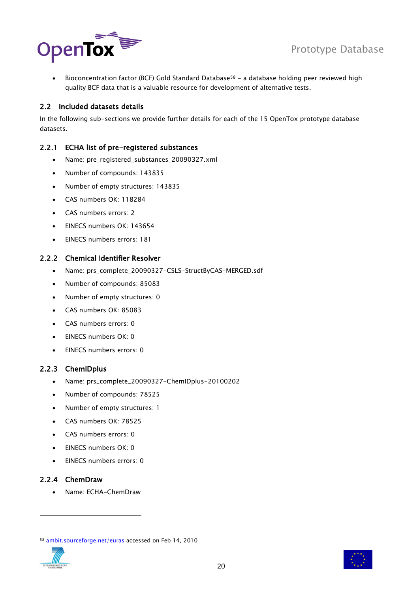



 $\bullet$  Bioconcentration factor (BCF) Gold Standard Database<sup>58</sup> - a database holding peer reviewed high quality BCF data that is a valuable resource for development of alternative tests.

#### <span id="page-19-0"></span>2.2 Included datasets details

In the following sub-sections we provide further details for each of the 15 OpenTox prototype database datasets.

#### <span id="page-19-1"></span>2.2.1 ECHA list of pre-registered substances

- Name: pre\_registered\_substances\_20090327.xml
- Number of compounds: 143835
- Number of empty structures: 143835
- CAS numbers OK: 118284
- CAS numbers errors: 2
- EINECS numbers OK: 143654
- EINECS numbers errors: 181

#### <span id="page-19-2"></span>2.2.2 Chemical Identifier Resolver

- Name: prs\_complete\_20090327-CSLS-StructByCAS-MERGED.sdf
- Number of compounds: 85083
- Number of empty structures: 0
- CAS numbers OK: 85083
- CAS numbers errors: 0
- $\bullet$  FINECS numbers OK: 0
- EINECS numbers errors: 0

#### <span id="page-19-3"></span>2.2.3 ChemIDplus

- Name: prs\_complete\_20090327-ChemIDplus-20100202
- Number of compounds: 78525
- Number of empty structures: 1
- CAS numbers OK: 78525
- CAS numbers errors: 0
- EINECS numbers OK: 0
- EINECS numbers errors: 0

#### <span id="page-19-4"></span>2.2.4 ChemDraw

Name: ECHA-ChemDraw

<sup>58</sup> [ambit.sourceforge.net/euras](http://ambit.sourceforge.net/euras/) accessed on Feb 14, 2010



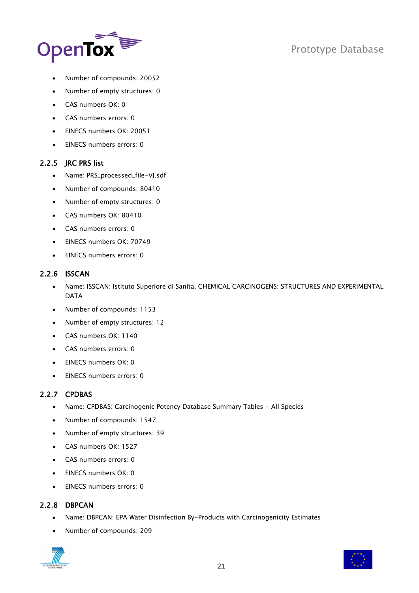

- Number of compounds: 20052
- Number of empty structures: 0
- CAS numbers OK: 0
- CAS numbers errors: 0
- **EINECS numbers OK: 20051**
- EINECS numbers errors: 0

#### <span id="page-20-0"></span>2.2.5 JRC PRS list

- Name: PRS\_processed\_file-VJ.sdf
- Number of compounds: 80410
- Number of empty structures: 0
- CAS numbers OK: 80410
- CAS numbers errors: 0
- FINECS numbers OK: 70749
- EINECS numbers errors: 0

#### <span id="page-20-1"></span>2.2.6 ISSCAN

- Name: ISSCAN: Istituto Superiore di Sanita, CHEMICAL CARCINOGENS: STRUCTURES AND EXPERIMENTAL DATA
- Number of compounds: 1153
- Number of empty structures: 12
- CAS numbers OK: 1140
- CAS numbers errors: 0
- EINECS numbers OK: 0
- EINECS numbers errors: 0

#### <span id="page-20-2"></span>2.2.7 CPDBAS

- Name: CPDBAS: Carcinogenic Potency Database Summary Tables All Species
- Number of compounds: 1547
- Number of empty structures: 39
- CAS numbers OK: 1527
- CAS numbers errors: 0
- EINECS numbers OK: 0
- EINECS numbers errors: 0

### <span id="page-20-3"></span>2.2.8 DBPCAN

- Name: DBPCAN: EPA Water Disinfection By-Products with Carcinogenicity Estimates
- Number of compounds: 209



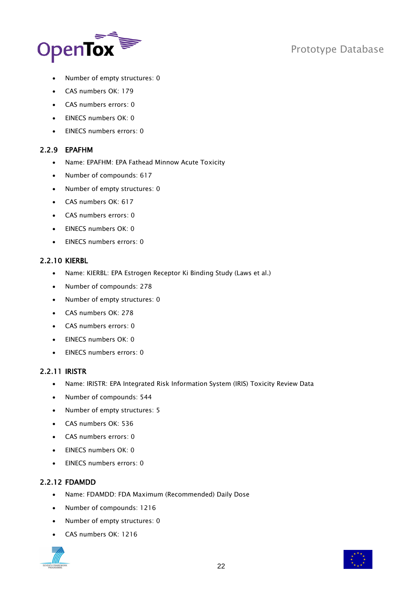



- Number of empty structures: 0
- CAS numbers OK: 179
- CAS numbers errors: 0
- EINECS numbers OK: 0
- EINECS numbers errors: 0

#### <span id="page-21-0"></span>2.2.9 EPAFHM

- Name: EPAFHM: EPA Fathead Minnow Acute Toxicity
- Number of compounds: 617
- Number of empty structures: 0
- CAS numbers OK: 617
- CAS numbers errors: 0
- EINECS numbers OK: 0
- FINECS numbers errors: 0

#### <span id="page-21-1"></span>2.2.10 KIERBL

- Name: KIERBL: EPA Estrogen Receptor Ki Binding Study (Laws et al.)
- Number of compounds: 278
- Number of empty structures: 0
- CAS numbers OK: 278
- CAS numbers errors: 0
- EINECS numbers OK: 0
- EINECS numbers errors: 0

#### <span id="page-21-2"></span>2.2.11 IRISTR

- Name: IRISTR: EPA Integrated Risk Information System (IRIS) Toxicity Review Data
- Number of compounds: 544
- Number of empty structures: 5
- CAS numbers OK: 536
- CAS numbers errors: 0
- EINECS numbers OK: 0
- EINECS numbers errors: 0

### <span id="page-21-3"></span>2.2.12 FDAMDD

- Name: FDAMDD: FDA Maximum (Recommended) Daily Dose
- Number of compounds: 1216
- Number of empty structures: 0
- CAS numbers OK: 1216



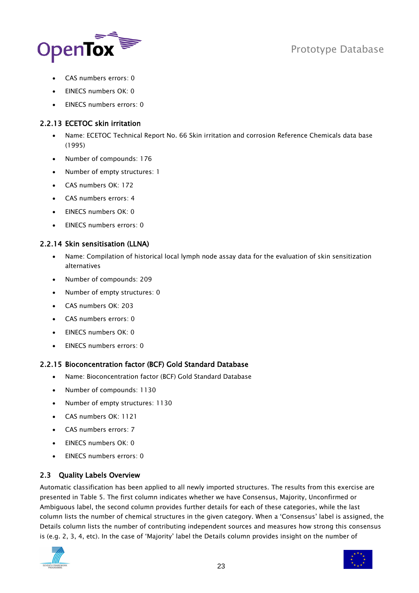

- CAS numbers errors: 0
- EINECS numbers OK: 0
- EINECS numbers errors: 0

### <span id="page-22-0"></span>2.2.13 ECETOC skin irritation

- Name: ECETOC Technical Report No. 66 Skin irritation and corrosion Reference Chemicals data base (1995)
- Number of compounds: 176
- Number of empty structures: 1
- CAS numbers OK: 172
- CAS numbers errors: 4
- EINECS numbers OK: 0
- EINECS numbers errors: 0

### <span id="page-22-1"></span>2.2.14 Skin sensitisation (LLNA)

- Name: Compilation of historical local lymph node assay data for the evaluation of skin sensitization alternatives
- Number of compounds: 209
- Number of empty structures: 0
- CAS numbers OK: 203
- CAS numbers errors: 0
- EINECS numbers OK: 0
- EINECS numbers errors: 0

### <span id="page-22-2"></span>2.2.15 Bioconcentration factor (BCF) Gold Standard Database

- Name: Bioconcentration factor (BCF) Gold Standard Database
- Number of compounds: 1130
- Number of empty structures: 1130
- CAS numbers OK: 1121
- CAS numbers errors: 7
- EINECS numbers OK: 0
- EINECS numbers errors: 0

### <span id="page-22-3"></span>2.3 Quality Labels Overview

Automatic classification has been applied to all newly imported structures. The results from this exercise are presented in [Table 5.](#page-23-0) The first column indicates whether we have Consensus, Majority, Unconfirmed or Ambiguous label, the second column provides further details for each of these categories, while the last column lists the number of chemical structures in the given category. When a "Consensus" label is assigned, the Details column lists the number of contributing independent sources and measures how strong this consensus is (e.g. 2, 3, 4, etc). In the case of "Majority" label the Details column provides insight on the number of



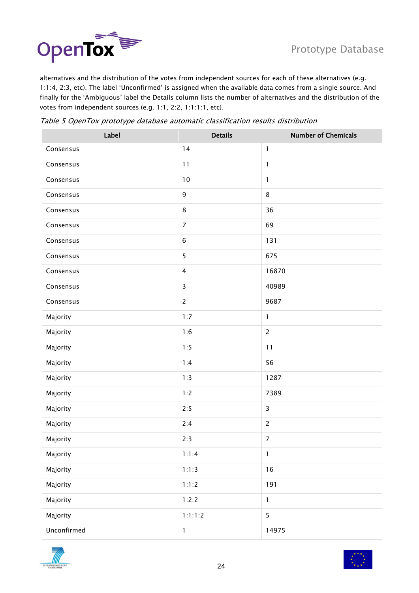

alternatives and the distribution of the votes from independent sources for each of these alternatives (e.g. 1:1:4, 2:3, etc). The label "Unconfirmed" is assigned when the available data comes from a single source. And finally for the "Ambiguous" label the Details column lists the number of alternatives and the distribution of the votes from independent sources (e.g. 1:1, 2:2, 1:1:1:1, etc).

<span id="page-23-0"></span>

| Table 5 OpenTox prototype database automatic classification results distribution |  |  |  |
|----------------------------------------------------------------------------------|--|--|--|
|----------------------------------------------------------------------------------|--|--|--|

| Label       | <b>Details</b> | <b>Number of Chemicals</b> |
|-------------|----------------|----------------------------|
| Consensus   | 14             | $\mathbf{1}$               |
| Consensus   | 11             | $\mathbf{1}$               |
| Consensus   | 10             | 1                          |
| Consensus   | $\mathsf 9$    | $\,8\,$                    |
| Consensus   | $\,8\,$        | 36                         |
| Consensus   | $\overline{7}$ | 69                         |
| Consensus   | $\,$ 6 $\,$    | 131                        |
| Consensus   | 5              | 675                        |
| Consensus   | $\overline{4}$ | 16870                      |
| Consensus   | $\overline{3}$ | 40989                      |
| Consensus   | $\overline{2}$ | 9687                       |
| Majority    | 1:7            | $\mathbf{1}$               |
| Majority    | 1:6            | $\overline{c}$             |
| Majority    | 1:5            | 11                         |
| Majority    | 1:4            | 56                         |
| Majority    | 1:3            | 1287                       |
| Majority    | 1:2            | 7389                       |
| Majority    | 2:5            | $\overline{3}$             |
| Majority    | 2:4            | $\overline{c}$             |
| Majority    | 2:3            | $\boldsymbol{7}$           |
| Majority    | 1:1:4          | $\mathbf 1$                |
| Majority    | 1:1:3          | 16                         |
| Majority    | 1:1:2          | 191                        |
| Majority    | 1:2:2          | $\mathbf{1}$               |
| Majority    | 1:1:1:2        | 5                          |
| Unconfirmed | $\mathsf{l}$   | 14975                      |



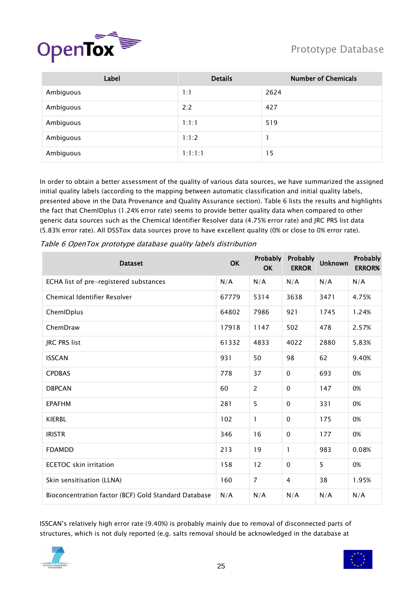

| Label     | <b>Details</b> | <b>Number of Chemicals</b> |
|-----------|----------------|----------------------------|
| Ambiguous | 1:1            | 2624                       |
| Ambiguous | 2:2            | 427                        |
| Ambiguous | 1:1:1          | 519                        |
| Ambiguous | 1:1:2          |                            |
| Ambiguous | 1:1:1:1        | 15                         |

In order to obtain a better assessment of the quality of various data sources, we have summarized the assigned initial quality labels (according to the mapping between automatic classification and initial quality labels, presented above in the Data Provenance [and Quality Assurance](#page-12-1) section). [Table 6](#page-24-0) lists the results and highlights the fact that ChemIDplus (1.24% error rate) seems to provide better quality data when compared to other generic data sources such as the Chemical Identifier Resolver data (4.75% error rate) and JRC PRS list data (5.83% error rate). All DSSTox data sources prove to have excellent quality (0% or close to 0% error rate).

| <b>Dataset</b>                                       | <b>OK</b> | Probably<br>OK | Probably<br><b>ERROR</b> | <b>Unknown</b> | Probably<br><b>ERROR%</b> |
|------------------------------------------------------|-----------|----------------|--------------------------|----------------|---------------------------|
| ECHA list of pre-registered substances               | N/A       | N/A            | N/A                      | N/A            | N/A                       |
| Chemical Identifier Resolver                         | 67779     | 5314           | 3638                     | 3471           | 4.75%                     |
| ChemIDplus                                           | 64802     | 7986           | 921                      | 1745           | 1.24%                     |
| ChemDraw                                             | 17918     | 1147           | 502                      | 478            | 2.57%                     |
| <b>JRC PRS list</b>                                  | 61332     | 4833           | 4022                     | 2880           | 5.83%                     |
| <b>ISSCAN</b>                                        | 931       | 50             | 98                       | 62             | 9.40%                     |
| <b>CPDBAS</b>                                        | 778       | 37             | $\mathbf 0$              | 693            | 0%                        |
| <b>DBPCAN</b>                                        | 60        | 2              | $\mathbf 0$              | 147            | 0%                        |
| <b>EPAFHM</b>                                        | 281       | 5              | $\mathbf 0$              | 331            | 0%                        |
| <b>KIERBL</b>                                        | 102       | 1              | $\pmb{0}$                | 175            | 0%                        |
| <b>IRISTR</b>                                        | 346       | 16             | $\mathbf 0$              | 177            | 0%                        |
| <b>FDAMDD</b>                                        | 213       | 19             | 1                        | 983            | 0.08%                     |
| <b>ECETOC</b> skin irritation                        | 158       | 12             | 0                        | 5              | 0%                        |
| Skin sensitisation (LLNA)                            | 160       | $\overline{7}$ | 4                        | 38             | 1.95%                     |
| Bioconcentration factor (BCF) Gold Standard Database | N/A       | N/A            | N/A                      | N/A            | N/A                       |

<span id="page-24-0"></span>Table 6 OpenTox prototype database quality labels distribution

ISSCAN"s relatively high error rate (9.40%) is probably mainly due to removal of disconnected parts of structures, which is not duly reported (e.g. salts removal should be acknowledged in the database at



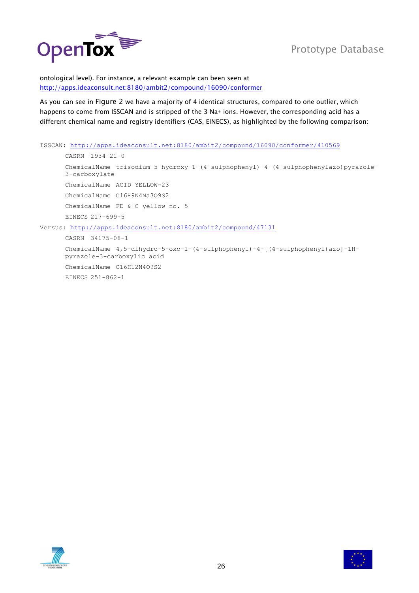

ontological level). For instance, a relevant example can been seen at <http://apps.ideaconsult.net:8180/ambit2/compound/16090/conformer>

As you can see in [Figure 2](#page-26-0) we have a majority of 4 identical structures, compared to one outlier, which happens to come from ISSCAN and is stripped of the 3 Na+ ions. However, the corresponding acid has a different chemical name and registry identifiers (CAS, EINECS), as highlighted by the following comparison:

```
ISSCAN: http://apps.ideaconsult.net:8180/ambit2/compound/16090/conformer/410569
      CASRN 1934-21-0
      ChemicalName trisodium 5-hydroxy-1-(4-sulphophenyl)-4-(4-sulphophenylazo)pyrazole-
      3-carboxylate
      ChemicalName ACID YELLOW-23
      ChemicalName C16H9N4Na3O9S2
      ChemicalName FD & C yellow no. 5
      EINECS 217-699-5
Versus: http://apps.ideaconsult.net:8180/ambit2/compound/47131
      CASRN 34175-08-1
      ChemicalName 4,5-dihydro-5-oxo-1-(4-sulphophenyl)-4-[(4-sulphophenyl)azo]-1H-
      pyrazole-3-carboxylic acid
      ChemicalName C16H12N4O9S2
```
EINECS 251-862-1



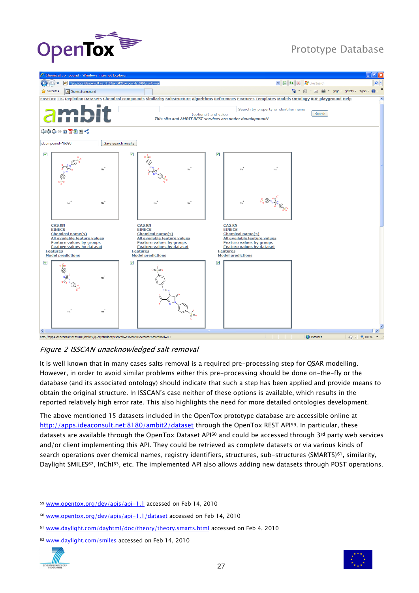



#### <span id="page-26-0"></span>Figure 2 ISSCAN unacknowledged salt removal

It is well known that in many cases salts removal is a required pre-processing step for QSAR modelling. However, in order to avoid similar problems either this pre-processing should be done on-the-fly or the database (and its associated ontology) should indicate that such a step has been applied and provide means to obtain the original structure. In ISSCAN"s case neither of these options is available, which results in the reported relatively high error rate. This also highlights the need for more detailed ontologies development.

The above mentioned 15 datasets included in the OpenTox prototype database are accessible online at <http://apps.ideaconsult.net:8180/ambit2/dataset> through the OpenTox REST API59. In particular, these datasets are available through the OpenTox Dataset API<sup>60</sup> and could be accessed through 3<sup>rd</sup> party web services and/or client implementing this API. They could be retrieved as complete datasets or via various kinds of search operations over chemical names, registry identifiers, structures, sub-structures (SMARTS)<sup>61</sup>, similarity, Daylight SMILES62, InChI63, etc. The implemented API also allows adding new datasets through POST operations.

<sup>62</sup> [www.daylight.com/smiles](http://www.daylight.com/smiles/) accessed on Feb 14, 2010





<sup>59</sup> [www.opentox.org/dev/apis/api-1.1](http://www.opentox.org/dev/apis/api-1.1) accessed on Feb 14, 2010

<sup>60</sup> [www.opentox.org/dev/apis/api-1.1/dataset](http://www.opentox.org/dev/apis/api-1.1/dataset) accessed on Feb 14, 2010

<sup>61</sup> [www.daylight.com/dayhtml/doc/theory/theory.smarts.html](http://www.daylight.com/dayhtml/doc/theory/theory.smarts.html) accessed on Feb 4, 2010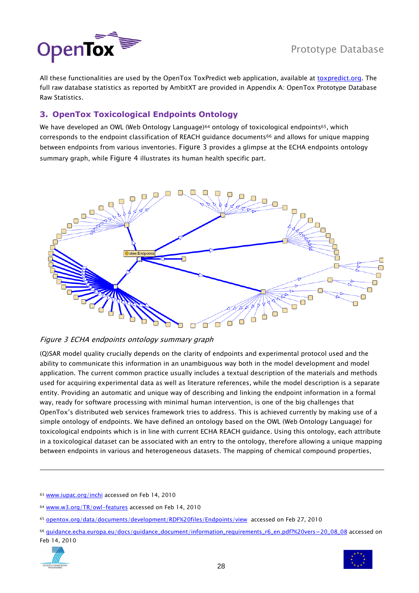

All these functionalities are used by the OpenTox ToxPredict web application, available at [toxpredict.org.](http://toxpredict.org/) The full raw database statistics as reported by AmbitXT are provided in [Appendix A: OpenTox Prototype Database](#page-31-0)  [Raw Statistics.](#page-31-0)

### <span id="page-27-0"></span>**3. OpenTox Toxicological Endpoints Ontology**

We have developed an OWL (Web Ontology Language)<sup>64</sup> ontology of toxicological endpoints<sup>65</sup>, which corresponds to the endpoint classification of REACH guidance documents<sup>66</sup> and allows for unique mapping between endpoints from various inventories. [Figure 3](#page-27-1) provides a glimpse at the ECHA endpoints ontology summary graph, while [Figure 4](#page-28-0) illustrates its human health specific part.



#### <span id="page-27-1"></span>Figure 3 ECHA endpoints ontology summary graph

(Q)SAR model quality crucially depends on the clarity of endpoints and experimental protocol used and the ability to communicate this information in an unambiguous way both in the model development and model application. The current common practice usually includes a textual description of the materials and methods used for acquiring experimental data as well as literature references, while the model description is a separate entity. Providing an automatic and unique way of describing and linking the endpoint information in a formal way, ready for software processing with minimal human intervention, is one of the big challenges that OpenTox"s distributed web services framework tries to address. This is achieved currently by making use of a simple ontology of endpoints. We have defined an ontology based on the OWL (Web Ontology Language) for toxicological endpoints which is in line with current ECHA REACH guidance. Using this ontology, each attribute in a toxicological dataset can be associated with an entry to the ontology, therefore allowing a unique mapping between endpoints in various and heterogeneous datasets. The mapping of chemical compound properties,

<sup>66</sup> [guidance.echa.europa.eu/docs/guidance\\_document/information\\_requirements\\_r6\\_en.pdf?%20vers=20\\_08\\_08](http://guidance.echa.europa.eu/docs/guidance_document/information_requirements_r6_en.pdf?%20vers=20_08_08) accessed on Feb 14, 2010





<sup>63</sup> [www.iupac.org/inchi](http://www.iupac.org/inchi/) accessed on Feb 14, 2010

<sup>64</sup> [www.w3.org/TR/owl-features](http://www.w3.org/TR/owl-features) accessed on Feb 14, 2010

<sup>65</sup> [opentox.org/data/documents/development/RDF%20files/Endpoints/view](http://opentox.org/data/documents/development/RDF%20files/Endpoints/view) accessed on Feb 27, 2010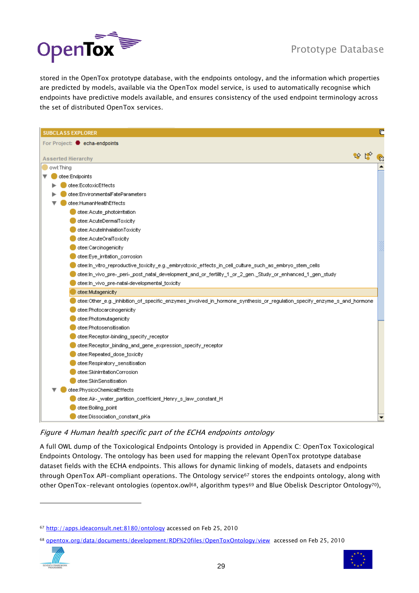

stored in the OpenTox prototype database, with the endpoints ontology, and the information which properties are predicted by models, available via the OpenTox model service, is used to automatically recognise which endpoints have predictive models available, and ensures consistency of the used endpoint terminology across the set of distributed OpenTox services.

| <b>SUBCLASS EXPLORER</b>                                                                                                |  | ╔ |
|-------------------------------------------------------------------------------------------------------------------------|--|---|
| For Project: echa-endpoints                                                                                             |  |   |
|                                                                                                                         |  |   |
| <b>Asserted Hierarchy</b>                                                                                               |  |   |
| owl:Thing                                                                                                               |  |   |
| otee:Endpoints                                                                                                          |  |   |
| otee:EcotoxicEffects                                                                                                    |  |   |
| otee:EnvironmentalFateParameters                                                                                        |  |   |
| otee:HumanHealthEffects                                                                                                 |  |   |
| otee: Acute_photoirritation                                                                                             |  |   |
| otee: AcuteDermalToxicity                                                                                               |  |   |
| otee: AcutelnhalationToxicity                                                                                           |  |   |
| otee: AcuteOralToxicity                                                                                                 |  |   |
| otee:Carcinogenicity<br>otee:Eye_irritation_corrosion                                                                   |  |   |
| otee:In_vitro_reproductive_toxicity_e.g._embryotoxic_effects_in_cell_culture_such_as_embryo_stem_cells                  |  |   |
| otee:In_vivo_pre-_peri-_post_natal_development_and_or_fertility_1_or_2_gen._Study_or_enhanced_1_gen_study               |  |   |
| otee:In_vivo_pre-natal-developmental_toxicity                                                                           |  |   |
| otee:Mutagenicity                                                                                                       |  |   |
| otee:Other_e.g._inhibition_of_specific_enzymes_involved_in_hormone_synthesis_or_regulation_specify_enzyme_s_and_hormone |  |   |
| otee:Photocarcinogenicity                                                                                               |  |   |
| otee:Photomutagenicity                                                                                                  |  |   |
| otee:Photosensitisation                                                                                                 |  |   |
| otee:Receptor-binding_specify_receptor                                                                                  |  |   |
| otee:Receptor_binding_and_gene_expression_specify_receptor                                                              |  |   |
| otee:Repeated_dose_toxicity                                                                                             |  |   |
| otee:Respiratory_sensitisation                                                                                          |  |   |
| otee:SkinlrritationCorrosion                                                                                            |  |   |
| otee:SkinSensitisation                                                                                                  |  |   |
| otee:PhysicoChemicalEffects                                                                                             |  |   |
| otee:Air-_water_partition_coefficient_Henry_s_law_constant_H                                                            |  |   |
| otee:Boiling_point                                                                                                      |  |   |
| otee:Dissociation_constant_pKa                                                                                          |  |   |
|                                                                                                                         |  |   |

#### <span id="page-28-0"></span>Figure 4 Human health specific part of the ECHA endpoints ontology

A full OWL dump of the Toxicological Endpoints Ontology is provided in Appendix C: [OpenTox Toxicological](#page-59-0)  [Endpoints](#page-59-0) Ontology. The ontology has been used for mapping the relevant OpenTox prototype database dataset fields with the ECHA endpoints. This allows for dynamic linking of models, datasets and endpoints through OpenTox API-compliant operations. The Ontology service<sup>67</sup> stores the endpoints ontology, along with other OpenTox-relevant ontologies (opentox.owl<sup>68</sup>, algorithm types<sup>69</sup> and Blue Obelisk Descriptor Ontology<sup>70</sup>),

<sup>68</sup> [opentox.org/data/documents/development/RDF%20files/OpenToxOntology/view](http://opentox.org/data/documents/development/RDF%20files/OpenToxOntology/view) accessed on Feb 25, 2010





<sup>67</sup> <http://apps.ideaconsult.net:8180/ontology> accessed on Feb 25, 2010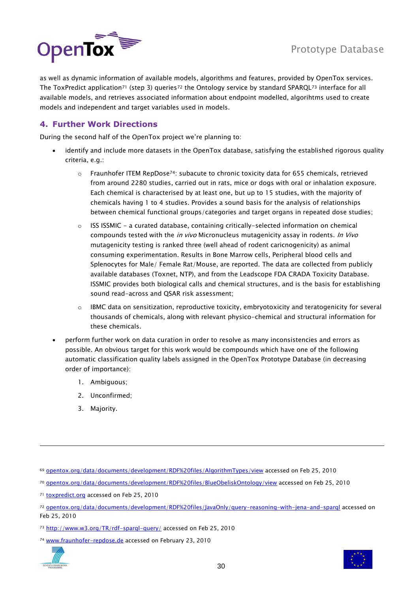

as well as dynamic information of available models, algorithms and features, provided by OpenTox services. The ToxPredict application<sup>71</sup> (step 3) queries<sup>72</sup> the Ontology service by standard SPARQL<sup>73</sup> interface for all available models, and retrieves associated information about endpoint modelled, algorihtms used to create models and independent and target variables used in models.

### <span id="page-29-0"></span>**4. Further Work Directions**

During the second half of the OpenTox project we're planning to:

- identify and include more datasets in the OpenTox database, satisfying the established rigorous quality criteria, e.g.:
	- $\circ$  Fraunhofer ITEM RepDose<sup>74</sup>: subacute to chronic toxicity data for 655 chemicals, retrieved from around 2280 studies, carried out in rats, mice or dogs with oral or inhalation exposure. Each chemical is characterised by at least one, but up to 15 studies, with the majority of chemicals having 1 to 4 studies. Provides a sound basis for the analysis of relationships between chemical functional groups/categories and target organs in repeated dose studies;
	- o ISS ISSMIC a curated database, containing critically-selected information on chemical compounds tested with the in vivo Micronucleus mutagenicity assay in rodents. In Vivo mutagenicity testing is ranked three (well ahead of rodent caricnogenicity) as animal consuming experimentation. Results in Bone Marrow cells, Peripheral blood cells and Splenocytes for Male/ Female Rat/Mouse, are reported. The data are collected from publicly available databases (Toxnet, NTP), and from the Leadscope FDA CRADA Toxicity Database. ISSMIC provides both biological calls and chemical structures, and is the basis for establishing sound read-across and QSAR risk assessment;
	- $\circ$  IBMC data on sensitization, reproductive toxicity, embryotoxicity and teratogenicity for several thousands of chemicals, along with relevant physico-chemical and structural information for these chemicals.
- perform further work on data curation in order to resolve as many inconsistencies and errors as possible. An obvious target for this work would be compounds which have one of the following automatic classification quality labels assigned in the OpenTox Prototype Database (in decreasing order of importance):
	- 1. Ambiguous;
	- 2. Unconfirmed;
	- 3. Majority.
- <sup>69</sup> [opentox.org/data/documents/development/RDF%20files/AlgorithmTypes/view](http://opentox.org/data/documents/development/RDF%20files/AlgorithmTypes/view) accessed on Feb 25, 2010
- <sup>70</sup> [opentox.org/data/documents/development/RDF%20files/BlueObeliskOntology/view](http://opentox.org/data/documents/development/RDF%20files/BlueObeliskOntology/view) accessed on Feb 25, 2010

<sup>74</sup> [www.fraunhofer-repdose.de](http://www.fraunhofer-repdose.de/) accessed on February 23, 2010





<sup>71</sup> [toxpredict.org](http://toxpredict.org/) accessed on Feb 25, 2010

<sup>72</sup> [opentox.org/data/documents/development/RDF%20files/JavaOnly/query-reasoning-with-jena-and-sparql](http://opentox.org/data/documents/development/RDF%20files/JavaOnly/query-reasoning-with-jena-and-sparql) accessed on Feb 25, 2010

<sup>73</sup> <http://www.w3.org/TR/rdf-sparql-query/> accessed on Feb 25, 2010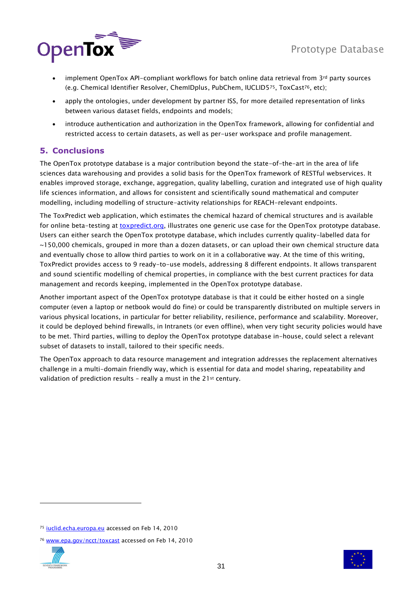

- implement OpenTox API-compliant workflows for batch online data retrieval from 3rd party sources (e.g. Chemical Identifier Resolver, ChemIDplus, PubChem, IUCLID575, ToxCast76, etc);
- apply the ontologies, under development by partner ISS, for more detailed representation of links between various dataset fields, endpoints and models;
- introduce authentication and authorization in the OpenTox framework, allowing for confidential and restricted access to certain datasets, as well as per-user workspace and profile management.

### <span id="page-30-0"></span>**5. Conclusions**

The OpenTox prototype database is a major contribution beyond the state-of-the-art in the area of life sciences data warehousing and provides a solid basis for the OpenTox framework of RESTful webservices. It enables improved storage, exchange, aggregation, quality labelling, curation and integrated use of high quality life sciences information, and allows for consistent and scientifically sound mathematical and computer modelling, including modelling of structure-activity relationships for REACH-relevant endpoints.

The ToxPredict web application, which estimates the chemical hazard of chemical structures and is available for online beta-testing at **toxpredict.org**, illustrates one generic use case for the OpenTox prototype database. Users can either search the OpenTox prototype database, which includes currently quality-labelled data for ~150,000 chemicals, grouped in more than a dozen datasets, or can upload their own chemical structure data and eventually chose to allow third parties to work on it in a collaborative way. At the time of this writing, ToxPredict provides access to 9 ready-to-use models, addressing 8 different endpoints. It allows transparent and sound scientific modelling of chemical properties, in compliance with the best current practices for data management and records keeping, implemented in the OpenTox prototype database.

Another important aspect of the OpenTox prototype database is that it could be either hosted on a single computer (even a laptop or netbook would do fine) or could be transparently distributed on multiple servers in various physical locations, in particular for better reliability, resilience, performance and scalability. Moreover, it could be deployed behind firewalls, in Intranets (or even offline), when very tight security policies would have to be met. Third parties, willing to deploy the OpenTox prototype database in-house, could select a relevant subset of datasets to install, tailored to their specific needs.

The OpenTox approach to data resource management and integration addresses the replacement alternatives challenge in a multi-domain friendly way, which is essential for data and model sharing, repeatability and validation of prediction results - really a must in the 21<sup>st</sup> century.

<sup>76</sup> [www.epa.gov/ncct/toxcast](http://www.epa.gov/ncct/toxcast) accessed on Feb 14, 2010





<sup>75</sup> [iuclid.echa.europa.eu](http://iuclid.echa.europa.eu/) accessed on Feb 14, 2010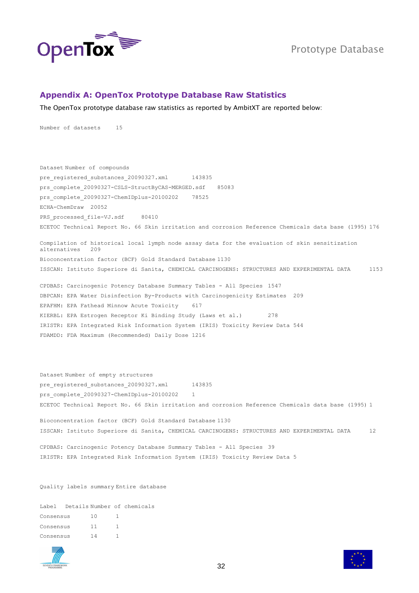

#### <span id="page-31-0"></span>**Appendix A: OpenTox Prototype Database Raw Statistics**

The OpenTox prototype database raw statistics as reported by AmbitXT are reported below:

Number of datasets 15

Dataset Number of compounds pre\_registered\_substances\_20090327.xml 143835 prs\_complete\_20090327-CSLS-StructByCAS-MERGED.sdf 85083 prs\_complete\_20090327-ChemIDplus-20100202 78525 ECHA-ChemDraw 20052 PRS processed file-VJ.sdf 80410 ECETOC Technical Report No. 66 Skin irritation and corrosion Reference Chemicals data base (1995) 176

Compilation of historical local lymph node assay data for the evaluation of skin sensitization alternatives 209 Bioconcentration factor (BCF) Gold Standard Database 1130 ISSCAN: Istituto Superiore di Sanita, CHEMICAL CARCINOGENS: STRUCTURES AND EXPERIMENTAL DATA 1153

CPDBAS: Carcinogenic Potency Database Summary Tables - All Species 1547 DBPCAN: EPA Water Disinfection By-Products with Carcinogenicity Estimates 209 EPAFHM: EPA Fathead Minnow Acute Toxicity 617 KIERBL: EPA Estrogen Receptor Ki Binding Study (Laws et al.) 278 IRISTR: EPA Integrated Risk Information System (IRIS) Toxicity Review Data 544 FDAMDD: FDA Maximum (Recommended) Daily Dose 1216

Dataset Number of empty structures pre registered substances 20090327.xml 143835 prs complete 20090327-ChemIDplus-20100202 1 ECETOC Technical Report No. 66 Skin irritation and corrosion Reference Chemicals data base (1995) 1

Bioconcentration factor (BCF) Gold Standard Database 1130 ISSCAN: Istituto Superiore di Sanita, CHEMICAL CARCINOGENS: STRUCTURES AND EXPERIMENTAL DATA 12

CPDBAS: Carcinogenic Potency Database Summary Tables - All Species 39 IRISTR: EPA Integrated Risk Information System (IRIS) Toxicity Review Data 5

Quality labels summary Entire database

Label Details Number of chemicals Consensus 10 1 Consensus 11 1 Consensus 14 1



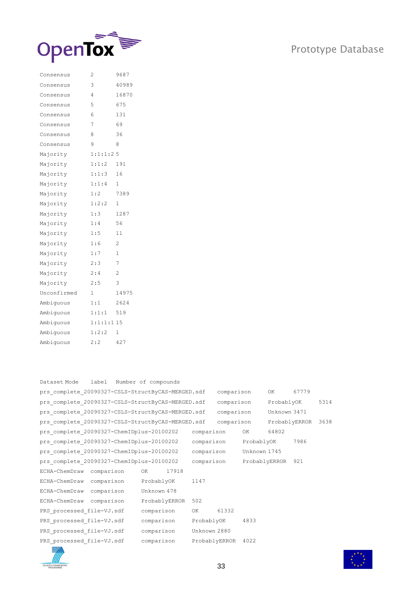

| Consensus   | 2         | 9687           |
|-------------|-----------|----------------|
| Consensus   | 3         | 40989          |
| Consensus   | 4         | 16870          |
| Consensus   | 5         | 675            |
| Consensus   | 6         | 131            |
| Consensus   | 7         | 69             |
| Consensus   | 8         | 36             |
| Consensus   | 9         | 8              |
| Majority    | 1:1:1:2:5 |                |
| Majority    | 1:1:2     | 191            |
| Majority    | 1:1:3     | 16             |
| Majority    | 1:1:4     | 1              |
| Majority    | 1:2       | 7389           |
| Majority    | 1:2:2     | 1              |
| Majority    | 1:3       | 1287           |
| Majority    | 1:4       | 56             |
| Majority    | 1:5       | 11             |
| Majority    | 1:6       | 2              |
| Majority    | 1:7       | 1              |
| Majority    | 2:3       | 7              |
| Majority    | 2:4       | $\overline{c}$ |
| Majority    | 2:5       | 3              |
| Unconfirmed | 1         | 14975          |
| Ambiguous   | 1:1       | 2624           |
| Ambiquous   | 1:1:1     | 519            |
| Ambiquous   | 1:1:1:1:1 |                |
| Ambiguous   | 1:2:2     | 1              |
| Ambiquous   | 2:2       | 427            |

| label<br>Dataset Mode                             | Number of compounds |               |               |               |       |      |
|---------------------------------------------------|---------------------|---------------|---------------|---------------|-------|------|
| prs complete 20090327-CSLS-StructByCAS-MERGED.sdf |                     |               | comparison    | OK            | 67779 |      |
| prs complete 20090327-CSLS-StructByCAS-MERGED.sdf |                     |               | comparison    | ProbablyOK    |       | 5314 |
| prs complete 20090327-CSLS-StructByCAS-MERGED.sdf |                     |               | comparison    | Unknown 3471  |       |      |
| prs complete 20090327-CSLS-StructByCAS-MERGED.sdf |                     |               | comparison    | ProbablyERROR |       | 3638 |
| prs complete 20090327-ChemIDplus-20100202         |                     | comparison    | OK.           | 64802         |       |      |
| prs complete 20090327-ChemIDplus-20100202         |                     | comparison    | ProbablyOK    |               | 7986  |      |
| prs complete 20090327-ChemIDplus-20100202         |                     | comparison    | Unknown 1745  |               |       |      |
| prs complete 20090327-ChemIDplus-20100202         |                     | comparison    | ProbablyERROR |               | 921   |      |
| comparison<br>ECHA-ChemDraw                       | 17918<br>OK         |               |               |               |       |      |
| ECHA-ChemDraw comparison                          | ProbablyOK          | 1147          |               |               |       |      |
| ECHA-ChemDraw comparison                          | Unknown 478         |               |               |               |       |      |
| ECHA-ChemDraw comparison                          | ProbablyERROR       | 502           |               |               |       |      |
| PRS processed file-VJ.sdf                         | comparison          | OK            | 61332         |               |       |      |
| PRS processed file-VJ.sdf                         | comparison          | ProbablyOK    | 4833          |               |       |      |
| PRS processed file-VJ.sdf                         | comparison          | Unknown 2880  |               |               |       |      |
| PRS processed file-VJ.sdf                         | comparison          | ProbablyERROR | 4022          |               |       |      |
| $\equiv$                                          |                     |               |               |               |       |      |



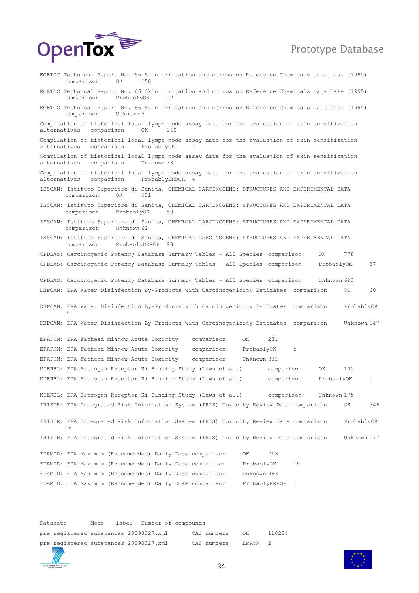

ECETOC Technical Report No. 66 Skin irritation and corrosion Reference Chemicals data base (1995) comparison ECETOC Technical Report No. 66 Skin irritation and corrosion Reference Chemicals data base (1995) comparison ProbablyOK 12 ECETOC Technical Report No. 66 Skin irritation and corrosion Reference Chemicals data base (1995) comparison Unknown 5 Compilation of historical local lymph node assay data for the evaluation of skin sensitization alternatives comparison OK 160 Compilation of historical local lymph node assay data for the evaluation of skin sensitization alternatives comparison ProbablyOK Compilation of historical local lymph node assay data for the evaluation of skin sensitization alternatives comparison Unknown 38 Compilation of historical local lymph node assay data for the evaluation of skin sensitization alternatives comparison ProbablyERROR 4 ISSCAN: Istituto Superiore di Sanita, CHEMICAL CARCINOGENS: STRUCTURES AND EXPERIMENTAL DATA comparison OK ISSCAN: Istituto Superiore di Sanita, CHEMICAL CARCINOGENS: STRUCTURES AND EXPERIMENTAL DATA comparison ProbablyOK ISSCAN: Istituto Superiore di Sanita, CHEMICAL CARCINOGENS: STRUCTURES AND EXPERIMENTAL DATA comparison Unknown 62 ISSCAN: Istituto Superiore di Sanita, CHEMICAL CARCINOGENS: STRUCTURES AND EXPERIMENTAL DATA comparison ProbablyERROR 98 CPDBAS: Carcinogenic Potency Database Summary Tables - All Species comparison OK 778 CPDBAS: Carcinogenic Potency Database Summary Tables - All Species comparison ProbablyOK 37 CPDBAS: Carcinogenic Potency Database Summary Tables - All Species comparison Unknown 693 DBPCAN: EPA Water Disinfection By-Products with Carcinogenicity Estimates comparison OK 60 DBPCAN: EPA Water Disinfection By-Products with Carcinogenicity Estimates comparison ProbablyOK 2 DBPCAN: EPA Water Disinfection By-Products with Carcinogenicity Estimates comparison Unknown 147 EPAFHM: EPA Fathead Minnow Acute Toxicity comparison OK 281 EPAFHM: EPA Fathead Minnow Acute Toxicity comparison ProbablyOK 5 EPAFHM: EPA Fathead Minnow Acute Toxicity comparison Unknown 331 KIERBL: EPA Estrogen Receptor Ki Binding Study (Laws et al.) comparison OK 102 KIERBL: EPA Estrogen Receptor Ki Binding Study (Laws et al.) comparison ProbablyOK 1 KIERBL: EPA Estrogen Receptor Ki Binding Study (Laws et al.) comparison Unknown 175 IRISTR: EPA Integrated Risk Information System (IRIS) Toxicity Review Data comparison OK 346 IRISTR: EPA Integrated Risk Information System (IRIS) Toxicity Review Data comparison ProbablyOK 16 IRISTR: EPA Integrated Risk Information System (IRIS) Toxicity Review Data comparison Unknown 177 FDAMDD: FDA Maximum (Recommended) Daily Dose comparison OK 213 FDAMDD: FDA Maximum (Recommended) Daily Dose comparison ProbablyOK 19 FDAMDD: FDA Maximum (Recommended) Daily Dose comparison Unknown 983 FDAMDD: FDA Maximum (Recommended) Daily Dose comparison ProbablyERROR 1

Datasets Mode label Number of compounds pre registered substances 20090327.xml CAS numbers OK 118284 pre registered substances 20090327.xml CAS numbers ERROR 2

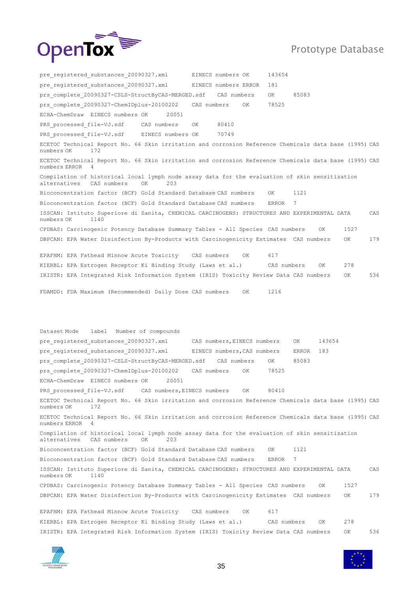

pre registered substances 20090327.xml EINECS numbers OK 143654 pre registered substances 20090327.xml EINECS numbers ERROR 181 prs complete 20090327-CSLS-StructByCAS-MERGED.sdf CAS numbers OK 85083 prs\_complete\_20090327-ChemIDplus-20100202 CAS numbers OK 78525 ECHA-ChemDraw EINECS numbers OK 20051 PRS processed file-VJ.sdf CAS numbers OK 80410 PRS processed file-VJ.sdf EINECS numbers OK 70749 ECETOC Technical Report No. 66 Skin irritation and corrosion Reference Chemicals data base (1995) CAS numbers OK 172 ECETOC Technical Report No. 66 Skin irritation and corrosion Reference Chemicals data base (1995) CAS numbers ERROR 4 Compilation of historical local lymph node assay data for the evaluation of skin sensitization alternatives CAS numbers OK 203 Bioconcentration factor (BCF) Gold Standard Database CAS numbers OK 1121 Bioconcentration factor (BCF) Gold Standard Database CAS numbers ERROR 7 ISSCAN: Istituto Superiore di Sanita, CHEMICAL CARCINOGENS: STRUCTURES AND EXPERIMENTAL DATA CAS numbers OK 1140 CPDBAS: Carcinogenic Potency Database Summary Tables - All Species CAS numbers OK 1527 DBPCAN: EPA Water Disinfection By-Products with Carcinogenicity Estimates CAS numbers 0K 179 EPAFHM: EPA Fathead Minnow Acute Toxicity CAS numbers OK 617 KIERBL: EPA Estrogen Receptor Ki Binding Study (Laws et al.) CAS numbers OK 278 IRISTR: EPA Integrated Risk Information System (IRIS) Toxicity Review Data CAS numbers OK 536 FDAMDD: FDA Maximum (Recommended) Daily Dose CAS numbers OK 1216 Dataset Mode label Number of compounds pre registered substances 20090327.xml CAS numbers, EINECS numbers OK 143654 pre registered substances 20090327.xml EINECS numbers, CAS numbers ERROR 183 prs complete 20090327-CSLS-StructByCAS-MERGED.sdf CAS numbers OK 85083 prs\_complete\_20090327-ChemIDplus-20100202 CAS numbers OK 78525 ECHA-ChemDraw EINECS numbers OK 20051 PRS\_processed\_file-VJ.sdf CAS numbers, EINECS numbers OK 80410 ECETOC Technical Report No. 66 Skin irritation and corrosion Reference Chemicals data base (1995) CAS numbers OK 172 ECETOC Technical Report No. 66 Skin irritation and corrosion Reference Chemicals data base (1995) CAS numbers ERROR 4 Compilation of historical local lymph node assay data for the evaluation of skin sensitization alternatives CAS numbers OK 203 Bioconcentration factor (BCF) Gold Standard Database CAS numbers OK 1121 Bioconcentration factor (BCF) Gold Standard Database CAS numbers ERROR 7 ISSCAN: Istituto Superiore di Sanita, CHEMICAL CARCINOGENS: STRUCTURES AND EXPERIMENTAL DATA CAS numbers OK 1140 CPDBAS: Carcinogenic Potency Database Summary Tables - All Species CAS numbers OK 1527 DBPCAN: EPA Water Disinfection By-Products with Carcinogenicity Estimates CAS numbers OK 179 EPAFHM: EPA Fathead Minnow Acute Toxicity CAS numbers OK 617 KIERBL: EPA Estrogen Receptor Ki Binding Study (Laws et al.) CAS numbers OK 278 IRISTR: EPA Integrated Risk Information System (IRIS) Toxicity Review Data CAS numbers OK 536



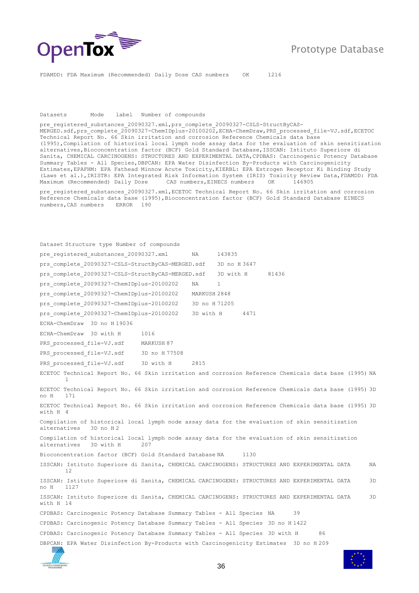

FDAMDD: FDA Maximum (Recommended) Daily Dose CAS numbers OK 1216

#### Datasets Mode label Number of compounds

pre registered substances 20090327.xml,prs complete 20090327-CSLS-StructByCAS-MERGED.sdf,prs\_complete\_20090327-ChemIDplus-20100202,ECHA-ChemDraw,PRS\_processed\_file-VJ.sdf,ECETOC\_ Technical Report No. 66 Skin irritation and corrosion Reference Chemicals data base (1995),Compilation of historical local lymph node assay data for the evaluation of skin sensitization alternatives,Bioconcentration factor (BCF) Gold Standard Database,ISSCAN: Istituto Superiore di Sanita, CHEMICAL CARCINOGENS: STRUCTURES AND EXPERIMENTAL DATA,CPDBAS: Carcinogenic Potency Database Summary Tables - All Species, DBPCAN: EPA Water Disinfection By-Products with Carcinogenicity Estimates,EPAFHM: EPA Fathead Minnow Acute Toxicity,KIERBL: EPA Estrogen Receptor Ki Binding Study (Laws et al.),IRISTR: EPA Integrated Risk Information System (IRIS) Toxicity Review Data,FDAMDD: FDA Maximum (Recommended) Daily Dose CAS numbers,EINECS numbers OK 146905

pre registered substances 20090327.xml, ECETOC Technical Report No. 66 Skin irritation and corrosion Reference Chemicals data base (1995), Bioconcentration factor (BCF) Gold Standard Database EINECS numbers,CAS numbers ERROR 190

Dataset Structure type Number of compounds pre registered substances 20090327.xml NA 143835 prs complete 20090327-CSLS-StructByCAS-MERGED.sdf 3D no H 3647 prs complete 20090327-CSLS-StructByCAS-MERGED.sdf 3D with H 81436 prs complete 20090327-ChemIDplus-20100202 NA 1 prs\_complete\_20090327-ChemIDplus-20100202 MARKUSH 2848 prs\_complete\_20090327-ChemIDplus-20100202 3D no H 71205 prs\_complete\_20090327-ChemIDplus-20100202 3D with H 4471 ECHA-ChemDraw 3D no H 19036 ECHA-ChemDraw 3D with H 1016 PRS\_processed\_file-VJ.sdf MARKUSH 87 PRS processed file-VJ.sdf 3D no H 77508 PRS processed file-VJ.sdf 3D with H 2815 ECETOC Technical Report No. 66 Skin irritation and corrosion Reference Chemicals data base (1995) NA 1 ECETOC Technical Report No. 66 Skin irritation and corrosion Reference Chemicals data base (1995) 3D no H 171 ECETOC Technical Report No. 66 Skin irritation and corrosion Reference Chemicals data base (1995) 3D with H 4 Compilation of historical local lymph node assay data for the evaluation of skin sensitization alternatives 3D no H 2 Compilation of historical local lymph node assay data for the evaluation of skin sensitization alternatives 3D with H 207 Bioconcentration factor (BCF) Gold Standard Database NA 1130 ISSCAN: Istituto Superiore di Sanita, CHEMICAL CARCINOGENS: STRUCTURES AND EXPERIMENTAL DATA NA 12 ISSCAN: Istituto Superiore di Sanita, CHEMICAL CARCINOGENS: STRUCTURES AND EXPERIMENTAL DATA 3D no H 1127 ISSCAN: Istituto Superiore di Sanita, CHEMICAL CARCINOGENS: STRUCTURES AND EXPERIMENTAL DATA 3D with H 14 CPDBAS: Carcinogenic Potency Database Summary Tables - All Species NA 39 CPDBAS: Carcinogenic Potency Database Summary Tables - All Species 3D no H 1422 CPDBAS: Carcinogenic Potency Database Summary Tables - All Species 3D with H 86 DBPCAN: EPA Water Disinfection By-Products with Carcinogenicity Estimates 3D no H 209

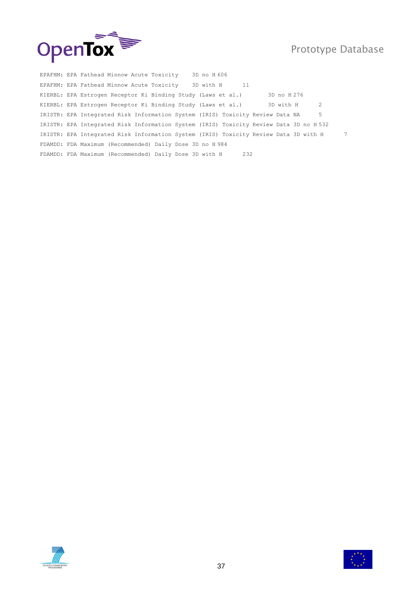



EPAFHM: EPA Fathead Minnow Acute Toxicity 3D no H 606 EPAFHM: EPA Fathead Minnow Acute Toxicity 3D with H 11 KIERBL: EPA Estrogen Receptor Ki Binding Study (Laws et al.) 3D no H 276 KIERBL: EPA Estrogen Receptor Ki Binding Study (Laws et al.) 3D with H 2 IRISTR: EPA Integrated Risk Information System (IRIS) Toxicity Review Data NA 5 IRISTR: EPA Integrated Risk Information System (IRIS) Toxicity Review Data 3D no H 532 IRISTR: EPA Integrated Risk Information System (IRIS) Toxicity Review Data 3D with H 7 FDAMDD: FDA Maximum (Recommended) Daily Dose 3D no H 984 FDAMDD: FDA Maximum (Recommended) Daily Dose 3D with H 232



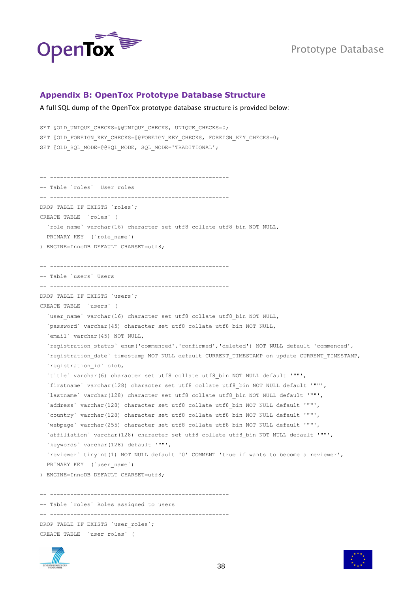

#### <span id="page-37-0"></span>**Appendix B: OpenTox Prototype Database Structure**

#### A full SQL dump of the OpenTox prototype database structure is provided below:

```
SET @OLD_UNIQUE_CHECKS=@@UNIQUE_CHECKS, UNIQUE_CHECKS=0;
SET @OLD FOREIGN KEY CHECKS=@@FOREIGN KEY CHECKS, FOREIGN KEY CHECKS=0;
SET @OLD SQL MODE=@@SQL MODE, SQL MODE='TRADITIONAL';
-- -----------------------------------------------------
-- Table `roles` User roles
-- -----------------------------------------------------
DROP TABLE IF EXISTS `roles`;
CREATE TABLE `roles` (
  `role name` varchar(16) character set utf8 collate utf8 bin NOT NULL,
 PRIMARY KEY (`role name`)
) ENGINE=InnoDB DEFAULT CHARSET=utf8;
-- -----------------------------------------------------
-- Table `users` Users
-- -----------------------------------------------------
DROP TABLE IF EXISTS `users`;
CREATE TABLE `users` (
  `user name` varchar(16) character set utf8 collate utf8 bin NOT NULL,
 `password` varchar(45) character set utf8 collate utf8 bin NOT NULL,
  `email` varchar(45) NOT NULL,
   `registration_status` enum('commenced','confirmed','deleted') NOT NULL default 'commenced',
  `registration date` timestamp NOT NULL default CURRENT TIMESTAMP on update CURRENT TIMESTAMP,
  `registration id` blob,
   `title` varchar(6) character set utf8 collate utf8_bin NOT NULL default '""',
   `firstname` varchar(128) character set utf8 collate utf8_bin NOT NULL default '""',
   `lastname` varchar(128) character set utf8 collate utf8_bin NOT NULL default '""',
  `address` varchar(128) character set utf8 collate utf8 bin NOT NULL default '""',
   `country` varchar(128) character set utf8 collate utf8_bin NOT NULL default '""',
   `webpage` varchar(255) character set utf8 collate utf8_bin NOT NULL default '""',
   `affiliation` varchar(128) character set utf8 collate utf8_bin NOT NULL default '""',
   `keywords` varchar(128) default '""',
   `reviewer` tinyint(1) NOT NULL default '0' COMMENT 'true if wants to become a reviewer',
  PRIMARY KEY ('user name')
) ENGINE=InnoDB DEFAULT CHARSET=utf8;
   -- -----------------------------------------------------
-- Table `roles` Roles assigned to users
-- -----------------------------------------------------
DROP TABLE IF EXISTS `user roles`;
CREATE TABLE `user_roles` (
```


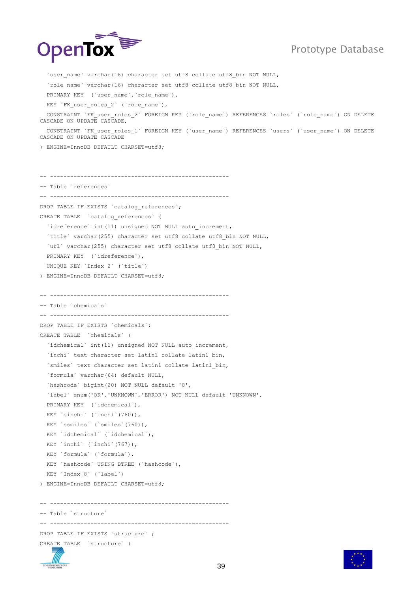

`user name` varchar(16) character set utf8 collate utf8 bin NOT NULL, `role\_name` varchar(16) character set utf8 collate utf8\_bin NOT NULL, PRIMARY KEY (`user\_name`, `role\_name`), KEY `FK user roles 2` (`role name`), CONSTRAINT `FK\_user\_roles\_2` FOREIGN KEY (`role\_name`) REFERENCES `roles` (`role\_name`) ON DELETE CASCADE ON UPDATE CASCADE, CONSTRAINT `FK\_user\_roles\_1` FOREIGN KEY (`user\_name`) REFERENCES `users` (`user\_name`) ON DELETE CASCADE ON UPDATE CASCADE ) ENGINE=InnoDB DEFAULT CHARSET=utf8; -- ----------------------------------------------------- -- Table `references` -- ----------------------------------------------------- DROP TABLE IF EXISTS `catalog references`; CREATE TABLE `catalog\_references` ( `idreference` int(11) unsigned NOT NULL auto increment, `title` varchar(255) character set utf8 collate utf8 bin NOT NULL, `url` varchar(255) character set utf8 collate utf8 bin NOT NULL, PRIMARY KEY (`idreference`), UNIQUE KEY `Index\_2` (`title`) ) ENGINE=InnoDB DEFAULT CHARSET=utf8; -- ----------------------------------------------------- -- Table `chemicals` -- ----------------------------------------------------- DROP TABLE IF EXISTS `chemicals`; CREATE TABLE `chemicals` ( `idchemical` int(11) unsigned NOT NULL auto increment, `inchi` text character set latin1 collate latin1 bin, `smiles` text character set latin1 collate latin1\_bin, `formula` varchar(64) default NULL, `hashcode` bigint(20) NOT NULL default '0', `label` enum('OK','UNKNOWN','ERROR') NOT NULL default 'UNKNOWN', PRIMARY KEY (`idchemical`), KEY `sinchi` (`inchi`(760)), KEY `ssmiles` (`smiles`(760)), KEY `idchemical` (`idchemical`), KEY `inchi` (`inchi`(767)), KEY `formula` (`formula`), KEY `hashcode` USING BTREE (`hashcode`), KEY `Index\_8` (`label`) ) ENGINE=InnoDB DEFAULT CHARSET=utf8; -- ----------------------------------------------------- -- Table `structure` -- ----------------------------------------------------- DROP TABLE IF EXISTS `structure` ; CREATE TABLE `structure` (

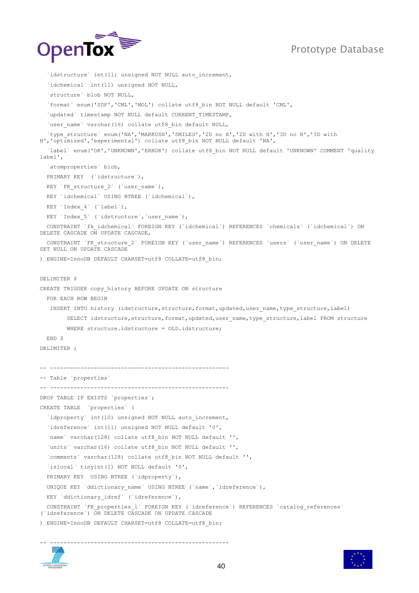

```
`idstructure` int(11) unsigned NOT NULL auto increment,
   `idchemical` int(11) unsigned NOT NULL,
   `structure` blob NOT NULL,
   `format` enum('SDF','CML','MOL') collate utf8_bin NOT NULL default 'CML',
  `updated` timestamp NOT NULL default CURRENT TIMESTAMP,
  `user_name` varchar(16) collate utf8 bin default NULL,
  `type structure` enum('NA','MARKUSH','SMILES','2D no H','2D with H','3D no H','3D with
H','optimized','experimental') collate utf8_bin NOT NULL default 'NA',
   `label` enum('OK','UNKNOWN','ERROR') collate utf8_bin NOT NULL default 'UNKNOWN' COMMENT 'quality 
label',
   `atomproperties` blob,
  PRIMARY KEY (`idstructure`),
 KEY `FK structure 2` (`user name`),
  KEY `idchemical` USING BTREE (`idchemical`),
 KEY `Index 4` (`label`),
 KEY `Index 5` (`idstructure`, `user_name`),
  CONSTRAINT `fk_idchemical` FOREIGN KEY (`idchemical`) REFERENCES `chemicals` (`idchemical`) ON 
DELETE CASCADE ON UPDATE CASCADE,
   CONSTRAINT `FK_structure_2` FOREIGN KEY (`user_name`) REFERENCES `users` (`user_name`) ON DELETE 
SET NULL ON UPDATE CASCADE
) ENGINE=InnoDB DEFAULT CHARSET=utf8 COLLATE=utf8_bin;
DELIMITER $
CREATE TRIGGER copy history BEFORE UPDATE ON structure
   FOR EACH ROW BEGIN
   INSERT INTO history (idstructure, structure, format, updated, user name, type structure, label)
        SELECT idstructure, structure, format, updated, user_name, type_structure, label FROM structure
        WHERE structure.idstructure = OLD.idstructure;
   END $
DELIMITER ;
  -- -----------------------------------------------------
-- Table `properties`
-- -----------------------------------------------------
DROP TABLE IF EXISTS `properties`;
CREATE TABLE `properties` (
  `idproperty` int(10) unsigned NOT NULL auto increment,
   `idreference` int(11) unsigned NOT NULL default '0',
   `name` varchar(128) collate utf8_bin NOT NULL default '',
   `units` varchar(16) collate utf8_bin NOT NULL default '',
   `comments` varchar(128) collate utf8_bin NOT NULL default '',
   `islocal` tinyint(1) NOT NULL default '0',
   PRIMARY KEY USING BTREE (`idproperty`),
  UNIQUE KEY `ddictionary name` USING BTREE (`name`, `idreference`),
 KEY `ddictionary_idref` (`idreference`),
  CONSTRAINT `FK_properties_1` FOREIGN KEY (`idreference`) REFERENCES `catalog_references`
(`idreference`) ON DELETE CASCADE ON UPDATE CASCADE
) ENGINE=InnoDB DEFAULT CHARSET=utf8 COLLATE=utf8_bin;
```


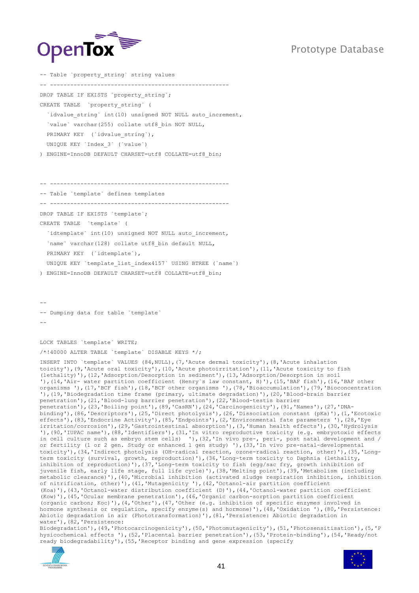

-- Table `property string` string values -- ----------------------------------------------------- DROP TABLE IF EXISTS `property string`; CREATE TABLE `property\_string` ( `idvalue string` int(10) unsigned NOT NULL auto increment, `value` varchar(255) collate utf8\_bin NOT NULL, PRIMARY KEY (`idvalue string`), UNIQUE KEY `Index\_3` (`value`) ) ENGINE=InnoDB DEFAULT CHARSET=utf8 COLLATE=utf8\_bin;

-- ----------------------------------------------------- -- Table `template` defines templates -- ----------------------------------------------------- DROP TABLE IF EXISTS `template`; CREATE TABLE `template` ( `idtemplate` int(10) unsigned NOT NULL auto increment, `name` varchar(128) collate utf8 bin default NULL, PRIMARY KEY (`idtemplate`), UNIQUE KEY `template\_list\_index4157` USING BTREE (`name`) ) ENGINE=InnoDB DEFAULT CHARSET=utf8 COLLATE=utf8\_bin;

-- -- Dumping data for table `template` --

LOCK TABLES `template` WRITE;

/\*!40000 ALTER TABLE `template` DISABLE KEYS \*/;

INSERT INTO `template` VALUES (84,NULL),(7,'Acute dermal toxicity'),(8,'Acute inhalation toicity'),(9,'Acute oral toxicity'),(10,'Acute photoirritation'),(11,'Acute toxicity to fish (lethality)'),(12,'Adsorption/Desorption in sediment'),(13,'Adsorption/Desorption in soil '),(14,'Air- water partition coefficient (Henry`s law constant, H)'),(15,'BAF fish'),(16,'BAF other organisms '),(17,'BCF fish'),(18,'BCF other organisms '),(78,'Bioaccumulation'),(79,'Bioconcentration '),(19,'Biodegradation time frame (primary, ultimate degradation)'),(20,'Blood-brain barrier penetration'),(21,'Blood-lung barrier penetration'),(22,'Blood-testis barrier penetration'),(23,'Boiling point'),(89,'CasRN'),(24,'Carcinogenicity'),(91,'Names'),(27,'DNAbinding'),(86,'Descriptors'),(25,'Direct photolysis'),(26,'Dissociation constant (pKa)'),(1,'Ecotoxic effects'),(83,'Endocrine Activity'),(85,'Endpoints'),(2,'Environmental fate parameters '),(28,'Eye irritation/corrosion'),(29,'Gastrointestinal absorption'),(3,'Human health effects'),(30,'Hydrolysis '),(90,'IUPAC name'),(88,'Identifiers'),(31,'In vitro reproductive toxicity (e.g. embryotoxic effects in cell culture such as embryo stem cells) '), (32,'In vivo pre-, peri-, post natal development and / or fertility (1 or 2 gen. Study or enhanced 1 gen study) '),(33,'In vivo pre-natal-developmental toxicity'),(34,'Indirect photolysis (OH-radical reaction, ozone-radical reaction, other)'),(35,'Longterm toxicity (survival, growth, reproduction)'),(36,'Long-term toxicity to Daphnia (lethality, inhibition of reproduction)'),(37,'Long-term toxicity to fish (egg/sac fry, growth inhibition of juvenile fish, early life stage, full life cycle)'),(38,'Melting point'),(39,'Metabolism (including metabolic clearance)'),(40,'Microbial inhibition (activated sludge respiration inhibition, inhibition of nitrification, other)'),(41,'Mutagenicity '),(42,'Octanol-air partition coefficient (Koa)'),(43,'Octanol-water distribution coefficient (D)'),(44,'Octanol-water partition coefficient (Kow)'),(45,'Ocular membrane penetration'),(46,'Organic carbon-sorption partition coefficient (organic carbon; Koc)'),(4,'Other'),(47,'Other (e.g. inhibition of specific enzymes involved in hormone synthesis or regulation, specify enzyme(s) and hormone)'),(48,'Oxidation '),(80,'Persistence: Abiotic degradation in air (Phototransformation)'),(81,'Persistence: Abiotic degradation in water'),(82,'Persistence:

Biodegradation'),(49,'Photocarcinogenicity'),(50,'Photomutagenicity'),(51,'Photosensitisation'),(5,'P hysicochemical effects '),(52,'Placental barrier penetration'),(53,'Protein-binding'),(54,'Ready/not ready biodegradability'),(55,'Receptor binding and gene expression (specify



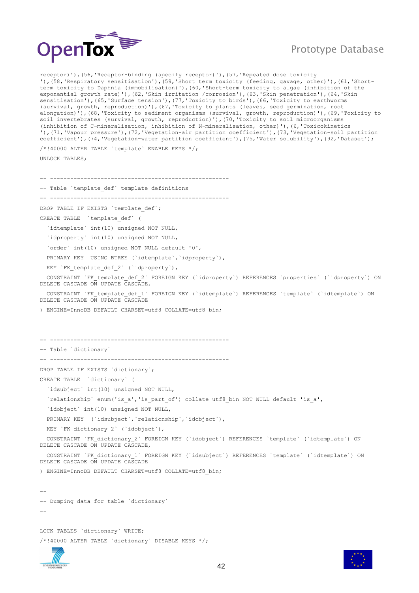

receptor)'),(56,'Receptor-binding (specify receptor)'),(57,'Repeated dose toxicity '),(58,'Respiratory sensitisation'),(59,'Short term toxicity (feeding, gavage, other)'),(61,'Shortterm toxicity to Daphnia (immobilisation)'),(60,'Short-term toxicity to algae (inhibition of the exponential growth rate)'),(62,'Skin irritation /corrosion'),(63,'Skin penetration'),(64,'Skin sensitisation'),(65,'Surface tension'),(77,'Toxicity to birds'),(66,'Toxicity to earthworms (survival, growth, reproduction)'),(67,'Toxicity to plants (leaves, seed germination, root elongation)'),(68,'Toxicity to sediment organisms (survival, growth, reproduction)'),(69,'Toxicity to soil invertebrates (survival, growth, reproduction)'),(70,'Toxicity to soil microorganisms (inhibition of C-mineralisation, inhibition of N-mineralisation, other)'),(6,'Toxicokinetics '),(71,'Vapour pressure'),(72,'Vegetation-air partition coefficient'),(73,'Vegetation-soil partition coefficient'),(74,'Vegetation-water partition coefficient'),(75,'Water solubility'),(92,'Dataset');

/\*!40000 ALTER TABLE `template` ENABLE KEYS \*/; UNLOCK TABLES;

-- ----------------------------------------------------- -- Table `template def` template definitions -- ----------------------------------------------------- DROP TABLE IF EXISTS `template def`; CREATE TABLE `template\_def` ( `idtemplate` int(10) unsigned NOT NULL, `idproperty` int(10) unsigned NOT NULL, `order` int(10) unsigned NOT NULL default '0', PRIMARY KEY USING BTREE (`idtemplate`,`idproperty`), KEY `FK template def 2` (`idproperty`), CONSTRAINT `FK template def 2` FOREIGN KEY (`idproperty') REFERENCES `properties' (`idproperty') ON DELETE CASCADE ON UPDATE CASCADE, CONSTRAINT `FK\_template def\_1` FOREIGN KEY (`idtemplate`) REFERENCES `template` (`idtemplate`) ON DELETE CASCADE ON UPDATE CASCADE ) ENGINE=InnoDB DEFAULT CHARSET=utf8 COLLATE=utf8\_bin; -- ----------------------------------------------------- -- Table `dictionary` -- ----------------------------------------------------- DROP TABLE IF EXISTS `dictionary`; CREATE TABLE `dictionary` ( `idsubject` int(10) unsigned NOT NULL, `relationship` enum('is\_a','is\_part\_of') collate utf8\_bin NOT NULL default 'is\_a', `idobject` int(10) unsigned NOT NULL, PRIMARY KEY (`idsubject`,`relationship`,`idobject`), KEY `FK dictionary 2` (`idobject`), CONSTRAINT `FK dictionary 2` FOREIGN KEY (`idobject`) REFERENCES `template` (`idtemplate`) ON DELETE CASCADE ON UPDATE CASCADE, CONSTRAINT `FK\_dictionary\_1` FOREIGN KEY (`idsubject`) REFERENCES `template` (`idtemplate`) ON DELETE CASCADE ON UPDATE CASCADE ) ENGINE=InnoDB DEFAULT CHARSET=utf8 COLLATE=utf8\_bin; -- -- Dumping data for table `dictionary` -- LOCK TABLES `dictionary` WRITE;



/\*!40000 ALTER TABLE `dictionary` DISABLE KEYS \*/;

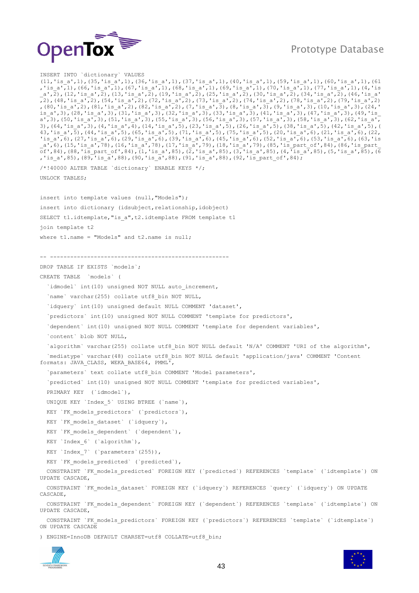

INSERT INTO `dictionary` VALUES (11,'is\_a',1),(35,'is\_a',1),(36,'is\_a',1),(37,'is\_a',1),(40,'is\_a',1),(59,'is\_a',1),(60,'is\_a',1),(61 ,'is\_a',1),(66,'is\_a',1),(67,'is\_a',1),(68,'is\_a',1),(69,'is\_a',1),(70,'is\_a',1),(77,'is\_a',1),(4,'is \_a',2),(12,'is\_a',2),(13,'is\_a',2),(19,'is\_a',2),(25,'is\_a',2),(30,'is\_a',2),(34,'is\_a',2),(46,'is\_a' ,2),(48,'is a',2),(54,'is a',2),(72,'is a',2),(73,'is a',2),(74,'is a',2),(78,'is a',2),(79,'is a',2) ,(80,'is\_a',2),(81,'is\_a',2),(82,'is\_a',2),(7,'is\_a',3),(8,'is\_a',3),(9,'is\_a',3),(10,'is\_a',3),(24,' is a',3),(28,'is a',3),(31,'is a',3),(32,'is a',3),(33,'is a',3),(41,'is a',3),(47,'is a',3),(49,'is a',3),(50,'is\_a',3),(51,'is\_a',3),(55,'is\_a',3),(56,'is\_a',3),(57,'is\_a',3),(58,'is\_a',3),(62,'is\_a', 3),(64,'is a',3),(4,'is a',4),(14,'is a',5),(23,'is a',5),(26,'is a',5),(38,'is a',5),(42,'is a',5),( 43,'is a',5),(44,'is a',5),(65,'is a',5),(71,'is a',5),(75,'is a',5),(20,'is a',6),(21,'is a',6),(22, 'is\_a',6),(27,'is\_a',6),(29,'is\_a',6),(39,'is\_a',6),(45,'is\_a',6),(52,'is\_a',6),(53,'is\_a',6),(63,'is \_a',6),(15,'is\_a',78),(16,'is\_a',78),(17,'is\_a',79),(18,'is\_a',79),(85,'is\_part\_of',84),(86,'is\_part\_ of',84),(88,'is\_part\_of',84),(1,'is\_a',85),(2,'is\_a',85),(3,'is\_a',85),(4,'is\_a',85),(5,'is\_a',85),(6 ,'is\_a',85),(89,'is\_a',88),(90,'is\_a',88),(91,'is\_a',88),(92,'is\_part\_of',84); /\*!40000 ALTER TABLE `dictionary` ENABLE KEYS \*/; UNLOCK TABLES; insert into template values (null,"Models"); insert into dictionary (idsubject, relationship, idobject) SELECT t1.idtemplate, "is a", t2.idtemplate FROM template t1 join template t2 where  $t1.name = "Models" and t2.name is null;$ -- ----------------------------------------------------- DROP TABLE IF EXISTS `models`; CREATE TABLE `models` ( `idmodel` int(10) unsigned NOT NULL auto increment, `name` varchar(255) collate utf8 bin NOT NULL, `idquery` int(10) unsigned default NULL COMMENT 'dataset', `predictors` int(10) unsigned NOT NULL COMMENT 'template for predictors', `dependent` int(10) unsigned NOT NULL COMMENT 'template for dependent variables', `content` blob NOT NULL, `algorithm` varchar(255) collate utf8\_bin NOT NULL default 'N/A' COMMENT 'URI of the algorithm', `mediatype` varchar(48) collate utf8\_bin NOT NULL default 'application/java' COMMENT 'Content formats: JAVA\_CLASS, WEKA\_BASE64, PMML', `parameters` text collate utf8\_bin COMMENT 'Model parameters', `predicted` int(10) unsigned NOT NULL COMMENT 'template for predicted variables', PRIMARY KEY (`idmodel`), UNIQUE KEY `Index\_5` USING BTREE (`name`), KEY `FK\_models\_predictors` (`predictors`), KEY `FK models dataset` (`idquery`), KEY `FK models dependent` (`dependent`), KEY `Index\_6` (`algorithm`), KEY `Index 7` (`parameters`(255)), KEY `FK models predicted` (`predicted`), CONSTRAINT `FK\_models\_predicted` FOREIGN KEY (`predicted`) REFERENCES `template` (`idtemplate`) ON UPDATE CASCADE, CONSTRAINT `FK\_models\_dataset` FOREIGN KEY (`idquery`) REFERENCES `query` (`idquery`) ON UPDATE CASCADE, CONSTRAINT `FK\_models\_dependent` FOREIGN KEY (`dependent`) REFERENCES `template` (`idtemplate`) ON UPDATE CASCADE, CONSTRAINT `FK\_models\_predictors` FOREIGN KEY (`predictors`) REFERENCES `template` (`idtemplate`) ON UPDATE CASCADE

) ENGINE=InnoDB DEFAULT CHARSET=utf8 COLLATE=utf8\_bin;

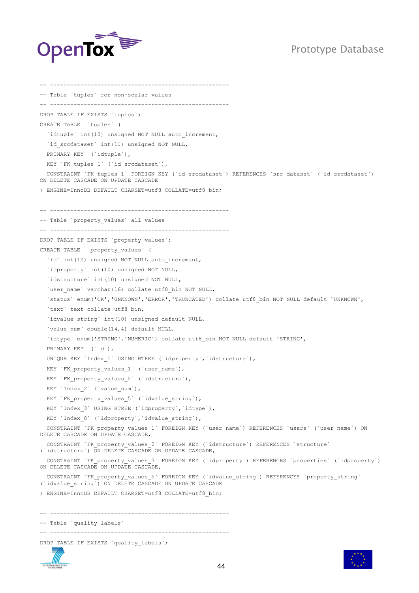



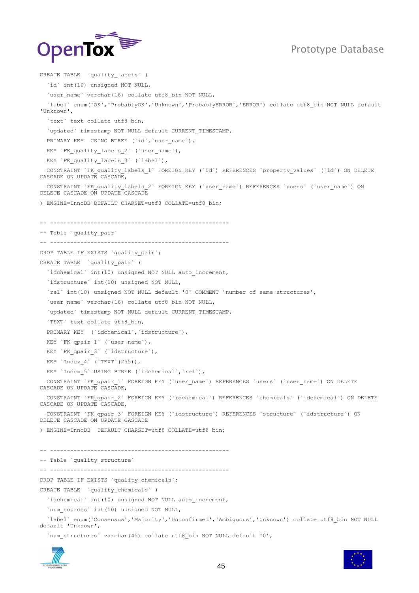

CREATE TABLE `quality\_labels` ( `id` int(10) unsigned NOT NULL, `user name` varchar(16) collate utf8 bin NOT NULL, `label` enum('OK','ProbablyOK','Unknown','ProbablyERROR','ERROR') collate utf8\_bin NOT NULL default 'Unknown', `text` text collate utf8 bin, `updated` timestamp NOT NULL default CURRENT TIMESTAMP, PRIMARY KEY USING BTREE (`id`, `user\_name`), KEY `FK quality labels 2` (`user name`), KEY `FK quality labels 3` (`label`), CONSTRAINT `FK quality labels 1` FOREIGN KEY (`id`) REFERENCES `property values` (`id`) ON DELETE CASCADE ON UPDATE CASCADE, CONSTRAINT `FK\_quality\_labels\_2` FOREIGN KEY (`user\_name`) REFERENCES `users` (`user\_name`) ON DELETE CASCADE ON UPDATE CASCADE ) ENGINE=InnoDB DEFAULT CHARSET=utf8 COLLATE=utf8\_bin; -- ----------------------------------------------------- -- Table `quality pair` -- ----------------------------------------------------- DROP TABLE IF EXISTS `quality pair`; CREATE TABLE `quality\_pair` ( `idchemical` int(10) unsigned NOT NULL auto increment, `idstructure` int(10) unsigned NOT NULL, `rel` int(10) unsigned NOT NULL default '0' COMMENT 'number of same structures', `user name` varchar(16) collate utf8 bin NOT NULL, `updated` timestamp NOT NULL default CURRENT TIMESTAMP, `TEXT` text collate utf8\_bin, PRIMARY KEY (`idchemical`,`idstructure`), KEY `FK qpair 1` (`user name`), KEY `FK qpair 3` (`idstructure`), KEY `Index 4` (`TEXT`(255)), KEY `Index 5` USING BTREE (`idchemical`, `rel`), CONSTRAINT `FK\_qpair\_1` FOREIGN KEY (`user\_name`) REFERENCES `users` (`user\_name`) ON DELETE CASCADE ON UPDATE CASCADE, CONSTRAINT `FK\_qpair\_2` FOREIGN KEY (`idchemical`) REFERENCES `chemicals` (`idchemical`) ON DELETE CASCADE ON UPDATE CASCADE, CONSTRAINT `FK\_qpair\_3` FOREIGN KEY (`idstructure`) REFERENCES `structure` (`idstructure`) ON DELETE CASCADE ON UPDATE CASCADE ) ENGINE=InnoDB DEFAULT CHARSET=utf8 COLLATE=utf8\_bin; -- ----------------------------------------------------- -- Table `quality\_structure` -- ----------------------------------------------------- DROP TABLE IF EXISTS `quality chemicals`; CREATE TABLE `quality\_chemicals` ( `idchemical` int(10) unsigned NOT NULL auto increment, `num\_sources` int(10) unsigned NOT NULL, `label` enum('Consensus','Majority','Unconfirmed','Ambiguous','Unknown') collate utf8\_bin NOT NULL default 'Unknown',





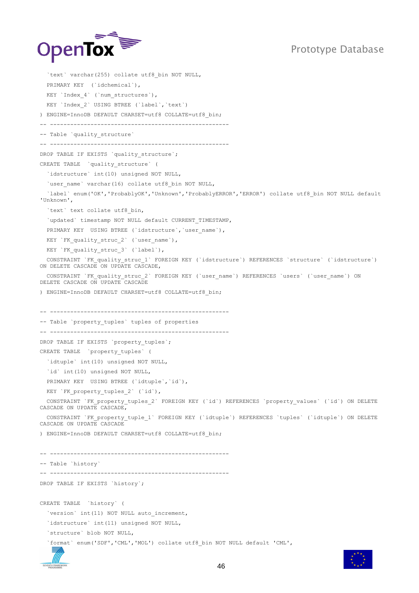

```
`text` varchar(255) collate utf8 bin NOT NULL,
   PRIMARY KEY (`idchemical`),
  KEY `Index 4` (`num structures`),
   KEY `Index_2` USING BTREE (`label`,`text`)
) ENGINE=InnoDB DEFAULT CHARSET=utf8 COLLATE=utf8_bin;
-- -----------------------------------------------------
-- Table `quality structure`
-- -----------------------------------------------------
DROP TABLE IF EXISTS `quality structure`;
CREATE TABLE `quality_structure` (
   `idstructure` int(10) unsigned NOT NULL,
  `user_name` varchar(16) collate utf8 bin NOT NULL,
   `label` enum('OK','ProbablyOK','Unknown','ProbablyERROR','ERROR') collate utf8_bin NOT NULL default 
'Unknown',
  `text` text collate utf8 bin,
  `updated` timestamp NOT NULL default CURRENT_TIMESTAMP,
  PRIMARY KEY USING BTREE (`idstructure`,`user_name`),
  KEY `FK_quality_struc_2` (`user_name`),
 KEY `FK quality struc 3` (`label`),
  CONSTRAINT `FK_quality_struc_1` FOREIGN KEY (`idstructure`) REFERENCES `structure` (`idstructure`) 
ON DELETE CASCADE ON UPDATE CASCADE,
  CONSTRAINT `FK_quality_struc_2` FOREIGN KEY (`user_name`) REFERENCES `users` (`user_name`) ON 
DELETE CASCADE ON UPDATE CASCADE
) ENGINE=InnoDB DEFAULT CHARSET=utf8 COLLATE=utf8_bin;
-- -----------------------------------------------------
-- Table `property tuples` tuples of properties
 -- -----------------------------------------------------
DROP TABLE IF EXISTS `property tuples`;
CREATE TABLE `property_tuples` (
  `idtuple` int(10) unsigned NOT NULL,
  `id` int(10) unsigned NOT NULL,
  PRIMARY KEY USING BTREE (`idtuple`,`id`),
 KEY `FK property tuples 2` (`id`),
  CONSTRAINT `FK_property_tuples_2` FOREIGN KEY (`id`) REFERENCES `property_values` (`id`) ON DELETE
CASCADE ON UPDATE CASCADE,
   CONSTRAINT `FK_property_tuple_1` FOREIGN KEY (`idtuple`) REFERENCES `tuples` (`idtuple`) ON DELETE 
CASCADE ON UPDATE CASCADE
) ENGINE=InnoDB DEFAULT CHARSET=utf8 COLLATE=utf8_bin;
-- -----------------------------------------------------
-- Table `history`
-- -----------------------------------------------------
DROP TABLE IF EXISTS `history`;
CREATE TABLE `history` (
  `version` int(11) NOT NULL auto_increment,
   `idstructure` int(11) unsigned NOT NULL,
   `structure` blob NOT NULL,
   `format` enum('SDF','CML','MOL') collate utf8_bin NOT NULL default 'CML',
```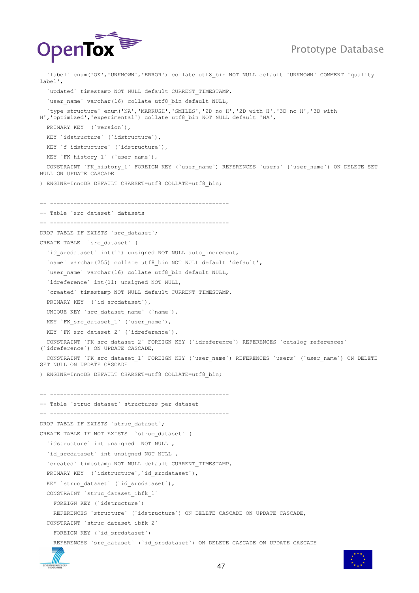

 `label` enum('OK','UNKNOWN','ERROR') collate utf8\_bin NOT NULL default 'UNKNOWN' COMMENT 'quality label', `updated` timestamp NOT NULL default CURRENT TIMESTAMP, `user name` varchar(16) collate utf8 bin default NULL, `type\_structure` enum('NA','MARKUSH','SMILES','2D no H','2D with H','3D no H','3D with H','optimized','experimental') collate utf8\_bin NOT NULL default 'NA', PRIMARY KEY (`version`), KEY `idstructure` (`idstructure`), KEY `f idstructure` (`idstructure`), KEY `FK\_history\_1` (`user\_name`), CONSTRAINT `FK\_history\_1` FOREIGN KEY (`user\_name`) REFERENCES `users` (`user\_name`) ON DELETE SET NULL ON UPDATE CASCADE ) ENGINE=InnoDB DEFAULT CHARSET=utf8 COLLATE=utf8\_bin; -- ----------------------------------------------------- -- Table `src\_dataset` datasets -- ----------------------------------------------------- DROP TABLE IF EXISTS `src\_dataset`; CREATE TABLE `src\_dataset` ( `id srcdataset` int(11) unsigned NOT NULL auto increment, `name` varchar(255) collate utf8\_bin NOT NULL default 'default', `user\_name` varchar(16) collate utf8 bin default NULL, `idreference` int(11) unsigned NOT NULL, `created` timestamp NOT NULL default CURRENT\_TIMESTAMP, PRIMARY KEY (`id srcdataset`), UNIQUE KEY `src\_dataset\_name` (`name`), KEY `FK src\_dataset 1` (`user\_name`), KEY `FK src dataset 2` (`idreference`), CONSTRAINT `FK src dataset 2` FOREIGN KEY (`idreference`) REFERENCES `catalog references` (`idreference`) ON UPDATE CASCADE, CONSTRAINT `FK\_src\_dataset\_1` FOREIGN KEY (`user\_name`) REFERENCES `users` (`user\_name`) ON DELETE SET NULL ON UPDATE CASCADE ) ENGINE=InnoDB DEFAULT CHARSET=utf8 COLLATE=utf8\_bin; -- ----------------------------------------------------- -- Table `struc\_dataset` structures per dataset -- ----------------------------------------------------- DROP TABLE IF EXISTS `struc\_dataset`; CREATE TABLE IF NOT EXISTS `struc\_dataset` ( `idstructure` int unsigned NOT NULL , `id srcdataset` int unsigned NOT NULL , `created` timestamp NOT NULL default CURRENT\_TIMESTAMP, PRIMARY KEY (`idstructure`, `id\_srcdataset`), KEY `struc dataset` (`id srcdataset`), CONSTRAINT `struc\_dataset\_ibfk\_1` FOREIGN KEY (`idstructure`) REFERENCES `structure` (`idstructure`) ON DELETE CASCADE ON UPDATE CASCADE, CONSTRAINT `struc\_dataset\_ibfk\_2` FOREIGN KEY (`id\_srcdataset`) REFERENCES `src\_dataset` (`id\_srcdataset`) ON DELETE CASCADE ON UPDATE CASCADE

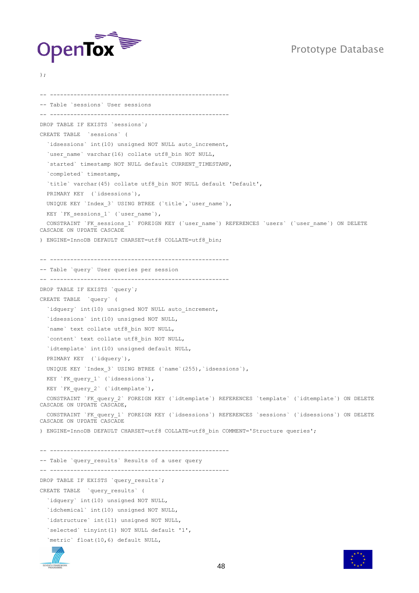

);

-- ----------------------------------------------------- -- Table `sessions` User sessions -- ----------------------------------------------------- DROP TABLE IF EXISTS `sessions`; CREATE TABLE `sessions` ( `idsessions` int(10) unsigned NOT NULL auto increment, `user name` varchar(16) collate utf8 bin NOT NULL, `started` timestamp NOT NULL default CURRENT\_TIMESTAMP, `completed` timestamp, `title` varchar(45) collate utf8\_bin NOT NULL default 'Default', PRIMARY KEY (`idsessions`), UNIQUE KEY `Index 3` USING BTREE (`title`, `user\_name`), KEY `FK sessions 1` (`user name`), CONSTRAINT `FK\_sessions\_1` FOREIGN KEY (`user\_name`) REFERENCES `users` (`user\_name`) ON DELETE CASCADE ON UPDATE CASCADE ) ENGINE=InnoDB DEFAULT CHARSET=utf8 COLLATE=utf8\_bin; -- ----------------------------------------------------- -- Table `query` User queries per session -- ----------------------------------------------------- DROP TABLE IF EXISTS `query`; CREATE TABLE `query` ( `idquery` int(10) unsigned NOT NULL auto increment, `idsessions` int(10) unsigned NOT NULL, `name` text collate utf8\_bin NOT NULL, `content` text collate utf8\_bin NOT NULL, `idtemplate` int(10) unsigned default NULL, PRIMARY KEY ('idquery'), UNIQUE KEY `Index 3` USING BTREE (`name`(255), `idsessions`), KEY `FK query 1` (`idsessions`), KEY `FK\_query\_2` (`idtemplate`), CONSTRAINT `FK\_query\_2` FOREIGN KEY (`idtemplate`) REFERENCES `template` (`idtemplate`) ON DELETE CASCADE ON UPDATE CASCADE, CONSTRAINT `FK\_query\_1` FOREIGN KEY (`idsessions`) REFERENCES `sessions` (`idsessions`) ON DELETE CASCADE ON UPDATE CASCADE ) ENGINE=InnoDB DEFAULT CHARSET=utf8 COLLATE=utf8\_bin COMMENT='Structure queries'; -- ----------------------------------------------------- -- Table `query results` Results of a user query -- ----------------------------------------------------- DROP TABLE IF EXISTS `query results`; CREATE TABLE `query\_results` ( `idquery` int(10) unsigned NOT NULL, `idchemical` int(10) unsigned NOT NULL, `idstructure` int(11) unsigned NOT NULL, `selected` tinyint(1) NOT NULL default '1', `metric` float(10,6) default NULL,



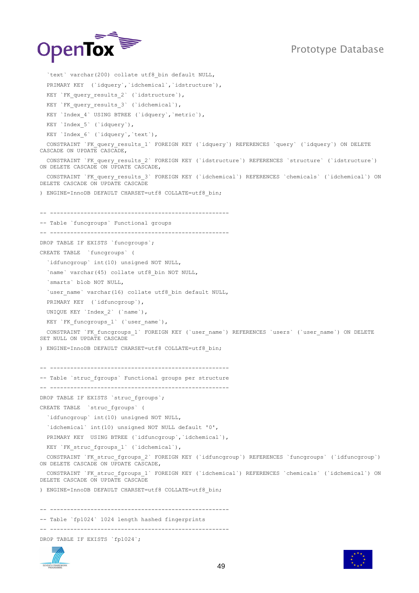

```
`text` varchar(200) collate utf8 bin default NULL,
   PRIMARY KEY (`idquery`,`idchemical`,`idstructure`),
  KEY `FK query results 2` (`idstructure`),
  KEY `FK query results 3` (`idchemical`),
  KEY `Index 4` USING BTREE (`idquery`, `metric`),
  KEY `Index 5` (`idquery`),
   KEY `Index_6` (`idquery`,`text`),
  CONSTRAINT `FK query results 1` FOREIGN KEY (`idquery`) REFERENCES `query` (`idquery`) ON DELETE
CASCADE ON UPDATE CASCADE,
   CONSTRAINT `FK_query_results_2` FOREIGN KEY (`idstructure`) REFERENCES `structure` (`idstructure`) 
ON DELETE CASCADE ON UPDATE CASCADE,
  CONSTRAINT `FK_query_results_3` FOREIGN KEY (`idchemical`) REFERENCES `chemicals` (`idchemical`) ON 
DELETE CASCADE ON UPDATE CASCADE
) ENGINE=InnoDB DEFAULT CHARSET=utf8 COLLATE=utf8_bin;
-- -----------------------------------------------------
-- Table `funcgroups` Functional groups
-- -----------------------------------------------------
DROP TABLE IF EXISTS `funcgroups`;
CREATE TABLE `funcgroups` (
   `idfuncgroup` int(10) unsigned NOT NULL,
  `name` varchar(45) collate utf8 bin NOT NULL,
   `smarts` blob NOT NULL,
  `user name` varchar(16) collate utf8 bin default NULL,
   PRIMARY KEY (`idfuncgroup`),
  UNIQUE KEY `Index_2` (`name`),
  KEY `FK funcgroups 1` (`user name`),
  CONSTRAINT `FK_funcgroups_1` FOREIGN KEY (`user_name`) REFERENCES `users` (`user_name`) ON DELETE
SET NULL ON UPDATE CASCADE
) ENGINE=InnoDB DEFAULT CHARSET=utf8 COLLATE=utf8_bin;
  -- -----------------------------------------------------
-- Table `struc fgroups` Functional groups per structure
-- -----------------------------------------------------
DROP TABLE IF EXISTS `struc fgroups`;
CREATE TABLE `struc_fgroups` (
   `idfuncgroup` int(10) unsigned NOT NULL,
   `idchemical` int(10) unsigned NOT NULL default '0',
 PRIMARY KEY USING BTREE (`idfuncgroup`, `idchemical`),
 KEY `FK struc fgroups 1` (`idchemical`),
  CONSTRAINT `FK_struc_fgroups_2` FOREIGN KEY (`idfuncgroup`) REFERENCES `funcgroups` (`idfuncgroup`) 
ON DELETE CASCADE ON UPDATE CASCADE,
  CONSTRAINT `FK_struc_fgroups_1` FOREIGN KEY (`idchemical`) REFERENCES `chemicals` (`idchemical`) ON 
DELETE CASCADE ON UPDATE CASCADE
) ENGINE=InnoDB DEFAULT CHARSET=utf8 COLLATE=utf8_bin;
-- -----------------------------------------------------
-- Table `fp1024` 1024 length hashed fingerprints
-- -----------------------------------------------------
DROP TABLE IF EXISTS `fp1024`;
```
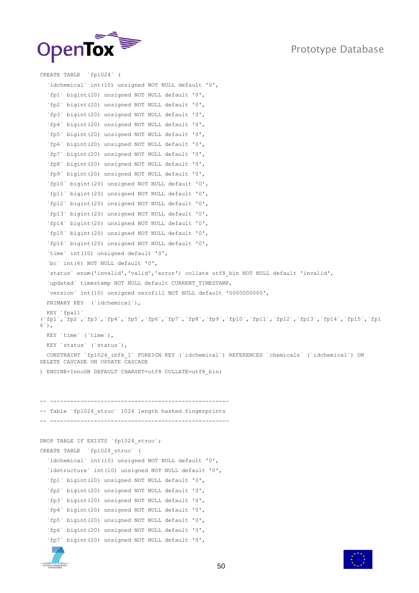



```
CREATE TABLE `fp1024` (
   `idchemical` int(10) unsigned NOT NULL default '0',
   `fp1` bigint(20) unsigned NOT NULL default '0',
   `fp2` bigint(20) unsigned NOT NULL default '0',
   `fp3` bigint(20) unsigned NOT NULL default '0',
   `fp4` bigint(20) unsigned NOT NULL default '0',
   `fp5` bigint(20) unsigned NOT NULL default '0',
   `fp6` bigint(20) unsigned NOT NULL default '0',
   `fp7` bigint(20) unsigned NOT NULL default '0',
   `fp8` bigint(20) unsigned NOT NULL default '0',
   `fp9` bigint(20) unsigned NOT NULL default '0',
   `fp10` bigint(20) unsigned NOT NULL default '0',
   `fp11` bigint(20) unsigned NOT NULL default '0',
   `fp12` bigint(20) unsigned NOT NULL default '0',
   `fp13` bigint(20) unsigned NOT NULL default '0',
   `fp14` bigint(20) unsigned NOT NULL default '0',
   `fp15` bigint(20) unsigned NOT NULL default '0',
   `fp16` bigint(20) unsigned NOT NULL default '0',
   `time` int(10) unsigned default '0',
   `bc` int(6) NOT NULL default '0',
   `status` enum('invalid','valid','error') collate utf8_bin NOT NULL default 'invalid',
   `updated` timestamp NOT NULL default CURRENT_TIMESTAMP,
   `version` int(10) unsigned zerofill NOT NULL default '0000000000',
   PRIMARY KEY (`idchemical`),
   KEY `fpall` 
(`fp1`,`fp2`,`fp3`,`fp4`,`fp5`,`fp6`,`fp7`,`fp8`,`fp9`,`fp10`,`fp11`,`fp12`,`fp13`,`fp14`,`fp15`,`fp1
6`),
   KEY `time` (`time`),
  KEY `status` (`status`),
   CONSTRAINT `fp1024_ibfk_1` FOREIGN KEY (`idchemical`) REFERENCES `chemicals` (`idchemical`) ON 
DELETE CASCADE ON UPDATE CASCADE
) ENGINE=InnoDB DEFAULT CHARSET=utf8 COLLATE=utf8_bin;
 -- -----------------------------------------------------
-- Table `fp1024 struc` 1024 length hashed fingerprints
-- -----------------------------------------------------
DROP TABLE IF EXISTS `fp1024 struc`;
CREATE TABLE `fp1024_struc` (
   `idchemical` int(10) unsigned NOT NULL default '0',
   `idstructure` int(10) unsigned NOT NULL default '0',
   `fp1` bigint(20) unsigned NOT NULL default '0',
   `fp2` bigint(20) unsigned NOT NULL default '0',
   `fp3` bigint(20) unsigned NOT NULL default '0',
   `fp4` bigint(20) unsigned NOT NULL default '0',
   `fp5` bigint(20) unsigned NOT NULL default '0',
   `fp6` bigint(20) unsigned NOT NULL default '0',
   `fp7` bigint(20) unsigned NOT NULL default '0',
```
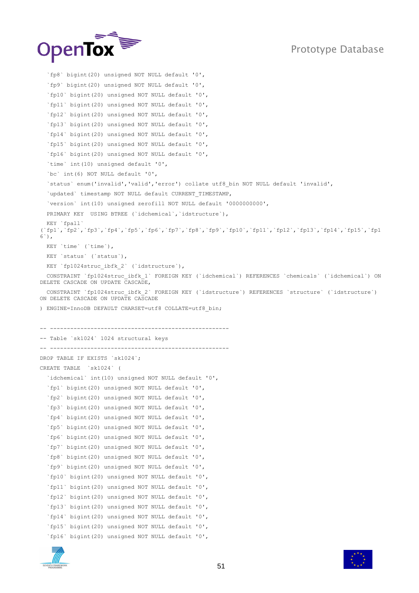

```
 `fp8` bigint(20) unsigned NOT NULL default '0',
   `fp9` bigint(20) unsigned NOT NULL default '0',
   `fp10` bigint(20) unsigned NOT NULL default '0',
   `fp11` bigint(20) unsigned NOT NULL default '0',
   `fp12` bigint(20) unsigned NOT NULL default '0',
   `fp13` bigint(20) unsigned NOT NULL default '0',
   `fp14` bigint(20) unsigned NOT NULL default '0',
   `fp15` bigint(20) unsigned NOT NULL default '0',
   `fp16` bigint(20) unsigned NOT NULL default '0',
   `time` int(10) unsigned default '0',
   `bc` int(6) NOT NULL default '0',
   `status` enum('invalid','valid','error') collate utf8_bin NOT NULL default 'invalid',
  `updated` timestamp NOT NULL default CURRENT TIMESTAMP,
   `version` int(10) unsigned zerofill NOT NULL default '0000000000',
   PRIMARY KEY USING BTREE (`idchemical`,`idstructure`),
   KEY `fpall` 
(`fp1`,`fp2`,`fp3`,`fp4`,`fp5`,`fp6`,`fp7`,`fp8`,`fp9`,`fp10`,`fp11`,`fp12`,`fp13`,`fp14`,`fp15`,`fp1
6`),
  KEY `time` (`time`),
  KEY `status` (`status`),
 KEY `fp1024struc ibfk 2` (`idstructure`),
   CONSTRAINT `fp1024struc_ibfk_1` FOREIGN KEY (`idchemical`) REFERENCES `chemicals` (`idchemical`) ON 
DELETE CASCADE ON UPDATE CASCADE,
   CONSTRAINT `fp1024struc_ibfk_2` FOREIGN KEY (`idstructure`) REFERENCES `structure` (`idstructure`) 
ON DELETE CASCADE ON UPDATE CASCADE
) ENGINE=InnoDB DEFAULT CHARSET=utf8 COLLATE=utf8_bin;
 -- -----------------------------------------------------
-- Table `sk1024` 1024 structural keys
       -- -----------------------------------------------------
DROP TABLE IF EXISTS `sk1024`;
CREATE TABLE `sk1024` (
   `idchemical` int(10) unsigned NOT NULL default '0',
   `fp1` bigint(20) unsigned NOT NULL default '0',
   `fp2` bigint(20) unsigned NOT NULL default '0',
   `fp3` bigint(20) unsigned NOT NULL default '0',
   `fp4` bigint(20) unsigned NOT NULL default '0',
   `fp5` bigint(20) unsigned NOT NULL default '0',
   `fp6` bigint(20) unsigned NOT NULL default '0',
   `fp7` bigint(20) unsigned NOT NULL default '0',
   `fp8` bigint(20) unsigned NOT NULL default '0',
   `fp9` bigint(20) unsigned NOT NULL default '0',
   `fp10` bigint(20) unsigned NOT NULL default '0',
   `fp11` bigint(20) unsigned NOT NULL default '0',
   `fp12` bigint(20) unsigned NOT NULL default '0',
   `fp13` bigint(20) unsigned NOT NULL default '0',
   `fp14` bigint(20) unsigned NOT NULL default '0',
   `fp15` bigint(20) unsigned NOT NULL default '0',
   `fp16` bigint(20) unsigned NOT NULL default '0',
```


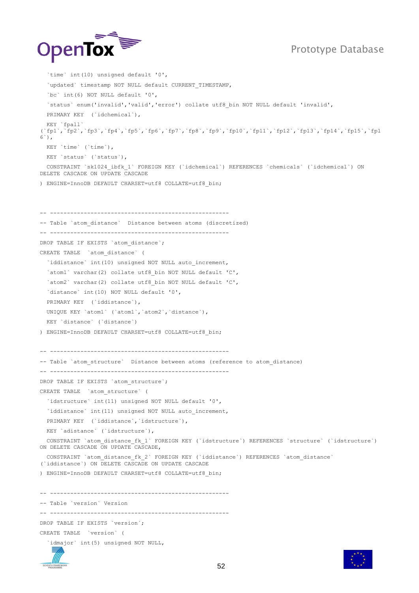

 `time` int(10) unsigned default '0', `updated` timestamp NOT NULL default CURRENT\_TIMESTAMP, `bc` int(6) NOT NULL default '0', `status` enum('invalid','valid','error') collate utf8\_bin NOT NULL default 'invalid', PRIMARY KEY (`idchemical`), KEY `fpall` (`fp1`,`fp2`,`fp3`,`fp4`,`fp5`,`fp6`,`fp7`,`fp8`,`fp9`,`fp10`,`fp11`,`fp12`,`fp13`,`fp14`,`fp15`,`fp1  $6^{\circ}$ ). KEY `time` (`time`), KEY `status` (`status`), CONSTRAINT `sk1024\_ibfk\_1` FOREIGN KEY (`idchemical`) REFERENCES `chemicals` (`idchemical`) ON DELETE CASCADE ON UPDATE CASCADE ) ENGINE=InnoDB DEFAULT CHARSET=utf8 COLLATE=utf8\_bin; -- ----------------------------------------------------- -- Table `atom distance` Distance between atoms (discretized) -- ----------------------------------------------------- DROP TABLE IF EXISTS `atom distance`; CREATE TABLE `atom\_distance` ( `iddistance` int(10) unsigned NOT NULL auto\_increment, `atom1` varchar(2) collate utf8\_bin NOT NULL default 'C', `atom2` varchar(2) collate utf8\_bin NOT NULL default 'C', `distance` int(10) NOT NULL default '0', PRIMARY KEY ('iddistance'), UNIQUE KEY `atom1` (`atom1`,`atom2`,`distance`), KEY `distance` (`distance`) ) ENGINE=InnoDB DEFAULT CHARSET=utf8 COLLATE=utf8\_bin; -- ----------------------------------------------------- -- Table `atom structure` Distance between atoms (reference to atom distance) -- ----------------------------------------------------- DROP TABLE IF EXISTS `atom structure`; CREATE TABLE `atom\_structure` ( `idstructure` int(11) unsigned NOT NULL default '0', `iddistance` int(11) unsigned NOT NULL auto increment, PRIMARY KEY (`iddistance`,`idstructure`), KEY `adistance` (`idstructure`), CONSTRAINT `atom\_distance\_fk\_1` FOREIGN KEY (`idstructure`) REFERENCES `structure` (`idstructure`) ON DELETE CASCADE ON UPDATE CASCADE, CONSTRAINT `atom\_distance\_fk\_2` FOREIGN KEY (`iddistance`) REFERENCES `atom\_distance` (`iddistance`) ON DELETE CASCADE ON UPDATE CASCADE ) ENGINE=InnoDB DEFAULT CHARSET=utf8 COLLATE=utf8\_bin; -- ----------------------------------------------------- -- Table `version` Version -- ----------------------------------------------------- DROP TABLE IF EXISTS `version`; CREATE TABLE `version` ( `idmajor` int(5) unsigned NOT NULL,

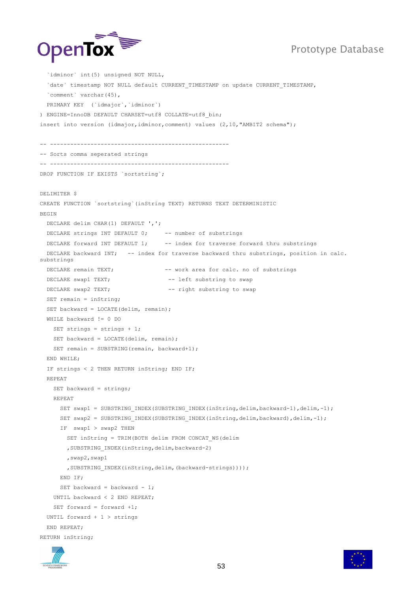

```
 `idminor` int(5) unsigned NOT NULL, 
   `date` timestamp NOT NULL default CURRENT_TIMESTAMP on update CURRENT_TIMESTAMP,
   `comment` varchar(45),
  PRIMARY KEY (`idmajor`,`idminor`)
) ENGINE=InnoDB DEFAULT CHARSET=utf8 COLLATE=utf8_bin;
insert into version (idmajor, idminor, comment) values (2, 10, "AMBIT2 schema");
-- -----------------------------------------------------
 -- Sorts comma seperated strings
-- -----------------------------------------------------
DROP FUNCTION IF EXISTS `sortstring`;
DELIMITER $
CREATE FUNCTION `sortstring`(inString TEXT) RETURNS TEXT DETERMINISTIC
BEGIN
  DECLARE delim CHAR(1) DEFAULT ',';
 DECLARE strings INT DEFAULT 0; -- number of substrings
 DECLARE forward INT DEFAULT 1; -- index for traverse forward thru substrings
  DECLARE backward INT; -- index for traverse backward thru substrings, position in calc.
substrings
  DECLARE remain TEXT; -- work area for calc. no of substrings
  DECLARE swap1 TEXT; -- left substring to swap
 DECLARE swap2 TEXT; --- right substring to swap
  SET remain = inString;
   SET backward = LOCATE(delim, remain);
  WHILE backward != 0 DO
   SET strings = strings + 1;
   SET backward = LOCATE(delim, remain);
   SET remain = SUBSTRING(remain, backward+1);
   END WHILE;
   IF strings < 2 THEN RETURN inString; END IF;
   REPEAT
   SET backward = strings;
    REPEAT
     SET swap1 = SUBSTRING INDEX(SUBSTRING INDEX(inString,delim,backward-1),delim,-1);
     SET swap2 = SUBSTRING INDEX(SUBSTRING INDEX(inString,delim,backward),delim,-1);
      IF swap1 > swap2 THEN
        SET inString = TRIM(BOTH delim FROM CONCAT_WS(delim
        ,SUBSTRING_INDEX(inString,delim,backward-2)
         ,swap2,swap1
         ,SUBSTRING_INDEX(inString,delim,(backward-strings))));
      END IF;
      SET backward = backward - 1;
    UNTIL backward < 2 END REPEAT;
    SET forward = forward +1;
   UNTIL forward + 1 > strings
   END REPEAT;
RETURN inString;
```


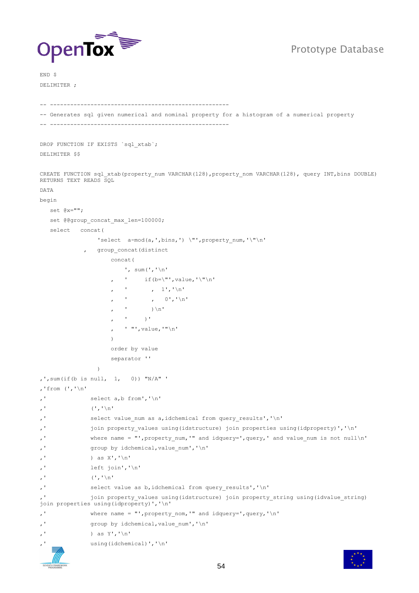

END \$ DELIMITER ;

```
-- -----------------------------------------------------
```
-- Generates sql given numerical and nominal property for a histogram of a numerical property -- -----------------------------------------------------

DROP FUNCTION IF EXISTS `sql\_xtab`; DELIMITER \$\$

CREATE FUNCTION sql xtab(property num VARCHAR(128), property nom VARCHAR(128), query INT, bins DOUBLE) RETURNS TEXT READS SQL

DATA begin

```
 set @x="";
   set @@group_concat_max_len=100000;
   select concat(
                'select a-mod(a,',bins,') \"',property_num,'\"\n'
             group concat (distinct
                   concat(
                       ', sum(','\n'
                         if(b=\"',value,'\"\n'
                            , 1', '\ln', \qquad 0, \qquad'\n'
                      \mathbf{r} ) \n'
                           \rightarrow '
                       , ' "',value,'"\n'
 )
                    order by value
                    separator ''
),',sum(if(b is null, 1, 0)) "N/A" '
,'from (','\n'
,' select a,b from','\n'
, ' (','\n'
,' select value_num as a,idchemical from query_results','\n'
,' join property_values using(idstructure) join properties using(idproperty)','\n'
,' where name = "',property_num,'" and idquery=',query,' and value_num is not null\n'
,' group by idchemical,value_num','\n'
,' ) as X',' \n\uparrow \negthinspace \setminus \negthinspace n',' left join','\n'
, ' (','\n'
,' select value as b,idchemical from query_results','\n'
             join property values using(idstructure) join property string using(idvalue string)
join properties using(idproperty)','\n'
,' where name = "', property nom,'" and idquery=', query, '\n'
,' group by idchemical, value num','\n'
,' ) as Y', \ln'using(idchemical)','\n'
```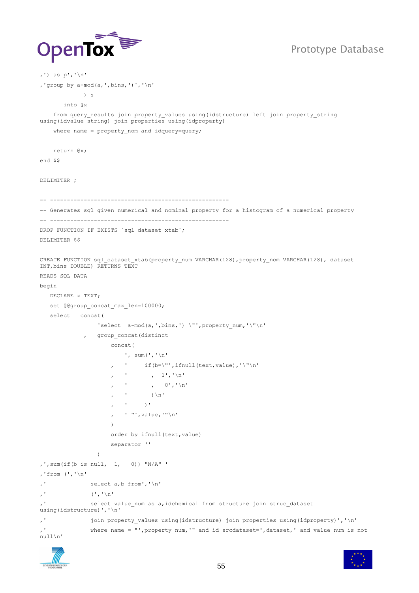

,') as p','\n'

,'group by  $a-mod(a, ',\text{bins}, ') ','\n$ 

```
 ) s
        into @x
    from query results join property values using(idstructure) left join property string
using(idvalue string) join properties using(idproperty)
    where name = property nom and idquery=query;
    return @x;
end $$
DELIMITER ;
-- -----------------------------------------------------
-- Generates sql given numerical and nominal property for a histogram of a numerical property 
-- -----------------------------------------------------
DROP FUNCTION IF EXISTS `sql_dataset_xtab`;
DELIMITER $$
CREATE FUNCTION sql dataset xtab(property num VARCHAR(128), property nom VARCHAR(128), dataset
INT,bins DOUBLE) RETURNS TEXT 
READS SQL DATA 
begin
    DECLARE x TEXT;
   set @@group_concat_max_len=100000;
    select concat(
                  'select a-mod(a,',bins,') \"',property_num,'\"\n'
               group concat (distinct
                      concat(
                          ', sum(','\n'
                              if(b=\"',ifnull(text,value),'\"\n'
                     , \frac{1}{\sqrt{2}}, \frac{1}{\sqrt{2}}, \frac{1}{\sqrt{2}}, ' , 0','\n'
                     , \mathbf{r} ) \n'
                         , \mathbf{r} , \mathbf{r} , \mathbf{r} , ' "',value,'"\n'
) order by ifnull(text,value)
                      separator ''
 )
, ', sum(if(b is null, 1, 0)) "N/A" '
,'from (','\n'
,' select a,b from','\n'
, \mathbf{I} (\mathbf{I}, \mathbf{I})
,' select value num as a,idchemical from structure join struc dataset
using(idstructure)','\n'
,' join property_values using(idstructure) join properties using(idproperty)','\n'
               where name = "', property_num,'" and id_srcdataset=', dataset,' and value_num is not
null\n'
```


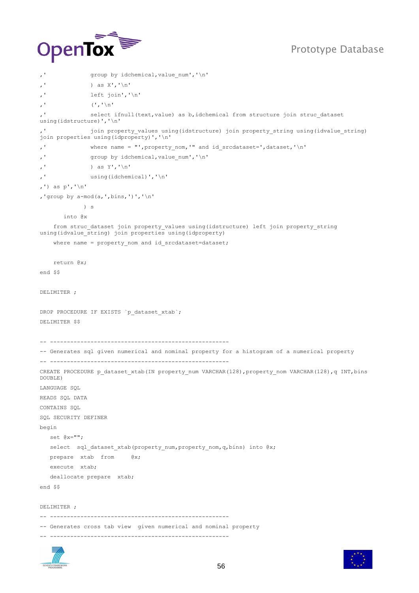

```
,' group by idchemical, value num', '\n'
,' ) as X','\n\,' left join','\n'
,' (^{\dagger},^{\dagger})n'
              select ifnull(text, value) as b, idchemical from structure join struc dataset
using(idstructure)','\n'
,' join property values using(idstructure) join property string using(idvalue string)
join properties using(idproperty)','\n'
,' where name = "',property_nom,'" and id_srcdataset=',dataset,'\n'
,' group by idchemical,value_num','\n'
,' ) as Y', '\n'
,' using(idchemical)','\n'
,') as p','\n'
,'group by a-mod(a,',bins,')','\n'
             ) s
       into @x
    from struc_dataset join property_values using(idstructure) left join property string
using(idvalue string) join properties using(idproperty)
    where name = property nom and id srcdataset=dataset;
     return @x;
end $$
DELIMITER ;
DROP PROCEDURE IF EXISTS `p_dataset_xtab`;
DELIMITER $$
-- -----------------------------------------------------
-- Generates sql given numerical and nominal property for a histogram of a numerical property 
-- -----------------------------------------------------
CREATE PROCEDURE p_dataset_xtab(IN property_num VARCHAR(128),property_nom VARCHAR(128),q INT,bins
DOUBLE)
LANGUAGE SQL
READS SQL DATA 
CONTAINS SQL
SQL SECURITY DEFINER
begin
   set @x="";
  select sql dataset xtab(property num, property nom, q, bins) into @x;
   prepare xtab from @x;
   execute xtab;
   deallocate prepare xtab;
end $$
DELIMITER ;
-- -----------------------------------------------------
-- Generates cross tab view given numerical and nominal property
-- -----------------------------------------------------
```


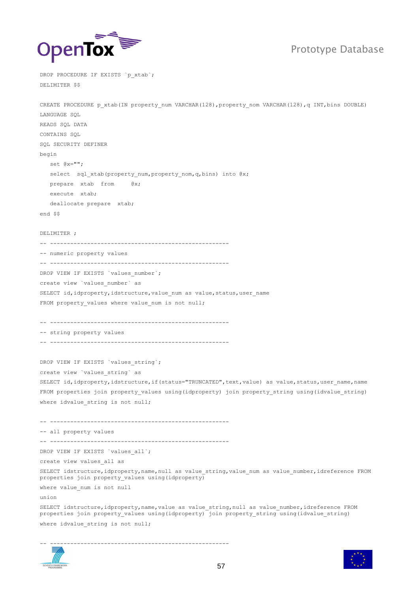

DROP PROCEDURE IF EXISTS `p\_xtab`;

DELIMITER \$\$

CREATE PROCEDURE p\_xtab(IN property\_num VARCHAR(128),property\_nom VARCHAR(128),q INT,bins DOUBLE) LANGUAGE SQL READS SQL DATA CONTAINS SQL SOL SECURITY DEFINER begin set @x=""; select sql xtab(property num, property nom, q, bins) into @x; prepare xtab from @x; execute xtab; deallocate prepare xtab; end \$\$ DELIMITER ; -- ----------------------------------------------------- -- numeric property values -- ----------------------------------------------------- DROP VIEW IF EXISTS `values number`; create view `values\_number` as SELECT id, idproperty, idstructure, value num as value, status, user name FROM property\_values where value\_num is not null; -- ----------------------------------------------------- -- string property values -- ----------------------------------------------------- DROP VIEW IF EXISTS `values string`; create view `values\_string` as SELECT id, idproperty, idstructure, if (status="TRUNCATED", text, value) as value, status, user name, name FROM properties join property\_values using(idproperty) join property\_string using(idvalue\_string) where idvalue\_string is not null; -- ----------------------------------------------------- -- all property values -- ----------------------------------------------------- DROP VIEW IF EXISTS `values all`; create view values\_all as SELECT idstructure,idproperty,name,null as value\_string,value\_num as value\_number,idreference FROM properties join property\_values using(idproperty) where value\_num is not null union SELECT idstructure, idproperty, name, value as value string, null as value number, idreference FROM properties join property values using(idproperty) join property string using(idvalue string) where idvalue string is not null; -- -----------------------------------------------------

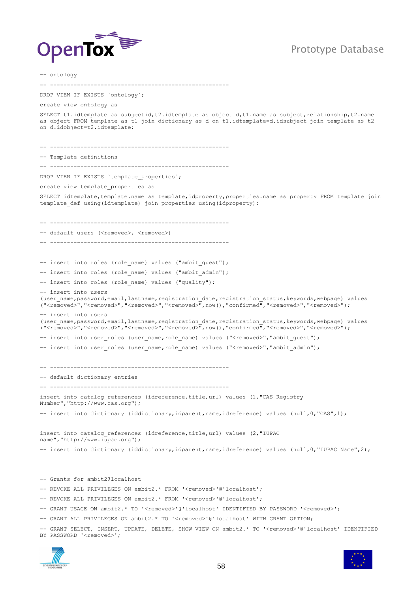



-- ontology -- ----------------------------------------------------- DROP VIEW IF EXISTS `ontology`; create view ontology as SELECT t1.idtemplate as subjectid,t2.idtemplate as objectid,t1.name as subject,relationship,t2.name as object FROM template as t1 join dictionary as d on t1.idtemplate=d.idsubject join template as t2 on d.idobject=t2.idtemplate; -- ----------------------------------------------------- -- Template definitions -- ----------------------------------------------------- DROP VIEW IF EXISTS `template properties`; create view template\_properties as SELECT idtemplate, template.name as template, idproperty, properties.name as property FROM template join template def using(idtemplate) join properties using(idproperty);  $-$ -- default users (<removed>, <removed>) -- ----------------------------------------------------- -- insert into roles (role name) values ("ambit quest"); -- insert into roles (role name) values ("ambit admin"); -- insert into roles (role name) values ("quality"); -- insert into users (user\_name,password,email,lastname,registration\_date,registration\_status,keywords,webpage) values ("<removed>","<removed>","<removed>","<removed>",now(),"confirmed","<removed>","<removed>"); -- insert into users (user\_name,password,email,lastname,registration\_date,registration\_status,keywords,webpage) values ("<removed>","<removed>","<removed>","<removed>",now(),"confirmed","<removed>","<removed>"); -- insert into user\_roles (user\_name,role\_name) values ("<removed>","ambit quest"); -- insert into user roles (user name,role name) values ("<removed>","ambit admin"); -- ----------------------------------------------------- -- default dictionary entries -- ---------------------------------------------------- insert into catalog references (idreference, title, url) values (1, "CAS Registry Number","http://www.cas.org"); -- insert into dictionary (iddictionary, idparent, name, idreference) values (null, 0, "CAS", 1); insert into catalog\_references (idreference,title,url) values (2,"IUPAC name","http://www.iupac.org"); -- insert into dictionary (iddictionary,idparent,name,idreference) values (null,0,"IUPAC Name",2); -- Grants for ambit2@localhost -- REVOKE ALL PRIVILEGES ON ambit2.\* FROM '<removed>'@'localhost'; -- REVOKE ALL PRIVILEGES ON ambit2.\* FROM '<removed>'@'localhost'; -- GRANT USAGE ON ambit2.\* TO '<removed>'@'localhost' IDENTIFIED BY PASSWORD '<removed>'; -- GRANT ALL PRIVILEGES ON ambit2.\* TO '<removed>'@'localhost' WITH GRANT OPTION; -- GRANT SELECT, INSERT, UPDATE, DELETE, SHOW VIEW ON ambit2.\* TO '<removed>'@'localhost' IDENTIFIED BY PASSWORD '<removed>';



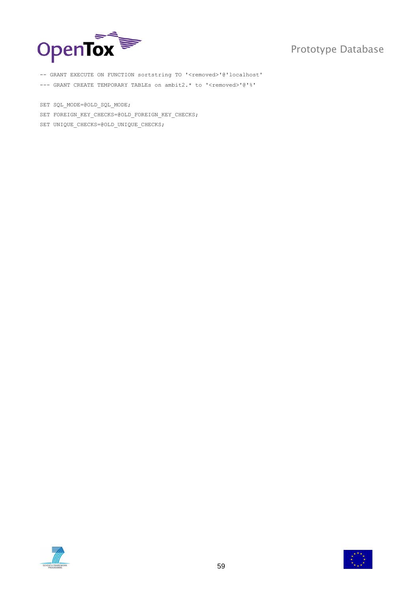

-- GRANT EXECUTE ON FUNCTION sortstring TO '<removed>'@'localhost' --- GRANT CREATE TEMPORARY TABLEs on ambit2.\* to '<removed>'@'%'

SET SQL MODE=@OLD SQL MODE; SET FOREIGN KEY CHECKS=@OLD FOREIGN KEY CHECKS; SET UNIQUE CHECKS=@OLD UNIQUE CHECKS;



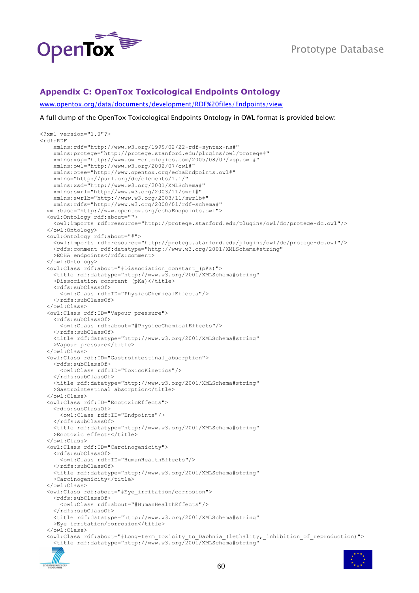

### <span id="page-59-0"></span>**Appendix C: OpenTox Toxicological Endpoints Ontology**

[www.opentox.org/data/documents/development/RDF%20files/Endpoints/view](http://www.opentox.org/data/documents/development/RDF%20files/Endpoints/view)

A full dump of the OpenTox Toxicological Endpoints Ontology in OWL format is provided below:

```
<?xml version="1.0"?>
<rdf:RDF
     xmlns:rdf="http://www.w3.org/1999/02/22-rdf-syntax-ns#"
     xmlns:protege="http://protege.stanford.edu/plugins/owl/protege#"
     xmlns:xsp="http://www.owl-ontologies.com/2005/08/07/xsp.owl#"
     xmlns:owl="http://www.w3.org/2002/07/owl#"
     xmlns:otee="http://www.opentox.org/echaEndpoints.owl#"
     xmlns="http://purl.org/dc/elements/1.1/"
     xmlns:xsd="http://www.w3.org/2001/XMLSchema#"
     xmlns:swrl="http://www.w3.org/2003/11/swrl#"
     xmlns:swrlb="http://www.w3.org/2003/11/swrlb#"
    xmlns:rdfs="http://www.w3.org/2000/01/rdf-schema#"
  xml:base="http://www.opentox.org/echaEndpoints.owl">
   <owl:Ontology rdf:about="">
     <owl:imports rdf:resource="http://protege.stanford.edu/plugins/owl/dc/protege-dc.owl"/>
   </owl:Ontology>
   <owl:Ontology rdf:about="#">
     <owl:imports rdf:resource="http://protege.stanford.edu/plugins/owl/dc/protege-dc.owl"/>
     <rdfs:comment rdf:datatype="http://www.w3.org/2001/XMLSchema#string"
   >ECHA endpoints</rdfs:comment>
  </owl:Ontology>
   <owl:Class rdf:about="#Dissociation_constant_(pKa)">
     <title rdf:datatype="http://www.w3.org/2001/XMLSchema#string"
    >Dissociation constant (pKa)</title>
     <rdfs:subClassOf>
       <owl:Class rdf:ID="PhysicoChemicalEffects"/>
     </rdfs:subClassOf>
   </owl:Class>
   <owl:Class rdf:ID="Vapour_pressure">
     <rdfs:subClassOf>
       <owl:Class rdf:about="#PhysicoChemicalEffects"/>
     </rdfs:subClassOf>
     <title rdf:datatype="http://www.w3.org/2001/XMLSchema#string"
    >Vapour pressure</title>
   </owl:Class>
   <owl:Class rdf:ID="Gastrointestinal_absorption">
     <rdfs:subClassOf>
       <owl:Class rdf:ID="ToxicoKinetics"/>
    </rdfs:subClassOf>
     <title rdf:datatype="http://www.w3.org/2001/XMLSchema#string"
    >Gastrointestinal absorption</title>
   </owl:Class>
   <owl:Class rdf:ID="EcotoxicEffects">
     <rdfs:subClassOf>
       <owl:Class rdf:ID="Endpoints"/>
     </rdfs:subClassOf>
     <title rdf:datatype="http://www.w3.org/2001/XMLSchema#string"
    >Ecotoxic effects</title>
   </owl:Class>
  <owl:Class rdf:ID="Carcinogenicity">
     <rdfs:subClassOf>
       <owl:Class rdf:ID="HumanHealthEffects"/>
    </rdfs:subClassOf>
     <title rdf:datatype="http://www.w3.org/2001/XMLSchema#string"
    >Carcinogenicity</title>
   </owl:Class>
   <owl:Class rdf:about="#Eye_irritation/corrosion">
     <rdfs:subClassOf>
       <owl:Class rdf:about="#HumanHealthEffects"/>
     </rdfs:subClassOf>
     <title rdf:datatype="http://www.w3.org/2001/XMLSchema#string"
    >Eye irritation/corrosion</title>
   </owl:Class>
   <owl:Class rdf:about="#Long-term_toxicity_to_Daphnia_(lethality,_inhibition_of_reproduction)">
     <title rdf:datatype="http://www.w3.org/2001/XMLSchema#string"
```
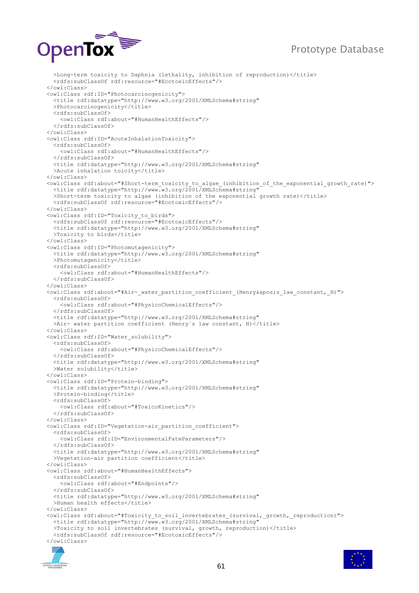

>Long-term toxicity to Daphnia (lethality, inhibition of reproduction)</title> <rdfs:subClassOf rdf:resource="#EcotoxicEffects"/> </owl:Class> <owl:Class rdf:ID="Photocarcinogenicity"> <title rdf:datatype="http://www.w3.org/2001/XMLSchema#string" >Photocarcinogenicity</title> <rdfs:subClassOf> <owl:Class rdf:about="#HumanHealthEffects"/> </rdfs:subClassOf> </owl:Class> <owl:Class rdf:ID="AcuteInhalationToxicity"> <rdfs:subClassOf> <owl:Class rdf:about="#HumanHealthEffects"/> </rdfs:subClassOf> <title rdf:datatype="http://www.w3.org/2001/XMLSchema#string" >Acute inhalation toicity</title> </owl:Class> <owl:Class rdf:about="#Short-term\_toxicity\_to\_algae\_(inhibition\_of\_the\_exponential\_growth\_rate)"> <title rdf:datatype="http://www.w3.org/2001/XMLSchema#string" >Short-term toxicity to algae (inhibition of the exponential growth rate)</title> <rdfs:subClassOf rdf:resource="#EcotoxicEffects"/> </owl:Class> <owl:Class rdf:ID="Toxicity\_to\_birds"> <rdfs:subClassOf rdf:resource="#EcotoxicEffects"/> <title rdf:datatype="http://www.w3.org/2001/XMLSchema#string" >Toxicity to birds</title> </owl:Class> <owl:Class rdf:ID="Photomutagenicity"> <title rdf:datatype="http://www.w3.org/2001/XMLSchema#string" >Photomutagenicity</title> <rdfs:subClassOf> <owl:Class rdf:about="#HumanHealthEffects"/> </rdfs:subClassOf> </owl:Class> <owl:Class rdf:about="#Air- water partition coefficient (Henry&apos;s law constant, H)"> <rdfs:subClassOf> <owl:Class rdf:about="#PhysicoChemicalEffects"/> </rdfs:subClassOf> <title rdf:datatype="http://www.w3.org/2001/XMLSchema#string" >Air- water partition coefficient (Henry's law constant, H) </title> </owl:Class> <owl:Class rdf:ID="Water solubility"> <rdfs:subClassOf> <owl:Class rdf:about="#PhysicoChemicalEffects"/> </rdfs:subClassOf> <title rdf:datatype="http://www.w3.org/2001/XMLSchema#string" >Water solubility</title> </owl:Class> <owl:Class rdf:ID="Protein-binding"> <title rdf:datatype="http://www.w3.org/2001/XMLSchema#string" >Protein-binding</title> <rdfs:subClassOf> <owl:Class rdf:about="#ToxicoKinetics"/> </rdfs:subClassOf> </owl:Class> <owl:Class rdf:ID="Vegetation-air\_partition\_coefficient"> <rdfs:subClassOf> <owl:Class rdf:ID="EnvironmentalFateParameters"/> </rdfs:subClassOf> <title rdf:datatype="http://www.w3.org/2001/XMLSchema#string" >Vegetation-air partition coefficient</title> </owl:Class> <owl:Class rdf:about="#HumanHealthEffects"> <rdfs:subClassOf> <owl:Class rdf:about="#Endpoints"/> </rdfs:subClassOf> <title rdf:datatype="http://www.w3.org/2001/XMLSchema#string" >Human health effects</title> </owl:Class> <owl:Class rdf:about="#Toxicity\_to\_soil\_invertebrates\_(survival,\_growth,\_reproduction)"> <title rdf:datatype="http://www.w3.org/2001/XMLSchema#string" >Toxicity to soil invertebrates (survival, growth, reproduction)</title> <rdfs:subClassOf rdf:resource="#EcotoxicEffects"/> </owl:Class>



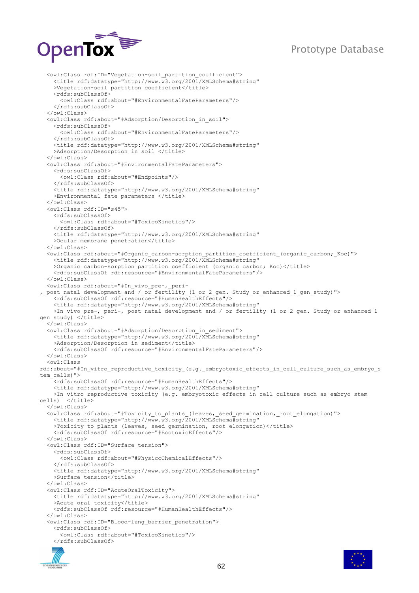

 <owl:Class rdf:ID="Vegetation-soil\_partition\_coefficient"> <title rdf:datatype="http://www.w3.org/2001/XMLSchema#string" >Vegetation-soil partition coefficient</title> <rdfs:subClassOf> <owl:Class rdf:about="#EnvironmentalFateParameters"/> </rdfs:subClassOf> </owl:Class> <owl:Class rdf:about="#Adsorption/Desorption\_in\_soil"> <rdfs:subClassOf> <owl:Class rdf:about="#EnvironmentalFateParameters"/> </rdfs:subClassOf> <title rdf:datatype="http://www.w3.org/2001/XMLSchema#string" >Adsorption/Desorption in soil </title> </owl:Class> <owl:Class rdf:about="#EnvironmentalFateParameters"> <rdfs:subClassOf> <owl:Class rdf:about="#Endpoints"/> </rdfs:subClassOf> <title rdf:datatype="http://www.w3.org/2001/XMLSchema#string" >Environmental fate parameters </title> </owl:Class> <owl:Class rdf:ID="s45"> <rdfs:subClassOf> <owl:Class rdf:about="#ToxicoKinetics"/> </rdfs:subClassOf> <title rdf:datatype="http://www.w3.org/2001/XMLSchema#string" >Ocular membrane penetration</title> </owl:Class> <owl:Class rdf:about="#Organic\_carbon-sorption\_partition\_coefficient\_(organic\_carbon;\_Koc)"> <title rdf:datatype="http://www.w3.org/2001/XMLSchema#string" >Organic carbon-sorption partition coefficient (organic carbon; Koc)</title> <rdfs:subClassOf rdf:resource="#EnvironmentalFateParameters"/> </owl:Class> <owl:Class rdf:about="#In\_vivo\_pre-,\_peri- , post natal development and / or fertility (1 or 2 gen. Study or enhanced 1 gen study)"> <rdfs:subClassOf rdf:resource="#HumanHealthEffects"/> <title rdf:datatype="http://www.w3.org/2001/XMLSchema#string" >In vivo pre-, peri-, post natal development and / or fertility (1 or 2 gen. Study or enhanced 1 gen study) </title> </owl:Class> <owl:Class rdf:about="#Adsorption/Desorption\_in\_sediment"> <title rdf:datatype="http://www.w3.org/2001/XMLSchema#string" >Adsorption/Desorption in sediment</title> <rdfs:subClassOf rdf:resource="#EnvironmentalFateParameters"/> </owl:Class> <owl:Class rdf:about="#In vitro reproductive toxicity (e.g. embryotoxic effects in cell culture such as embryo s tem\_cells)"> <rdfs:subClassOf rdf:resource="#HumanHealthEffects"/> <title rdf:datatype="http://www.w3.org/2001/XMLSchema#string" >In vitro reproductive toxicity (e.g. embryotoxic effects in cell culture such as embryo stem cells) </title> </owl:Class> <owl:Class rdf:about="#Toxicity\_to\_plants\_(leaves,\_seed\_germination,\_root\_elongation)"> <title rdf:datatype="http://www.w3.org/2001/XMLSchema#string" >Toxicity to plants (leaves, seed germination, root elongation)</title> <rdfs:subClassOf rdf:resource="#EcotoxicEffects"/> </owl:Class> <owl:Class rdf:ID="Surface\_tension"> <rdfs:subClassOf> <owl:Class rdf:about="#PhysicoChemicalEffects"/> </rdfs:subClassOf> <title rdf:datatype="http://www.w3.org/2001/XMLSchema#string" >Surface tension</title> </owl:Class> <owl:Class rdf:ID="AcuteOralToxicity"> <title rdf:datatype="http://www.w3.org/2001/XMLSchema#string" >Acute oral toxicity</title> <rdfs:subClassOf rdf:resource="#HumanHealthEffects"/> </owl:Class> <owl:Class rdf:ID="Blood-lung\_barrier\_penetration"> <rdfs:subClassOf> <owl:Class rdf:about="#ToxicoKinetics"/>  $\langle$ /rdfs:subClassOf>



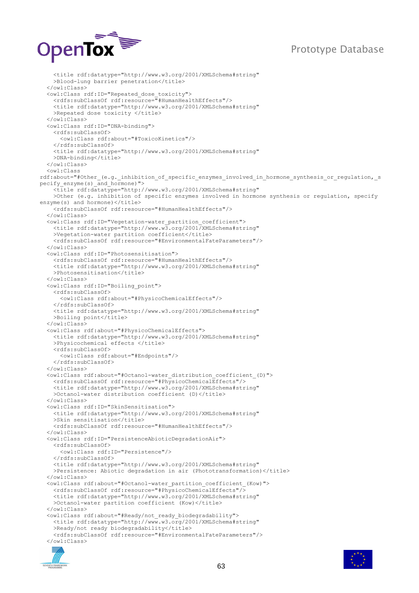

 <title rdf:datatype="http://www.w3.org/2001/XMLSchema#string" >Blood-lung barrier penetration</title> </owl:Class> <owl:Class rdf:ID="Repeated\_dose\_toxicity"> <rdfs:subClassOf rdf:resource="#HumanHealthEffects"/> <title rdf:datatype="http://www.w3.org/2001/XMLSchema#string" >Repeated dose toxicity </title> </owl:Class> <owl:Class rdf:ID="DNA-binding"> <rdfs:subClassOf> <owl:Class rdf:about="#ToxicoKinetics"/> </rdfs:subClassOf> <title rdf:datatype="http://www.w3.org/2001/XMLSchema#string" >DNA-binding</title> </owl:Class> <owl:Class rdf:about="#Other (e.g. inhibition of specific enzymes involved in hormone synthesis or regulation, s pecify enzyme(s) and hormone)"> <title rdf:datatype="http://www.w3.org/2001/XMLSchema#string" >Other (e.g. inhibition of specific enzymes involved in hormone synthesis or regulation, specify enzyme(s) and hormone)</title> <rdfs:subClassOf rdf:resource="#HumanHealthEffects"/> </owl:Class> <owl:Class rdf:ID="Vegetation-water\_partition\_coefficient"> <title rdf:datatype="http://www.w3.org/2001/XMLSchema#string" >Vegetation-water partition coefficient</title> <rdfs:subClassOf rdf:resource="#EnvironmentalFateParameters"/> </owl:Class> <owl:Class rdf:ID="Photosensitisation"> <rdfs:subClassOf rdf:resource="#HumanHealthEffects"/> <title rdf:datatype="http://www.w3.org/2001/XMLSchema#string" >Photosensitisation</title> </owl:Class> <owl:Class rdf:ID="Boiling\_point"> <rdfs:subClassOf> <owl:Class rdf:about="#PhysicoChemicalEffects"/> </rdfs:subClassOf> <title rdf:datatype="http://www.w3.org/2001/XMLSchema#string" >Boiling point</title> </owl:Class> <owl:Class rdf:about="#PhysicoChemicalEffects"> <title rdf:datatype="http://www.w3.org/2001/XMLSchema#string" >Physicochemical effects </title> <rdfs:subClassOf> <owl:Class rdf:about="#Endpoints"/> </rdfs:subClassOf> </owl:Class> <owl:Class rdf:about="#Octanol-water\_distribution\_coefficient\_(D)"> <rdfs:subClassOf rdf:resource="#PhysicoChemicalEffects"/> <title rdf:datatype="http://www.w3.org/2001/XMLSchema#string" >Octanol-water distribution coefficient (D)</title> </owl:Class> <owl:Class rdf:ID="SkinSensitisation"> <title rdf:datatype="http://www.w3.org/2001/XMLSchema#string" >Skin sensitisation</title> <rdfs:subClassOf rdf:resource="#HumanHealthEffects"/> </owl:Class> <owl:Class rdf:ID="PersistenceAbioticDegradationAir"> <rdfs:subClassOf> <owl:Class rdf:ID="Persistence"/> </rdfs:subClassOf> <title rdf:datatype="http://www.w3.org/2001/XMLSchema#string" >Persistence: Abiotic degradation in air (Phototransformation)</title> </owl:Class> <owl:Class rdf:about="#Octanol-water\_partition\_coefficient\_(Kow)"> <rdfs:subClassOf rdf:resource="#PhysicoChemicalEffects"/> <title rdf:datatype="http://www.w3.org/2001/XMLSchema#string" >Octanol-water partition coefficient (Kow)</title> </owl:Class> <owl:Class rdf:about="#Ready/not\_ready\_biodegradability"> <title rdf:datatype="http://www.w3.org/2001/XMLSchema#string" >Ready/not ready biodegradability</title> <rdfs:subClassOf rdf:resource="#EnvironmentalFateParameters"/> </owl:Class>



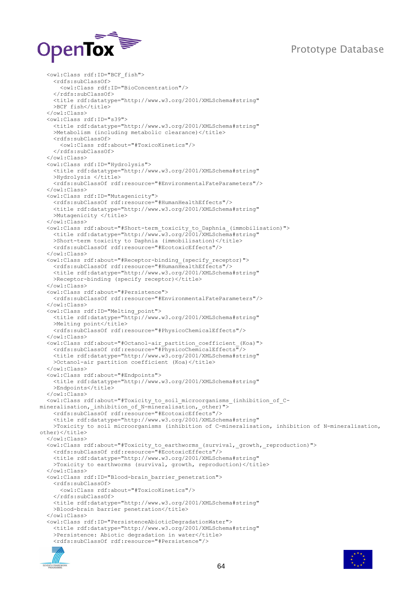

```
 <owl:Class rdf:ID="BCF_fish">
     <rdfs:subClassOf>
       <owl:Class rdf:ID="BioConcentration"/>
     </rdfs:subClassOf>
     <title rdf:datatype="http://www.w3.org/2001/XMLSchema#string"
    >BCF fish</title>
   </owl:Class>
   <owl:Class rdf:ID="s39">
     <title rdf:datatype="http://www.w3.org/2001/XMLSchema#string"
    >Metabolism (including metabolic clearance)</title>
     <rdfs:subClassOf>
       <owl:Class rdf:about="#ToxicoKinetics"/>
     </rdfs:subClassOf>
   </owl:Class>
   <owl:Class rdf:ID="Hydrolysis">
     <title rdf:datatype="http://www.w3.org/2001/XMLSchema#string"
    >Hydrolysis </title>
     <rdfs:subClassOf rdf:resource="#EnvironmentalFateParameters"/>
   </owl:Class>
   <owl:Class rdf:ID="Mutagenicity">
     <rdfs:subClassOf rdf:resource="#HumanHealthEffects"/>
     <title rdf:datatype="http://www.w3.org/2001/XMLSchema#string"
    >Mutagenicity </title>
   </owl:Class>
   <owl:Class rdf:about="#Short-term_toxicity_to_Daphnia_(immobilisation)">
     <title rdf:datatype="http://www.w3.org/2001/XMLSchema#string"
    >Short-term toxicity to Daphnia (immobilisation)</title>
     <rdfs:subClassOf rdf:resource="#EcotoxicEffects"/>
   </owl:Class>
   <owl:Class rdf:about="#Receptor-binding_(specify_receptor)">
     <rdfs:subClassOf rdf:resource="#HumanHealthEffects"/>
     <title rdf:datatype="http://www.w3.org/2001/XMLSchema#string"
    >Receptor-binding (specify receptor)</title>
   </owl:Class>
   <owl:Class rdf:about="#Persistence">
     <rdfs:subClassOf rdf:resource="#EnvironmentalFateParameters"/>
   </owl:Class>
   <owl:Class rdf:ID="Melting_point">
     <title rdf:datatype="http://www.w3.org/2001/XMLSchema#string"
    >Melting point</title>
     <rdfs:subClassOf rdf:resource="#PhysicoChemicalEffects"/>
   </owl:Class>
   <owl:Class rdf:about="#Octanol-air_partition_coefficient_(Koa)">
     <rdfs:subClassOf rdf:resource="#PhysicoChemicalEffects"/>
     <title rdf:datatype="http://www.w3.org/2001/XMLSchema#string"
    >Octanol-air partition coefficient (Koa)</title>
   </owl:Class>
   <owl:Class rdf:about="#Endpoints">
     <title rdf:datatype="http://www.w3.org/2001/XMLSchema#string"
    >Endpoints</title>
   </owl:Class>
   <owl:Class rdf:about="#Toxicity_to_soil_microorganisms_(inhibition_of_C-
mineralisation, inhibition of N-mineralisation, other)">
     <rdfs:subClassOf rdf:resource="#EcotoxicEffects"/>
     <title rdf:datatype="http://www.w3.org/2001/XMLSchema#string"
     >Toxicity to soil microorganisms (inhibition of C-mineralisation, inhibition of N-mineralisation, 
other)</title>
   </owl:Class>
   <owl:Class rdf:about="#Toxicity_to_earthworms_(survival,_growth,_reproduction)">
     <rdfs:subClassOf rdf:resource="#EcotoxicEffects"/>
     <title rdf:datatype="http://www.w3.org/2001/XMLSchema#string"
    >Toxicity to earthworms (survival, growth, reproduction)</title>
   </owl:Class>
   <owl:Class rdf:ID="Blood-brain_barrier_penetration">
     <rdfs:subClassOf>
       <owl:Class rdf:about="#ToxicoKinetics"/>
     </rdfs:subClassOf>
     <title rdf:datatype="http://www.w3.org/2001/XMLSchema#string"
    >Blood-brain barrier penetration</title>
   </owl:Class>
   <owl:Class rdf:ID="PersistenceAbioticDegradationWater">
     <title rdf:datatype="http://www.w3.org/2001/XMLSchema#string"
    >Persistence: Abiotic degradation in water</title>
     <rdfs:subClassOf rdf:resource="#Persistence"/>
```


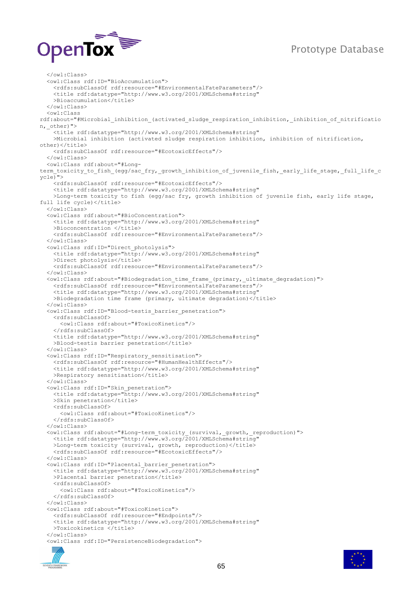

 </owl:Class> <owl:Class rdf:ID="BioAccumulation"> <rdfs:subClassOf rdf:resource="#EnvironmentalFateParameters"/> <title rdf:datatype="http://www.w3.org/2001/XMLSchema#string" >Bioaccumulation</title> </owl:Class> <owl:Class rdf:about="#Microbial\_inhibition\_(activated\_sludge\_respiration\_inhibition,\_inhibition\_of\_nitrificatio n, other)"> <title rdf:datatype="http://www.w3.org/2001/XMLSchema#string" >Microbial inhibition (activated sludge respiration inhibition, inhibition of nitrification,  $othen$  $<$ / $t$ itle> <rdfs:subClassOf rdf:resource="#EcotoxicEffects"/> </owl:Class> <owl:Class rdf:about="#Longterm\_toxicity\_to\_fish\_(egg/sac\_fry,\_growth\_inhibition\_of\_juvenile\_fish,\_early\_life\_stage,\_full\_life\_c ycle)"> <rdfs:subClassOf rdf:resource="#EcotoxicEffects"/> <title rdf:datatype="http://www.w3.org/2001/XMLSchema#string" >Long-term toxicity to fish (egg/sac fry, growth inhibition of juvenile fish, early life stage, full life cycle)</title> </owl:Class> <owl:Class rdf:about="#BioConcentration"> <title rdf:datatype="http://www.w3.org/2001/XMLSchema#string" >Bioconcentration </title> <rdfs:subClassOf rdf:resource="#EnvironmentalFateParameters"/> </owl:Class> <owl:Class rdf:ID="Direct\_photolysis"> <title rdf:datatype="http://www.w3.org/2001/XMLSchema#string" >Direct photolysis</title> <rdfs:subClassOf rdf:resource="#EnvironmentalFateParameters"/> </owl:Class> <owl:Class rdf:about="#Biodegradation\_time\_frame\_(primary,\_ultimate\_degradation)"> <rdfs:subClassOf rdf:resource="#EnvironmentalFateParameters"/> <title rdf:datatype="http://www.w3.org/2001/XMLSchema#string" >Biodegradation time frame (primary, ultimate degradation)</title> </owl:Class> <owl:Class rdf:ID="Blood-testis\_barrier\_penetration"> <rdfs:subClassOf> <owl:Class rdf:about="#ToxicoKinetics"/> </rdfs:subClassOf> <title rdf:datatype="http://www.w3.org/2001/XMLSchema#string" >Blood-testis barrier penetration</title> </owl:Class> <owl:Class rdf:ID="Respiratory\_sensitisation"> <rdfs:subClassOf rdf:resource="#HumanHealthEffects"/> <title rdf:datatype="http://www.w3.org/2001/XMLSchema#string" >Respiratory sensitisation</title> </owl:Class> <owl:Class rdf:ID="Skin\_penetration"> <title rdf:datatype="http://www.w3.org/2001/XMLSchema#string" >Skin penetration</title> <rdfs:subClassOf> <owl:Class rdf:about="#ToxicoKinetics"/> </rdfs:subClassOf> </owl:Class> <owl:Class rdf:about="#Long-term\_toxicity\_(survival,\_growth,\_reproduction)"> <title rdf:datatype="http://www.w3.org/2001/XMLSchema#string" >Long-term toxicity (survival, growth, reproduction)</title> <rdfs:subClassOf rdf:resource="#EcotoxicEffects"/> </owl:Class> <owl:Class rdf:ID="Placental\_barrier\_penetration"> <title rdf:datatype="http://www.w3.org/2001/XMLSchema#string" >Placental barrier penetration</title> <rdfs:subClassOf> <owl:Class rdf:about="#ToxicoKinetics"/> </rdfs:subClassOf> </owl:Class> <owl:Class rdf:about="#ToxicoKinetics"> <rdfs:subClassOf rdf:resource="#Endpoints"/> <title rdf:datatype="http://www.w3.org/2001/XMLSchema#string" >Toxicokinetics </title> </owl:Class> <owl:Class rdf:ID="PersistenceBiodegradation">